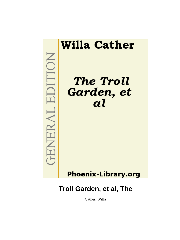

# **Troll Garden, et al, The**

Cather, Willa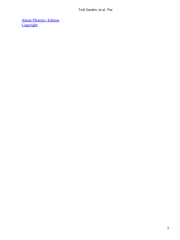[About Phoenix−Edition](#page-167-0) **[Copyright](#page-168-0)**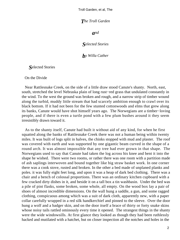Troll Garden, et al, The

*The Troll Garden*

*and*

*Selected Stories*

*by Willa Cather*

*S*elected Stories

On the Divide

 Near Rattlesnake Creek, on the side of a little draw stood Canute's shanty. North, east, south, stretched the level Nebraska plain of long rust−red grass that undulated constantly in the wind. To the west the ground was broken and rough, and a narrow strip of timber wound along the turbid, muddy little stream that had scarcely ambition enough to crawl over its black bottom. If it had not been for the few stunted cottonwoods and elms that grew along its banks, Canute would have shot himself years ago. The Norwegians are a timber−loving people, and if there is even a turtle pond with a few plum bushes around it they seem irresistibly drawn toward it.

 As to the shanty itself, Canute had built it without aid of any kind, for when he first squatted along the banks of Rattlesnake Creek there was not a human being within twenty miles. It was built of logs split in halves, the chinks stopped with mud and plaster. The roof was covered with earth and was supported by one gigantic beam curved in the shape of a round arch. It was almost impossible that any tree had ever grown in that shape. The Norwegians used to say that Canute had taken the log across his knee and bent it into the shape he wished. There were two rooms, or rather there was one room with a partition made of ash saplings interwoven and bound together like big straw basket work. In one corner there was a cook stove, rusted and broken. In the other a bed made of unplaned planks and poles. it was fully eight feet long, and upon it was a heap of dark bed clothing. There was a chair and a bench of colossal proportions. There was an ordinary kitchen cupboard with a few cracked dirty dishes in it, and beside it on a tall box a tin washbasin. Under the bed was a pile of pint flasks, some broken, some whole, all empty. On the wood box lay a pair of shoes of almost incredible dimensions. On the wall hung a saddle, a gun, and some ragged clothing, conspicuous among which was a suit of dark cloth, apparently new, with a paper collar carefully wrapped in a red silk handkerchief and pinned to the sleeve. Over the door hung a wolf and a badger skin, and on the door itself a brace of thirty or forty snake skins whose noisy tails rattled ominously every time it opened. The strangest things in the shanty were the wide windowsills. At first glance they looked as though they had been ruthlessly hacked and mutilated with a hatchet, but on closer inspection all the notches and holes in the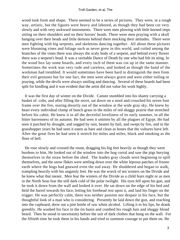wood took form and shape. There seemed to be a series of pictures. They were, in a rough way, artistic, but the figures were heavy and labored, as though they had been cut very slowly and with very awkward instruments. There were men plowing with little horned imps sitting on their shoulders and on their horses' heads. There were men praying with a skull hanging over their heads and little demons behind them mocking their attitudes. There were men fighting with big serpents, and skeletons dancing together. All about these pictures were blooming vines and foliage such as never grew in this world, and coiled among the branches of the vines there was always the scaly body of a serpent, and behind every flower there was a serpent's head. It was a veritable Dance of Death by one who had felt its sting. In the wood box lay some boards, and every inch of them was cut up in the same manner. Sometimes the work was very rude and careless, and looked as though the hand of the workman had trembled. It would sometimes have been hard to distinguish the men from their evil geniuses but for one fact, the men were always grave and were either toiling or praying, while the devils were always smiling and dancing. Several of these boards had been split for kindling and it was evident that the artist did not value his work highly.

 It was the first day of winter on the Divide. Canute stumbled into his shanty carrying a basket of. cobs, and after filling the stove, sat down on a stool and crouched his seven foot frame over the fire, staring drearily out of the window at the wide gray sky. He knew by heart every individual clump of bunch grass in the miles of red shaggy prairie that stretched before his cabin. He knew it in all the deceitful loveliness of its early summer, in all the bitter barrenness of its autumn. He had seen it smitten by all the plagues of Egypt. He had seen it parched by drought, and sogged by rain, beaten by hail, and swept by fire, and in the grasshopper years he had seen it eaten as bare and clean as bones that the vultures have left. After the great fires he had seen it stretch for miles and miles, black and smoking as the floor of hell.

 He rose slowly and crossed the room, dragging his big feet heavily as though they were burdens to him. He looked out of the window into the hog corral and saw the pigs burying themselves in the straw before the shed. The leaden gray clouds were beginning to spill themselves, and the snow flakes were settling down over the white leprous patches of frozen earth where the hogs had gnawed even the sod away. He shuddered and began to walk, trampling heavily with his ungainly feet. He was the wreck of ten winters on the Divide and he knew what that meant. Men fear the winters of the Divide as a child fears night or as men in the North Seas fear the still dark cold of the polar twilight. His eyes fell upon his gun, and he took it down from the wall and looked it over. He sat down on the edge of his bed and held the barrel towards his face, letting his forehead rest upon it, and laid his finger on the trigger. He was perfectly calm, there was neither passion nor despair in his face, but the thoughtful look of a man who is considering. Presently he laid down the gun, and reaching into the cupboard, drew out a pint bottle of raw white alcohol. Lifting it to his lips, he drank greedily. He washed his face in the tin basin and combed his rough hair and shaggy blond beard. Then he stood in uncertainty before the suit of dark clothes that hung on the wall. For the fiftieth time he took them in his hands and tried to summon courage to put them on. He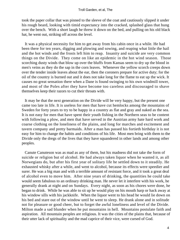took the paper collar that was pinned to the sleeve of the coat and cautiously slipped it under his rough beard, looking with timid expectancy into the cracked, splashed glass that hung over the bench. With a short laugh he threw it down on the bed, and pulling on his old black hat, he went out, striking off across the level.

 It was a physical necessity for him to get away from his cabin once in a while. He had been there for ten years, digging and plowing and sowing, and reaping what little the hail and the hot winds and the frosts left him to reap. Insanity and suicide are very common things on the Divide. They come on like an epidemic in the hot wind season. Those scorching dusty winds that blow up over the bluffs from Kansas seem to dry up the blood in men's veins as they do the sap in the corn leaves. Whenever the yellow scorch creeps down over the tender inside leaves about the ear, then the coroners prepare for active duty; for the oil of the country is burned out and it does not take long for the flame to eat up the wick. It causes no great sensation there when a Dane is found swinging to his own windmill tower, and most of the Poles after they have become too careless and discouraged to shave themselves keep their razors to cut their throats with.

 It may be that the next generation on the Divide will be very happy, but the present one came too late in life. It is useless for men that have cut hemlocks among the mountains of Sweden for forty years to try to be happy in a country as flat and gray and naked as the sea. It is not easy for men that have spent their youth fishing in the Northern seas to be content with following a plow, and men that have served in the Austrian army hate hard work and coarse clothing on the loneliness of the plains, and long for marches and excitement and tavern company and pretty barmaids. After a man has passed his fortieth birthday it is not easy for him to change the habits and conditions of his life. Most men bring with them to the Divide only the dregs of the lives that they have squandered in other lands and among other peoples.

 Canute Canuteson was as mad as any of them, but his madness did not take the form of suicide or religion but of alcohol. He had always taken liquor when he wanted it, as all Norwegians do, but after his first year of solitary life he settled down to it steadily. He exhausted whisky after a while, and went to alcohol, because its effects were speedier and surer. He was a big man and with a terrible amount of resistant force, and it took a great deal of alcohol even to move him. After nine years of drinking, the quantities he could take would seem fabulous to an ordinary drinking man. He never let it interfere with his work, he generally drank at night and on Sundays. Every night, as soon as his chores were done, he began to drink. While he was able to sit up he would play on his mouth harp or hack away at his window sills with his jackknife. When the liquor went to his head he would lie down on his bed and stare out of the window until he went to sleep. He drank alone and in solitude not for pleasure or good cheer, but to forget the awful loneliness and level of the Divide. Milton made a sad blunder when he put mountains in hell. Mountains postulate faith and aspiration. All mountain peoples are religious. It was the cities of the plains that, because of their utter lack of spirituality and the mad caprice of their vice, were cursed of God.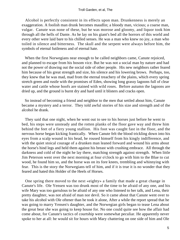Alcohol is perfectly consistent in its effects upon man. Drunkenness is merely an exaggeration. A foolish man drunk becomes maudlin; a bloody man, vicious; a coarse man, vulgar. Canute was none of these, but he was morose and gloomy, and liquor took him through all the hells of Dante. As he lay on his giant's bed all the horrors of this world and every other were laid bare to his chilled senses. He was a man who knew no joy, a man who toiled in silence and bitterness. The skull and the serpent were always before him, the symbols of eternal futileness and of eternal hate.

 When the first Norwegians near enough to be called neighbors came, Canute rejoiced, and planned to escape from his bosom vice. But he was not a social man by nature and had not the power of drawing out the social side of other people. His new neighbors rather feared him because of his great strength and size, his silence and his lowering brows. Perhaps, too, they knew that he was mad, mad from the eternal treachery of the plains, which every spring stretch green and rustle with the promises of Eden, showing long grassy lagoons full of clear water and cattle whose hoofs are stained with wild roses. Before autumn the lagoons are dried up, and the ground is burnt dry and hard until it blisters and cracks open.

 So instead of becoming a friend and neighbor to the men that settled about him, Canute became a mystery and a terror. They told awful stories of his size and strength and of the alcohol he drank.

 They said that one night, when he went out to see to his horses just before he went to bed, his steps were unsteady and the rotten planks of the floor gave way and threw him behind the feet of a fiery young stallion. His foot was caught fast in the floor, and the nervous horse began kicking frantically. When Canute felt the blood trickling down into his eyes from a scalp wound in his head, he roused himself from his kingly indifference, and with the quiet stoical courage of a drunken man leaned forward and wound his arms about the horse's hind legs and held them against his breast with crushing embrace. All through the darkness and cold of the night he lay there, matching strength against strength. When little Jim Peterson went over the next morning at four o'clock to go with him to the Blue to cut wood, he found him so, and the horse was on its fore knees, trembling and whinnying with fear. This is the story the Norwegians tell of him, and if it is true it is no wonder that they feared and hated this Holder of the Heels of Horses.

 One spring there moved to the next «eighty» a family that made a great change in Canute's life. Ole Yensen was too drunk most of the time to be afraid of any one, and his wife Mary was too garrulous to be afraid of any one who listened to her talk, and Lena, their pretty daughter, was not afraid of man nor devil. So it came about that Canute went over to take his alcohol with Ole oftener than he took it alone, After a while the report spread that he was going to marry Yensen's daughter, and the Norwegian girls began to tease Lena about the great bear she was going to keep house for. No one could quite see how the affair had come about, for Canute's tactics of courtship were somewhat peculiar. He apparently never spoke to her at all: he would sit for hours with Mary chattering on one side of him and Ole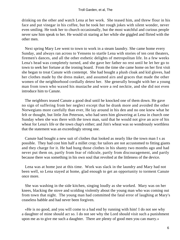drinking on the other and watch Lena at her work. She teased him, and threw flour in his face and put vinegar in his coffee, but he took her rough jokes with silent wonder, never even smiling. He took her to church occasionally, but the most watchful and curious people never saw him speak to her. He would sit staring at her while she giggled and flirted with the other men.

 Next spring Mary Lee went to town to work in a steam laundry. She came home every Sunday, and always ran across to Yensens to startle Lena with stories of ten cent theaters, firemen's dances, and all the other esthetic delights of metropolitan life. In a few weeks Lena's head was completely turned, and she gave her father no rest until he let her go to town to seek her fortune at the ironing board. From the time she came home on her first visit she began to treat Canute with contempt. She had bought a plush cloak and kid gloves, had her clothes made by the dress maker, and assumed airs and graces that made the other women of the neighborhood cordially detest her. She generally brought with her a young man from town who waxed his mustache and wore a red necktie, and she did not even introduce him to Canute.

 The neighbors teased Canute a good deal until he knocked one of them down. He gave no sign of suffering from her neglect except that he drank more and avoided the other Norwegians more carefully than ever, He lay around in his den and no one knew what he felt or thought, but little Jim Peterson, who had seen him glowering at Lena in church one Sunday when she was there with the town man, said that he would not give an acre of his wheat for Lena's life or the town chap's either; and Jim's wheat was so wondrously worthless that the statement was an exceedingly strong one.

 Canute had bought a new suit of clothes that looked as nearly like the town man I s as possible. They had cost him half a millet crop; for tailors are not accustomed to fitting giants and they charge for it. He had hung those clothes in his shanty two months ago and had never put them on, partly from fear of ridicule, partly from discouragement, and partly because there was something in his own soul that revolted at the littleness of the device.

 Lena was at home just at this time. Work was slack in the laundry and Mary had not been well, so Lena stayed at home, glad enough to get an opportunity to torment Canute once more.

 She was washing in the side kitchen, singing loudly as she worked. Mary was on her knees, blacking the stove and scolding violently about the young man who was coming out from town that night. The young man had committed the fatal error of laughing at Mary's ceaseless babble and had never been forgiven.

 «He is no good, and you will come to a bad end by running with him! I do not see why a daughter of mine should act so. I do not see why the Lord should visit such a punishment upon me as to give me such a daughter. There are plenty of good men you can marry.»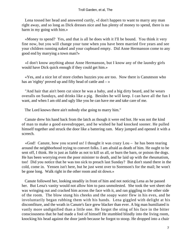Lena tossed her head and answered curtly, «I don't happen to want to marry any man right away, and so long as Dick dresses nice and has plenty of money to spend, there is no harm in my going with him.»

 «Money to spend? Yes, and that is all he does with it I'll be bound. You think it very fine now, but you will change your tune when you have been married five years and see your children running naked and your cupboard empty. Did Anne Hermanson come to any good end by marrying a town man?»

 «I don't know anything about Anne Hermanson, but I know any of the laundry girls would have Dick quick enough if they could get him.»

 «Yes, and a nice lot of store clothes huzzies you are too. Now there is Canuteson who has an 'eighty' proved up and fifty head of cattle and  $-\infty$ 

 "And hair that ain't been cut since he was a baby, and a big dirty beard, and he wears overalls on Sundays, and drinks like a pig. Besides he will keep. I can have all the fun I want, and when I am old and ugly like you he can have me and take care of me.

The Lord knows there ain't nobody else going to marry him."

 Canute drew his hand back from the latch as though it were red hot. He was not the kind of man to make a good eavesdropper, and he wished he had knocked sooner. He pulled himself together and struck the door like a battering ram. Mary jumped and opened it with a screech.

 «God! Canute, how you scared us! I thought it was crazy Lou – he has been tearing around the neighborhood trying to convert folks. I am afraid as death of him. He ought to be sent off, I think. He is just as liable as not to kill us all, or burn the barn, or poison the dogs. He has been worrying even the poor minister to death, and he laid up with the rheumatism, too! Did you notice that he was too sick to preach last Sunday? But don't stand there in the cold, come in. Yensen isn't here, but he just went over to Sorenson's for the mail; he won't be gone long. Walk right in the other room and sit down.»

 Canute followed her, looking steadily in front of him and not noticing Lena as he passed her. But Lena's vanity would not allow him to pass unmolested. She took the wet sheet she was wringing out and cracked him across the face with it, and ran giggling to the other side of the room. The blow stung his cheeks and the soapy water flew in his eves, and he involuntarily began rubbing them with his hands. Lena giggled with delight at his discomfiture, and the wrath in Canute's face grew blacker than ever. A big man humiliated is vastly more undignified than a little one. He forgot the sting of his face in the bitter consciousness that he had made a fool of himself He stumbled blindly into the living room, knocking his head against the door jamb because he forgot to stoop. He dropped into a chair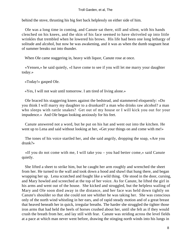## Troll Garden, et al, The

behind the stove, thrusting his big feet back helplessly on either side of him.

 Ole was a long time in coming, and Canute sat there, still and silent, with his hands clenched on his knees, and the skin of his face seemed to have shriveled up into little wrinkles that trembled when he lowered his brows. His life had been one long lethargy of solitude and alcohol, but now he was awakening, and it was as when the dumb stagnant heat of summer breaks out into thunder.

When Ole came staggering in, heavy with liquor, Canute rose at once.

 «Yensen,» he said quietly, «I have come to see if you will let me marry your daughter today.»

«Today!» gasped Ole.

«Yes, I will not wait until tomorrow. I am tired of living alone.»

 Ole braced his staggering knees against the bedstead, and stammered eloquently: «Do you think I will marry my daughter to a drunkard? a man who drinks raw alcohol? a man who sleeps with rattle snakes? Get out of my house or I will kick you out for your impudence.» And Ole began looking anxiously for his feet.

 Canute answered not a word, but he put on his hat and went out into the kitchen. He went up to Lena and said without looking at her, «Get your things on and come with me!»

 The tones of his voice startled her, and she said angrily, dropping the soap, «Are you drunk?»

 «If you do not come with me, I will take you – you had better come,» said Canute quietly.

 She lifted a sheet to strike him, but he caught her arm roughly and wrenched the sheet from her. He turned to the wall and took down a hood and shawl that hung there, and began wrapping her up. Lena scratched and fought like a wild thing. Ole stood in the door, cursing, and Mary howled and screeched at the top of her voice. As for Canute, he lifted the girl in his arms and went out of the house. She kicked and struggled, but the helpless wailing of Mary and Ole soon died away in the distance, and her face was held down tightly on Canute's shoulder so that she could not see whither he was taking her. She was conscious only of the north wind whistling in her ears, and of rapid steady motion and of a great breast that heaved beneath her in quick, irregular breaths. The harder she struggled the tighter those iron arms that had held the heels of horses crushed about her, until she felt as if they would crush the breath from her, and lay still with fear. Canute was striding across the level fields at a pace at which man never went before, drawing the stinging north winds into his lungs in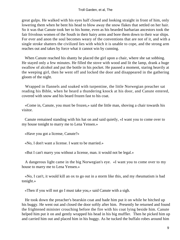great gulps. He walked with his eyes half closed and looking straight in front of him, only lowering them when he bent his head to blow away the snow flakes that settled on her hair. So it was that Canute took her to his home, even as his bearded barbarian ancestors took the fair frivolous women of the South in their hairy arms and bore them down to their war ships. For ever and anon the soul becomes weary of the conventions that are not of it, and with a single stroke shatters the civilized lies with which it is unable to cope, and the strong arm reaches out and takes by force what it cannot win by cunning.

 When Canute reached his shanty he placed the girl upon a chair, where she sat sobbing. He stayed only a few minutes. He filled the stove with wood and lit the lamp, drank a huge swallow of alcohol and put the bottle in his pocket. He paused a moment, staring heavily at the weeping girl, then he went off and locked the door and disappeared in the gathering gloom of the night.

 Wrapped in flannels and soaked with turpentine, the little Norwegian preacher sat reading his Bible, when he heard a thundering knock at his door, and Canute entered, covered with snow and his beard frozen fast to his coat.

 «Come in, Canute, you must be frozen,» said the little man, shoving a chair towards his visitor.

 Canute remained standing with his hat on and said quietly, «I want you to come over to my house tonight to marry me to Lena Yensen.»

«Have you got a license, Canute?»

«No, I don't want a license. I want to be married.»

«But I can't marry you without a license, man. it would not be legal.»

 A dangerous light came in the big Norwegian's eye. «I want you to come over to my house to marry me to Lena Yensen.»

 «No, I can't, it would kill an ox to go out in a storm like this, and my rheumatism is bad tonight.»

«Then if you will not go I must take you,» said Canute with a sigh.

 He took down the preacher's bearskin coat and bade him put it on while he hitched up his buggy. He went out and closed the door softly after him. Presently he returned and found the frightened minister crouching before the fire with his coat lying beside him. Canute helped him put it on and gently wrapped his head in his big muffler. Then he picked him up and carried him out and placed him in his buggy. As he tucked the buffalo robes around him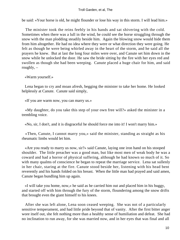be said: «Your horse is old, he might flounder or lose his way in this storm. I will lead him.»

 The minister took the reins feebly in his hands and sat shivering with the cold. Sometimes when there was a lull in the wind, he could see the horse struggling through the snow with the man plodding steadily beside him. Again the blowing snow would hide them from him altogether. He had no idea where they were or what direction they were going. He felt as though he were being whirled away in the heart of the storm, and he said all the prayers he knew. But at last the long four miles were over, and Canute set him down in the snow while he unlocked the door. He saw the bride sitting by the fire with her eyes red and swollen as though she had been weeping. Canute placed a huge chair for him, and said roughly, –

«Warm yourself.»

 Lena began to cry and moan afresh, begging the minister to take her home. He looked helplessly at Canute. Canute said simply,

«If you are warm now, you can marry us.»

 «My daughter, do you take this step of your own free will?» asked the minister in a trembling voice.

«No, sir, I don't, and it is disgraceful he should force me into it! I won't marry him.»

 «Then, Canute, I cannot marry you,» said the minister, standing as straight as his rheumatic limbs would let him.

 «Are you ready to marry us now, sir?» said Canute, laying one iron hand on his stooped shoulder. The little preacher was a good man, but like most men of weak body he was a coward and had a horror of physical suffering, although he had known so much of it. So with many qualms of conscience he began to repeat the marriage service. Lena sat sullenly in her chair, staring at the fire. Canute stood beside her, listening with his head bent reverently and his hands folded on his breast. When the little man had prayed and said amen, Canute began bundling him up again.

 «I will take you home, now,» he said as he carried him out and placed him in his buggy, and started off with him through the fury of the storm, floundering among the snow drifts that brought even the giant himself to his knees.

 After she was left alone, Lena soon ceased weeping. She was not of a particularly sensitive temperament, and had little pride beyond that of vanity. After the first bitter anger wore itself out, she felt nothing more than a healthy sense of humiliation and defeat. She had no inclination to run away, for she was married now, and in her eyes that was final and all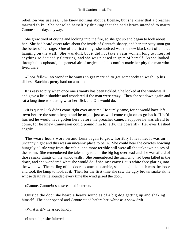rebellion was useless. She knew nothing about a license, but she knew that a preacher married folks. She consoled herself by thinking that she had always intended to marry Canute someday, anyway.

 She grew tired of crying and looking into the fire, so she got up and began to look about her. She had heard queer tales about the inside of Canute's shanty, and her curiosity soon got the better of her rage. One of the first things she noticed was the new black suit of clothes hanging on the wall. She was dull, but it did not take a vain woman long to interpret anything so decidedly flattering, and she was pleased in spite of herself. As she looked through the cupboard, the general air of neglect and discomfort made her pity the man who lived there.

 «Poor fellow, no wonder he wants to get married to get somebody to wash up his dishes. Batchin's pretty hard on a man.»

 It is easy to pity when once one's vanity has been tickled. She looked at the windowsill and gave a little shudder and wondered if the man were crazy. Then she sat down again and sat a long time wondering what her Dick and Ole would do.

 «It is queer Dick didn't come right over after me. He surely came, for he would have left town before the storm began and he might just as well come right on as go back. If he'd hurried he would have gotten here before the preacher came. I suppose he was afraid to come, for he knew Canuteson could pound him to jelly, the coward!» Her eyes flashed angrily.

 The weary hours wore on and Lena began to grow horribly lonesome. It was an uncanny night and this was an uncanny place to be in. She could hear the coyotes howling hungrily a little way from the cabin, and more terrible still were all the unknown noises of the storm. She remembered the tales they told of the big log overhead and she was afraid of those snaky things on the windowsills. She remembered the man who had been killed in the draw, and she wondered what she would do if she saw crazy Lou's white face glaring into the window. The rattling of the door became unbearable, she thought the latch must be loose and took the lamp to look at it. Then for the first time she saw the ugly brown snake skins whose death rattle sounded every time the wind jarred the door.

«Canute, Canute!» she screamed in terror.

 Outside the door she heard a heavy sound as of a big dog getting up and shaking himself. The door opened and Canute stood before her, white as a snow drift.

«What is it?» he asked kindly.

«I am cold,» she faltered.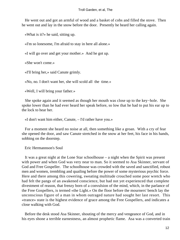He went out and got an armful of wood and a basket of cobs and filled the stove. Then he went out and lay in the snow before the door. Presently he heard her calling again.

«What is it?» he said, sitting up.

«I'm so lonesome, I'm afraid to stay in here all alone.»

«I will go over and get your mother.» And he got up.

«She won't come.»

«I'll bring her,» said Canute grimly.

«No, no. I don't want her, she will scold all the time.»

«Well, I will bring your father.»

 She spoke again and it seemed as though her mouth was close up to the key−hole. She spoke lower than he had ever heard her speak before, so low that he had to put his ear up to the lock to hear her.

«I don't want him either, Canute, – I'd rather have you.»

 For a moment she heard no noise at all, then something like a groan. With a cry of fear she opened the door, and saw Canute stretched in the snow at her feet, his face in his hands, sobbing on the doorstep.

Eric Hermannson's Soul

 It was a great night at the Lone Star schoolhouse – a night when the Spirit was present with power and when God was very near to man. So it seemed to Asa Skinner, servant of God and Free Gospeller. The schoolhouse was crowded with the saved and sanctified, robust men and women, trembling and quailing before the power of some mysterious psychic force. Here and there among this cowering, sweating multitude crouched some poor wretch who had felt the pangs of an awakened conscience, but had not yet experienced that complete divestment of reason, that frenzy born of a convulsion of the mind, which, in the parlance of the Free Gospellers, is termed «the Light.» On the floor before the mourners' bench lay the unconscious figure of a man in whom outraged nature had sought her last resort. This «trance» state is the highest evidence of grace among the Free Gospellers, and indicates a close walking with God.

 Before the desk stood Asa Skinner, shouting of the mercy and vengeance of God, and in his eyes shone a terrible earnestness, an almost prophetic flame. Asa was a converted train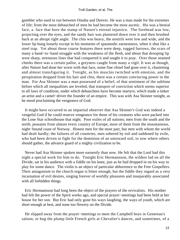gambler who used to run between Omaha and Denver. He was a man made for the extremes of life; from the most debauched of men he had become the most ascetic. His was a bestial face, a. face that bore the stamp of Nature's eternal injustice. The forehead was low, projecting over the eyes, and the sandy hair was plastered down over it and then brushed back at an abrupt right angle. The chin was heavy, the nostrils were low and wide, and the lower lip hung loosely except in his moments of spasmodic earnestness, when it shut like a steel trap. Yet about those coarse features there were deep, rugged furrows, the scars of many a hand−to−hand struggle with the weakness of the flesh, and about that drooping lip were sharp, strenuous lines that had conquered it and taught it to pray. Over those seamed cheeks there was a certain pallor, a greyness caught from many a vigil. It was as though, after Nature had done her worst with that face, some fine chisel had gone over it, chastening and almost transfiguring it. Tonight, as his muscles twitched with emotion, and the perspiration dropped from his hair and chin, there was a certain convincing power in the man. For Asa Skinner was a man possessed of a belief, of that sentiment of the sublime before which all inequalities are leveled, that transport of conviction which seems superior to all laws of condition, under which debauchees have become martyrs; which made a tinker an artist and a camel−driver the founder of an empire. This was with Asa Skinner tonight, as he stood proclaiming the vengeance of God.

 It might have occurred to an impartial observer that Asa Skinner's God was indeed a vengeful God if he could reserve vengeance for those of his creatures who were packed into the Lone Star schoolhouse that night. Poor exiles of all nations; men from the south and the north, peasants from almost every country of Europe, most of them from the mountainous, night−bound coast of Norway. Honest men for the most part, but men with whom the world had dealt hardly; the failures of all countries, men sobered by toil and saddened by exile, who had been driven to fight for the dominion of an untoward soil, to sow where others should gather, the advance guard of a mighty civilization to be.

 Never had Asa Skinner spoken more earnestly than now. He felt that the Lord had this night a special work for him to do. Tonight Eric Hermannson, the wildest lad on all the Divide, sat in his audience with a fiddle on his knee, just as he had dropped in on his way to play for some dance. The violin is an object of particular abhorrence to the Free Gospellers. Their antagonism to the church organ is bitter enough, but the fiddle they regard as a very incarnation of evil desires, singing forever of worldly pleasures and inseparably associated with all forbidden things.

 Eric Hermannson had long been the object of the prayers of the revivalists. His mother had felt the power of the Spirit weeks ago, and special prayer−meetings had been held at her house for her son. But Eric had only gone his ways laughing, the ways of youth, which are short enough at best, and none too flowery on the Divide.

 He slipped away from the prayer−meetings to meet the Campbell boys in Genereau's saloon, or hug the plump little French girls at Chevalier's dances, and sometimes, of a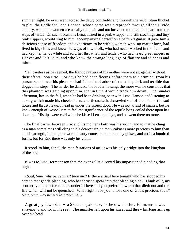summer night, he even went across the dewy cornfields and through the wild−plum thicket to play the fiddle for Lena Hanson, whose name was a reproach through all the Divide country, where the women are usually too plain and too busy and too tired to depart from the ways of virtue. On such occasions Lena, attired in a pink wrapper and silk stockings and tiny pink slippers, would sing to him, accompanying herself on a battered guitar. It gave him a delicious sense of freedom and experience to be with a woman who, no matter how, had lived in big cities and knew the ways of town folk, who had never worked in the fields and had kept her hands white and soft, her throat fair and tender, who had heard great singers in Denver and Salt Lake, and who knew the strange language of flattery and idleness and mirth.

 Yet, careless as he seemed, the frantic prayers of his mother were not altogether without their effect upon Eric. For days he had been fleeing before them as a criminal from his pursuers, and over his pleasures had fallen the shadow of something dark and terrible that dogged his steps. The harder he danced, the louder he sang, the more was he conscious that this phantom was gaining upon him, that in time it would track him down. One Sunday afternoon, late in the fall, when he had been drinking beer with Lena Hanson and listening to a song which made his cheeks burn, a rattlesnake had crawled out of the side of the sod house and thrust its ugly head in under the screen door. He was not afraid of snakes, but he knew enough of Gospellism to feel the significance of the reptile lying coiled there upon her doorstep. His lips were cold when he kissed Lena goodbye, and he went there no more.

 The final barrier between Eric and his mother's faith was his violin, and to that he clung as a man sometimes will cling to his dearest sin, to the weakness more precious to him than all his strength, In the great world beauty comes to men in many guises, and art in a hundred forms, but for Eric there was only his violin.

 It stood, to him, for all the manifestations of art; it was his only bridge into the kingdom of the soul.

 It was to Eric Hermannson that the evangelist directed his impassioned pleading that night.

 «*Saul, Saul, why persecutest thou me?* Is there a Saul here tonight who has stopped his ears to that gentle pleading, who has thrust a spear into that bleeding side? Think of it, my brother; you are offered this wonderful love and you prefer the worm that dieth not and the fire which will not be quenched. What right have you to lose one of God's precious souls? *Saul, Saul, why persecutest thou me?*»

 A great joy dawned in Asa Skinner's pale face, for he saw that Eric Hermannson was swaying to and fro in his seat. The minister fell upon his knees and threw his long arms up over his head.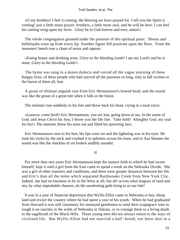«O my brothers! I feel it coming, the blessing we have prayed for. I tell you the Spirit is coming! just a little more prayer, brothers, a little more zeal, and he will be here. I can feel his cooling wing upon my brow. Glory be to God forever and ever, amen!»

 The whole congregation groaned under the pressure of this spiritual panic. Shouts and hallelujahs went up from every lip. Another figure fell prostrate upon the floor. From the mourners' bench rose a chant of terror and rapture:

 «Eating honey and drinking wine, *Glory to the bleeding Lamb!* I am my Lord's and he is mine, *Glory to the bleeding Lamb!»*

 The hymn was sung in a dozen dialects and voiced all the vague yearning of these hungry lives, of these people who had starved all the passions so long, only to fall victims to the barest of them all, fear.

 A groan of ultimate anguish rose from Eric Hermannson's bowed head, and the sound was like the groan of a great tree when it falls in the forest.

The minister rose suddenly to his feet and threw back his head, crying in a loud voice:

 «*Lazarus, come forth!* Eric Hermannson, you are lost, going down at sea. In the name of God, and Jesus Christ his Son, I throw you the life line. Take hold! Almighty God, my soul for his!» The minister threw his arms out and lifted his quivering face.

 Eric Hermannson rose to his feet; his lips were set and the lightning was in his eyes. He took his violin by the neck and crushed it to splinters across his knee, and to Asa Skinner the sound was like the shackles of sin broken audibly asunder.

*II*

 For more than two years Eric Hermannson kept the austere faith to which he had sworn himself, kept it until a girl from the East came to spend a week on the Nebraska Divide. She was a girl of other manners and conditions, and there were greater distances between her life and Eric's than all the miles which separated Rattlesnake Creek from New York City. Indeed, she had no business to be in the West at all; but ah! across what leagues of land and sea, by what improbable chances, do the unrelenting gods bring to us our fate!

 It was in a year of financial depression that Wyllis Elliot came to Nebraska to buy cheap land and revisit the country where he had spent a year of his youth. When he had graduated from Harvard it was still customary for moneyed gentlemen to send their scapegrace sons to rough it on ranches in the wilds of Nebraska or Dakota, or to consign them to a living death in the sagebrush of the Black Hills. These young men did not always return to the ways of civilized life. But Wyllis Elliot had not married a half−breed, nor been shot in a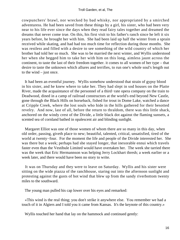cowpunchers' brawl, nor wrecked by bad whisky, nor appropriated by a smirched adventuress. He had been saved from these things by a girl, his sister, who had been very near to his life ever since the days when they read fairy tales together and dreamed the dreams that never come true. On this, his first visit to his father's ranch since he left it six years before, he brought her with him. She had been laid up half the winter from a sprain received while skating, and had had too much time for reflection during those months. She was restless and filled with a desire to see something of the wild country of which her brother had told her so much. She was to be married the next winter, and Wyllis understood her when she begged him to take her with him on this long, aimless jaunt across the continent, to taste the last of their freedom together. it comes to all women of her type – that desire to taste the unknown which allures and terrifies, to run one's whole soul's length out to the wind  $-$  just once.

 It had been an eventful journey. Wyllis somehow understood that strain of gypsy blood in his sister, and he knew where to take her. They had slept in sod houses on the Platte River, made the acquaintance of the personnel of a third−rate opera company on the train to Deadwood, dined in a camp of railroad constructors at the world's end beyond New Castle, gone through the Black Hills on horseback, fished for trout in Dome Lake, watched a dance at Cripple Creek, where the lost souls who hide in the hills gathered for their besotted revelry. And now, last of all, before the return to thraldom, there was this little shack, anchored on the windy crest of the Divide, a little black dot against the flaming sunsets, a scented sea of cornland bathed in opalescent air and blinding sunlight.

 Margaret Elliot was one of those women of whom there are so many in this day, when old order, passing, giveth place to new; beautiful, talented, critical, unsatisfied, tired of the world at twenty−four. For the moment the life and people of the Divide interested her. She was there but a week; perhaps had she stayed longer, that inexorable ennui which travels faster even than the Vestibule Limited would have overtaken her. The week she tarried there was the week that Eric Hermannson was helping Jerry Lockhart thresh; a week earlier or a week later, and there would have been no story to write.

 It was on Thursday and they were to leave on Saturday. Wyllis and his sister were sitting on the wide piazza of the ranchhouse, staring out into the afternoon sunlight and protesting against the gusts of hot wind that blew up from the sandy riverbottom twenty miles to the southward.

The young man pulled his cap lower over his eyes and remarked:

 «This wind is the real thing; you don't strike it anywhere else. You remember we had a touch of it in Algiers and I told you it came from Kansas. It's the keynote of this country.»

Wyllis touched her hand that lay on the hammock and continued gently: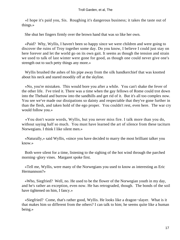«I hope it's paid you, Sis. Roughing it's dangerous business; it takes the taste out of things.»

She shut her fingers firmly over the brown hand that was so like her own.

 «Paid? Why, Wyllis, I haven't been so happy since we were children and were going to discover the ruins of Troy together some day. Do you know, I believe I could just stay on here forever and let the world go on its own gait. It seems as though the tension and strain we used to talk of last winter were gone for good, as though one could never give one's strength out to such petty things any more.»

 Wyllis brushed the ashes of his pipe away from the silk handkerchief that was knotted about his neck and stared moodily off at the skyline.

 «No, you're mistaken. This would bore you after a while. You can't shake the fever of the other life. I've tried it. There was a time when the gay fellows of Rome could trot down into the Thebaid and burrow into the sandhills and get rid of it. But it's all too complex now. You see we've made our dissipations so dainty and respectable that they've gone further in than the flesh, and taken hold of the ego proper. You couldn't rest, even here. The war cry would follow you.»

 «You don't waste words, Wyllis, but you never miss fire. I talk more than you do, without saying half so much. You must have learned the art of silence from these taciturn Norwegians. I think I like silent men.»

 «Naturally,» said Wyllis, «since you have decided to marry the most brilliant talker you know.»

 Both were silent for a time, listening to the sighing of the hot wind through the parched morning−glory vines. Margaret spoke first.

 «Tell me, Wyllis, were many of the Norwegians you used to know as interesting as Eric Hermannson?»

 «Who, Siegfried? Well, no. He used to be the flower of the Norwegian youth in my day, and he's rather an exception, even now. He has retrograded, though. The bonds of the soil have tightened on him, I fancy.»

 «Siegfried? Come, that's rather good, Wyllis. He looks like a dragon−slayer. What is it that makes him so different from the others? I can talk to him; he seems quite like a human being.»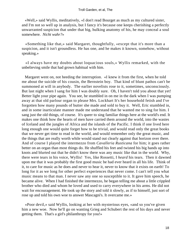#### Troll Garden, et al, The

 «Well,» said Wyllis, meditatively, «I don't read Bourget as much as my cultured sister, and I'm not so well up in analysis, but I fancy it's because one keeps cherishing a perfectly unwarranted suspicion that under that big, hulking anatomy of his, he may conceal a soul somewhere. *Nicht wahr?*»

 «Something like that,» said Margaret, thoughtfully, «except that it's more than a suspicion, and it isn't groundless. He has one, and he makes it known, somehow, without speaking.»

 «I always have my doubts about loquacious souls,» Wyllis remarked, with the unbelieving smile that had grown habitual with him.

 Margaret went on, not heeding the interruption. «I knew it from the first, when he told me about the suicide of his cousin, the Bernstein boy. That kind of blunt pathos can't be summoned at will in anybody. The earlier novelists rose to it, sometimes, unconsciously. But last night when I sang for him I was doubly sure. Oh, I haven't told you about that yet! Better light your pipe again. You see, he stumbled in on me in the dark when I was pumping away at that old parlour organ to please Mrs. Lockhart It's her household fetish and I've forgotten how many pounds of butter she made and sold to buy it. Well, Eric stumbled in, and in some inarticulate manner made me understand that he wanted me to sing for him. I sang just the old things, of course. It's queer to sing familiar things here at the world's end. It makes one think how the hearts of men have carried them around the world, into the wastes of Iceland and the jungles of Africa and the islands of the Pacific. I think if one lived here long enough one would quite forget how to be trivial, and would read only the great books that we never get time to read in the world, and would remember only the great music, and the things that are really worth while would stand out clearly against that horizon over there. And of course I played the intermezzo from *Cavalleria Rusticana* for him; it goes rather better on an organ than most things do. He shuffled his feet and twisted his big hands up into knots and blurted out that he didn't know there was any music like that in the world. Why, there were tears in his voice, Wyllis! Yes, like Rossetti, I *heard* his tears. Then it dawned upon me that it was probably the first good music be had ever heard in all his life. Think of it, to care for music as he does and never to hear it, never to know that it exists on earth! To long for it as we long for other perfect experiences that never come. I can't tell you what music means to that man. I never saw any one so susceptible to it. It gave him speech, he became alive. When I had finished the intermezzo, he began telling me about a little crippled brother who died and whom he loved and used to carry everywhere in his arms. He did not wait for encouragement. He took up the story and told it slowly, as if to himself, just sort of rose up and told his own woe to answer Mascagni's. It overcame me.»

 «Poor devil,» said Wyllis, looking at her with mysterious eyes, «and so you've given him a new woe. Now he'll go on wanting Grieg and Schubert the rest of his days and never getting them. That's a girl's philanthropy for you!»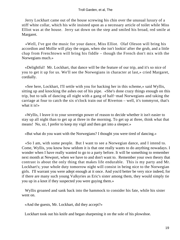#### Troll Garden, et al, The

 Jerry Lockhart came out of the house screwing his chin over the unusual luxury of a stiff white collar, which his wife insisted upon as a necessary article of toilet while Miss Elliot was at the house. Jerry sat down on the step and smiled his broad, red smile at Margaret.

 «Well, I've got the music for your dance, Miss Elliot. Olaf Oleson will bring his accordion and Mollie will play the organ, when she isn't lookin' after the grub, and a little chap from Frenchtown will bring his fiddle – though the French don't mix with the Norwegians much.»

 «Delightful! Mr. Lockhart, that dance will be the feature of our trip, and it's so nice of you to get it up for us. We'll see the Norwegians in character at last,» cried Margaret, cordially.

 «See here, Lockhart, I'll settle with you for backing her in this scheme,» said Wyllis, sitting up and knocking the ashes out of his pipe. «She's done crazy things enough on this trip, but to talk of dancing all night with a gang of half−mad Norwegians and taking the carriage at four to catch the six o'clock train out of Riverton – well, it's tommyrot, that's what it is!»

 «Wyllis, I leave it to your sovereign power of reason to decide whether it isn't easier to stay up all night than to get up at three in the morning. To get up at three, think what that means! No, sir, I prefer to keep my vigil and then get into a sleeper.»

«But what do you want with the Norwegians? I thought you were tired of dancing.»

 «So I am, with some people. But I want to see a Norwegian dance, and I intend to. Come, Wyllis, you know how seldom it is that one really wants to do anything nowadays. I wonder when I have really wanted to go to a party before. It will be something to remember next month at Newport, when we have to and don't want to. Remember your own theory that contrast is about the only thing that makes life endurable. This is my party and Mr. Lockhart's; your whole duty tomorrow night will consist in being nice to the Norwegian girls. I'll warrant you were adept enough at it once. And you'd better be very nice indeed, for if there are many such young Valkyries as Eric's sister among them, they would simply tie you up in a knot if they suspected you were guying them.»

 Wyllis groaned and sank back into the hammock to consider his fate, while his sister went on.

«And the guests, Mr. Lockhart, did they accept?»

Lockhart took out his knife and began sharpening it on the sole of his plowshoe.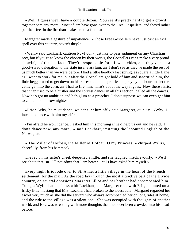«Well, I guess we'll have a couple dozen. You see it's pretty hard to get a crowd together here any more. Most of 'em have gone over to the Free Gospellers, and they'd rather put their feet in the fire than shake 'em to a fiddle.»

 Margaret made a gesture of impatience. «Those Free Gospellers have just cast an evil spell over this country, haven't they?»

 «Well,» said Lockhart, cautiously, «I don't just like to pass judgment on any Christian sect, but if you're to know the chosen by their works, the Gospellers can't make a very proud showin', an' that's a fact. They're responsible for a few suicides, and they've sent a good−sized delegation to the state insane asylum, an' I don't see as they've made the rest of us much better than we were before. I had a little herdboy last spring, as square a little Dane as I want to work for me, but after the Gospellers got hold of him and sanctified him, the little beggar used to get down on his knees out on the prairie and pray by the hour and let the cattle get into the corn, an' I had to fire him. That's about the way it goes. Now there's Eric; that chap used to be a hustler and the spryest dancer in all this section−called all the dances. Now he's got no ambition and he's glum as a preacher. I don't suppose we can even get him to come in tomorrow night.»

 «Eric? Why, he must dance, we can't let him off,» said Margaret, quickly. «Why, I intend to dance with him myself.»

 «I'm afraid he won't dance. I asked him this morning if he'd help us out and he said, 'I don't dance now, any more,' » said Lockhart, imitating the laboured English of the Norwegian.

 «'The Miller of Hofbau, the Miller of Hofbau, O my Princess!'» chirped Wyllis, cheerfully, from his hammock.

 The red on his sister's cheek deepened a little, and she laughed mischievously. «We'll see about that, sir. I'll not admit that I am beaten until I have asked him myself.»

 Every night Eric rode over to St. Anne, a little village in the heart of the French settlement, for the mail. As the road lay through the most attractive part of the Divide country, on several occasions Margaret Elliot and her brother had accompanied him. Tonight Wyllis had business with Lockhart, and Margaret rode with Eric, mounted on a frisky little mustang that Mrs. Lockhart had broken to the sidesaddle. Margaret regarded her escort very much as she did the servant who always accompanied her on long rides at home, and the ride to the village was a silent one. She was occupied with thoughts of another world, and Eric was wrestling with more thoughts than had ever been crowded into his head before.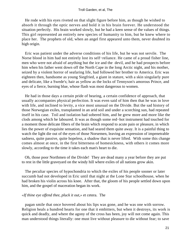He rode with his eyes riveted on that slight figure before him, as though he wished to absorb it through the optic nerves and hold it in his brain forever. He understood the situation perfectly. His brain worked slowly, but he had a keen sense of the values of things. This girl represented an entirely new species of humanity to him, but he knew where to place her. The prophets of old, when an angel first appeared unto them, never doubted its high origin.

 Eric was patient under the adverse conditions of his life, but he was not servile. The Norse blood in him had not entirely lost its self−reliance. He came of a proud fisher line, men who were not afraid of anything but the ice and the devil, and he had prospects before him when his father went down off the North Cape in the long Arctic night, and his mother, seized by a violent horror of seafaring life, had followed her brother to America. Eric was eighteen then, handsome as young Siegfried, a giant in stature, with a skin singularly pure and delicate, like a Swede's; hair as yellow as the locks of Tennyson's amorous Prince, and eyes of a fierce, burning blue, whose flash was most dangerous to women.

 He had in those days a certain pride of bearing, a certain confidence of approach, that usually accompanies physical perfection. It was even said of him then that he was in love with life, and inclined to levity, a vice most unusual on the Divide. But the sad history of those Norwegian exiles, transplanted in an arid soil and under a scorching sun, had repeated itself in his case. Toil and isolation had sobered him, and he grew more and more like the clods among which he laboured. It was as though some red−hot instrument had touched for a moment those delicate fibers of the brain which respond to acute pain or pleasure, in which lies the power of exquisite sensation, and had seared them quite away. It is a painful thing to watch the light die out of the eyes of those Norsemen, leaving an expression of impenetrable sadness, quite passive, quite hopeless, a shadow that is never lifted. With some this change comes almost at once, in the first bitterness of homesickness, with others it comes more slowly, according to the time it takes each man's heart to die.

 Oh, those poor Northmen of the Divide! They are dead many a year before they are put to rest in the little graveyard on the windy hill where exiles of all nations grow akin.

 The peculiar species of hypochondria to which the exiles of his people sooner or later succumb had not developed in Eric until that night at the Lone Star schoolhouse, when he had broken his violin across his knee. After that, the gloom of his people settled down upon him, and the gospel of maceration began its work.

## *«If thine eye offend thee, pluck it out,»* et cetera. The

 pagan smile that once hovered about his lips was gone, and he was one with sorrow. Religion heals a hundred hearts for one that it embitters, but when it destroys, its work is quick and deadly, and where the agony of the cross has been, joy will not come again. This man understood things literally: one must live without pleasure to die without fear; to save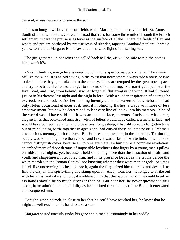the soul, it was necessary to starve the soul.

 The sun hung low above the cornfields when Margaret and her cavalier left St. Anne. South of the town there is a stretch of road that runs for some three miles through the French settlement, where the prairie is as level as the surface of a lake. There the fields of flax and wheat and rye are bordered by precise rows of slender, tapering Lombard poplars. It was a yellow world that Margaret Elliot saw under the wide light of the setting sun.

 The girl gathered up her reins and called back to Eric, «It will be safe to run the horses here, won't it?»

 «Yes, I think so, now,» he answered, touching his spur to his pony's flank. They were off like the wind. It is an old saying in the West that newcomers always ride a horse or two to death before they get broken in to the country. They are tempted by the great open spaces and try to outride the horizon, to get to the end of something. Margaret galloped over the level road, and Eric, from behind, saw her long veil fluttering in the wind. It had fluttered just so in his dreams last night and the night before. With a sudden inspiration of courage he overtook her and rode beside her, looking intently at her half−averted face. Before, he had only stolen occasional glances at it, seen it in blinding flashes, always with more or less embarrassment, but now he determined to let every line of it sink into his memory. Men of the world would have said that it was an unusual face, nervous, finely cut, with clear, elegant lines that betokened ancestry. Men of letters would have called it a historic face, and would have conjectured at what old passions, long asleep, what old sorrows forgotten time out of mind, doing battle together in ages gone, had curved those delicate nostrils, left their unconscious memory in those eyes. But Eric read no meaning in these details. To him this beauty was something more than colour and line; it was a flash of white light, in which one cannot distinguish colour because all colours are there. To him it was a complete revelation, an embodiment of those dreams of impossible loveliness that linger by a young man's pillow on midsummer nights; yet, because it held something more than the attraction of health and youth and shapeliness, it troubled him, and in its presence he felt as the Goths before the white marbles in the Roman Capitol, not knowing whether they were men or gods. At times he felt like uncovering his head before it, again the fury seized him to break and despoil, to find the clay in this spirit−thing and stamp upon it. Away from her, he longed to strike out with his arms, and take and hold; it maddened him that this woman whom he could break in his hands should be so much stronger than he. But near her, he never questioned this strength; he admitted its potentiality as he admitted the miracles of the Bible; it enervated and conquered him.

 Tonight, when he rode so close to her that he could have touched her, he knew that he might as well reach out his hand to take a star.

Margaret stirred uneasily under his gaze and turned questioningly in her saddle.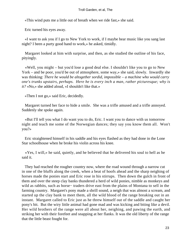«This wind puts me a little out of breath when we ride fast,» she said.

Eric turned his eyes away.

 «I want to ask you if I go to New York to work, if I maybe hear music like you sang last night? I been a purty good hand to work,» he asked, timidly.

 Margaret looked at him with surprise, and then, as she studied the outline of his face, pityingly.

 «Well, you might – but you'd lose a good deal else. I shouldn't like you to go to New York – and be poor, you'd be out of atmosphere, some way,» she said, slowly. Inwardly she was thinking: *There he would be altogether sordid, impossible – a machine who would carry one's trunks upstairs, perhaps. Here he is every inch a man, rather picturesque; why is it?* «No,» she added aloud, «I shouldn't like that.»

«Then I not go,» said Eric, decidedly.

 Margaret turned her face to hide a smile. She was a trifle amused and a trifle annoyed. Suddenly she spoke again.

 «But I'll tell you what I do want you to do, Eric. I want you to dance with us tomorrow night and teach me some of the Norwegian dances; they say you know them all. Won't you?»

 Eric straightened himself in his saddle and his eyes flashed as they had done in the Lone Star schoolhouse when he broke his violin across his knee.

 «Yes, I will,» he said, quietly, and he believed that he delivered his soul to hell as he said it.

 They had reached the rougher country now, where the road wound through a narrow cut in one of the bluffs along the creek, when a beat of hoofs ahead and the sharp neighing of horses made the ponies start and Eric rose in his stirrups. Then down the gulch in front of them and over the steep clay banks thundered a herd of wild ponies, nimble as monkeys and wild as rabbits, such as horse− traders drive east from the plains of Montana to sell in the farming country. Margaret's pony made a shrill sound, a neigh that was almost a scream, and started up the clay bank to meet them, all the wild blood of the range breaking out in an instant. Margaret called to Eric just as he threw himself out of the saddle and caught her pony's bit. But the wiry little animal had gone mad and was kicking and biting like a devil. Her wild brothers of the range were all about her, neighing, and pawing the earth, and striking her with their forefeet and snapping at her flanks. It was the old liberty of the range that the little beast fought for.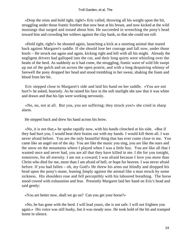«Drop the reins and hold tight, tight!» Eric called, throwing all his weight upon the bit, struggling under those frantic forefeet that now beat at his breast, and now kicked at the wild mustangs that surged and tossed about him. He succeeded in wrenching the pony's head toward him and crowding her withers against the clay bank, so that she could not roll.

 «Hold tight, tight!» he shouted again, launching a kick at a snorting animal that reared back against Margaret's saddle. If she should lose her courage and fall now, under those hoofs – He struck out again and again, kicking right and left with all his might. Already the negligent drivers had galloped into the cut, and their long quirts were whistling over the heads of the herd. As suddenly as it had come, the struggling, frantic wave of wild life swept up out of the gulch and on across the open prairie, and with a long despairing whinny of farewell the pony dropped her head and stood trembling in her sweat, shaking the foam and blood from her bit.

 Eric stepped close to Margaret's side and laid his hand on her saddle. «You are not hurt?» he asked, hoarsely. As he raised his face in the soft starlight she saw that it was white and drawn and that his lips were working nervously.

 «No, no, not at all. But you, you are suffering; they struck you!» she cried in sharp alarm.

He stepped back and drew his hand across his brow.

 «No, it is not that,» he spoke rapidly now, with his hands clenched at his side. «But if they had hurt you, I would beat their brains out with my hands. I would kill them all. I was never afraid before. You are the only beautiful thing that has ever come close to me. You came like an angel out of the sky. You are like the music you sing, you are like the stars and the snow on the mountains where I played when I was a little boy. You are like all that I wanted once and never had, you are all that they have killed in me. I die for you tonight, tomorrow, for all eternity. I am not a coward; I was afraid because I love you more than Christ who died for me, more than I am afraid of hell, or hope for heaven. I was never afraid before. If you had fallen – oh, my God!» He threw his arms out blindly and dropped his head upon the pony's mane, leaning limply against the animal like a man struck by some sickness. His shoulders rose and fell perceptibly with his laboured breathing. The horse stood cowed with exhaustion and fear. Presently Margaret laid her hand on Eric's head and said gently:

«You are better now, shall we go on? Can you get your horse?»

 «No, he has gone with the herd. I will lead yours, she is not safe. I will not frighten you again.» His voice was still husky, but it was steady now. He took hold of the bit and tramped home in silence.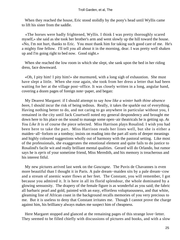When they reached the house, Eric stood stolidly by the pony's head until Wyllis came to lift his sister from the saddle.

 «The horses were badly frightened, Wyllis. I think I was pretty thoroughly scared myself,» she said as she took her brother's arm and went slowly up the hill toward the house. «No, I'm not hurt, thanks to Eric. You must thank him for taking such good care of me. He's a mighty fine fellow. I'll tell you all about it in the morning, dear. I was pretty well shaken up and I'm going right to bed now. Good night.»

When she reached the low room in which she slept, she sank upon the bed in her riding dress, face downward.

 «Oh, I pity him! I pity him!» she murmured, with a long sigh of exhaustion. She must have slept a little. When she rose again, she took from her dress a letter that had been waiting for her at the village post−office. It was closely written in a long, angular hand, covering a dozen pages of foreign note−paper, and began:

 My Dearest Margaret: if I should attempt to say *how like a winter hath thine absence been*, I should incur the risk of being tedious. Really, it takes the sparkle out of everything. Having nothing better to do, and not caring to go anywhere in particular without you, I remained in the city until Jack Courtwell noted my general despondency and brought me down here to his place on the sound to manage some open−air theatricals he is getting up. *As You Like It* is of course the piece selected. Miss Harrison plays Rosalind. I wish you had been here to take the part. Miss Harrison reads her lines well, but she is either a maiden−all−forlorn or a tomboy; insists on reading into the part all sorts of deeper meanings and highly coloured suggestions wholly out of harmony with the pastoral setting. Like most of the professionals, she exaggerates the emotional element and quite fails to do justice to Rosalind's facile wit and really brilliant mental qualities. Gerard will do Orlando, but rumor says he is *epris* of your sometime friend, Miss Meredith, and his memory is treacherous and his interest fitful.

 My new pictures arrived last week on the *Gascogne*. The Puvis de Chavannes is even more beautiful than I thought it in Paris. A pale dream−maiden sits by a pale dream−cow and a stream of anemic water flows at her feet. The Constant, you will remember, I got because you admired it. It is here in all its florid splendour, the whole dominated by a glowing sensuosity. The drapery of the female figure is as wonderful as you said; the fabric all barbaric pearl and gold, painted with an easy, effortless voluptuousness, and that white, gleaming line of African coast in the background recalls memories of you very precious to me. But it is useless to deny that Constant irritates me. Though I cannot prove the charge against him, his brilliancy always makes me suspect him of cheapness.

 Here Margaret stopped and glanced at the remaining pages of this strange love−letter. They seemed to be filled chiefly with discussions of pictures and books, and with a slow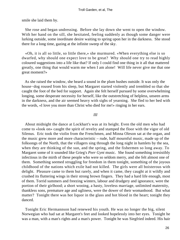#### Troll Garden, et al, The

smile she laid them by.

 She rose and began undressing. Before she lay down she went to open the window. With her hand on the sill, she hesitated, feeling suddenly as though some danger were lurking outside, some inordinate desire waiting to spring upon her in the darkness. She stood there for a long time, gazing at the infinite sweep of the sky.

 «Oh, it is all so little, so little there,» she murmured. «When everything else is so dwarfed, why should one expect love to be great? Why should one try to read highly coloured suggestions into a life like that? If only I could find one thing in it all that mattered greatly, one thing that would warm me when I am alone! Will life never give me that one great moment?»

 As she raised the window, she heard a sound in the plum bushes outside. It was only the house−dog roused from his sleep, but Margaret started violently and trembled so that she caught the foot of the bed for support. Again she felt herself pursued by some overwhelming longing, some desperate necessity for herself, like the outstretching of helpless, unseen arms in the darkness, and the air seemed heavy with sighs of yearning. She fled to her bed with the words, «I love you more than Christ who died for me!» ringing in her ears.

## *III*

 About midnight the dance at Lockhart's was at its height. Even the old men who had come to «look on» caught the spirit of revelry and stamped the floor with the vigor of old Silenus. Eric took the violin from the Frenchmen, and Minna Oleson sat at the organ, and the music grew more and more characteristic – rude, half mournful music, made up of the folksongs of the North, that the villagers sing through the long night in hamlets by the sea, when they are thinking of the sun, and the spring, and the fishermen so long away. To Margaret some of it sounded like Grieg's *Peer Gynt* music. She found something irresistibly infectious in the mirth of these people who were so seldom merry, and she felt almost one of them. Something seemed struggling for freedom in them tonight, something of the joyous childhood of the nations which exile had not killed. The girls were all boisterous with delight. Pleasure came to them but rarely, and when it came, they caught at it wildly and crushed its fluttering wings in their strong brown fingers. They had a hard life enough, most of them. Torrid summers and freezing winters, labour and drudgery and ignorance, were the portion of their girlhood; a short wooing, a hasty, loveless marriage, unlimited maternity, thankless sons, premature age and ugliness, were the dower of their womanhood. But what matter? Tonight there was hot liquor in the glass and hot blood in the heart; tonight they danced.

 Tonight Eric Hermannson had renewed his youth. He was no longer the big, silent Norwegian who had sat at Margaret's feet and looked hopelessly into her eyes. Tonight he was a man, with a man's rights and a man's power. Tonight he was Siegfried indeed. His hair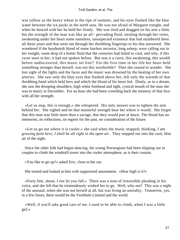was yellow as the heavy wheat in the ripe of summer, and his eyes flashed like the blue water between the ice packs in the north seas. He was not afraid of Margaret tonight, and when he danced with her he held her firmly. She was tired and dragged on his arm a little, but the strength of the man was like an all− pervading fluid, stealing through her veins, awakening under her heart some nameless, unsuspected existence that had slumbered there all these years and that went out through her throbbing fingertips to his that answered. She wondered if the hoydenish blood of some lawless ancestor, long asleep, were calling out in her tonight, some drop of a hotter fluid that the centuries had failed to cool, and why, if this curse were in her, it had not spoken before. But was it a curse, this awakening, this wealth before undiscovered, this music set free? For the first time in her life her heart held something stronger than herself, was not this worthwhile? Then she ceased to wonder. She lost sight of the lights and the faces and the music was drowned by the beating of her own arteries. She saw only the blue eyes that flashed above her, felt only the warmth of that throbbing hand which held hers and which the blood of his heart fed. Dimly, as in a dream, she saw the drooping shoulders, high white forehead and tight, cynical mouth of the man she was to marry in December. For an hour she had been crowding back the memory of that face with all her strength.

 «Let us stop, this is enough,» she whispered. His only answer was to tighten the arm behind her. She sighed and let that masterful strength bear her where it would. She forgot that this man was little more than a savage, that they would part at dawn. The blood has no memories, no reflections, no regrets for the past, no consideration of the future.

 «Let us go out where it is cooler,» she said when the music stopped; thinking, *I am growing faint here, I shall be all right in the open air*. They stepped out into the cool, blue air of the night.

 Since the older folk had begun dancing, the young Norwegians had been slipping out in couples to climb the windmill tower into the cooler atmosphere, as is their custom.

«You like to go up?» asked Eric, close to her ear.

She turned and looked at him with suppressed amusement. «How high is it?»

 «Forty feet, about. I not let you fall.» There was a note of irresistible pleading in his voice, and she felt that he tremendously wished her to go. Well, why not? This was a night of the unusual, when she was not herself at all, but was living an unreality. Tomorrow, yes, in a few hours, there would be the Vestibule Limited and the world.

 «Well, if you'll take good care of me. I used to be able to climb, when I was a little girl.»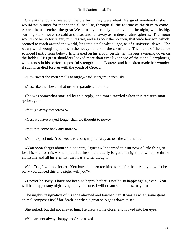Once at the top and seated on the platform, they were silent. Margaret wondered if she would not hunger for that scene all her life, through all the routine of the days to come. Above them stretched the great Western sky, serenely blue, even in the night, with its big, burning stars, never so cold and dead and far away as in denser atmospheres. The moon would not be up for twenty minutes yet, and all about the horizon, that wide horizon, which seemed to reach around the world, lingered a pale white light, as of a universal dawn. The weary wind brought up to them the heavy odours of the cornfields. The music of the dance sounded faintly from below. Eric leaned on his elbow beside her, his legs swinging down on the ladder. His great shoulders looked more than ever like those of the stone Doryphorus, who stands in his perfect, reposeful strength in the Louvre, and had often made her wonder if such men died forever with the youth of Greece.

«How sweet the corn smells at night,» said Margaret nervously.

«Yes, like the flowers that grow in paradise, I think.»

 She was somewhat startled by this reply, and more startled when this taciturn man spoke again.

«You go away tomorrow?»

«Yes, we have stayed longer than we thought to now.»

«You not come back any more?»

«No, I expect not. You see, it is a long trip halfway across the continent.»

 «You soon forget about this country, I guess.» It seemed to him now a little thing to lose his soul for this woman, but that she should utterly forget this night into which he threw all his life and all his eternity, that was a bitter thought.

 «No, Eric, I will not forget. You have all been too kind to me for that. And you won't be sorry you danced this one night, will you?»

 «I never be sorry. I have not been so happy before. I not be so happy again, ever. You will be happy many nights yet, I only this one. I will dream sometimes, maybe.»

 The mighty resignation of his tone alarmed and touched her. It was as when some great animal composes itself for death, as when a great ship goes down at sea.

She sighed, but did not answer him. He drew a little closer and looked into her eyes.

«You are not always happy, too?» he asked.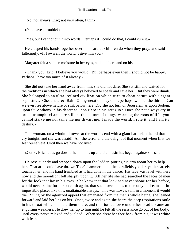«No, not always, Eric; not very often, I think.»

«You have a trouble?»

«Yes, but I cannot put it into words. Perhaps if I could do that, I could cure it.»

 He clasped his hands together over his heart, as children do when they pray, and said falteringly, «If I own all the world, I give him you.»

Margaret felt a sudden moisture in her eyes, and laid her hand on his.

 «Thank you, Eric; I believe you would. But perhaps even then I should not be happy. Perhaps I have too much of it already.»

 She did not take her hand away from him; she did not dare. She sat still and waited for the traditions in which she had always believed to speak and save her. But they were dumb. She belonged to an ultra−refined civilization which tries to cheat nature with elegant sophistries. Cheat nature? Bah! One generation may do it, perhaps two, but the third – Can we ever rise above nature or sink below her? Did she not turn on Jerusalem as upon Sodom, upon St. Anthony in his desert as upon Nero in his seraglio? Does she not always cry in brutal triumph: «I am here still, at the bottom of things, warming the roots of life; you cannot starve me nor tame me nor thwart me; I made the world, I rule it, and I am its destiny.»

 This woman, on a windmill tower at the world's end with a giant barbarian, heard that cry tonight, and she was afraid! Ah! the terror and the delight of that moment when first we fear ourselves! Until then we have not lived.

«Come, Eric, let us go down; the moon is up and the music has begun again,» she said.

 He rose silently and stepped down upon the ladder, putting his arm about her to help her. That arm could have thrown Thor's hammer out in the cornfields yonder, yet it scarcely touched her, and his hand trembled as it had done in the dance. His face was level with hers now and the moonlight fell sharply upon it. All her life she had searched the faces of men for the look that lay in his eyes. She knew that that look had never shone for her before, would never shine for her on earth again, that such love comes to one only in dreams or in impossible places like this, unattainable always. This was Love's self, in a moment it would die. Stung by the agonized appeal that emanated from the man's whole being, she leaned forward and laid her lips on his. Once, twice and again she heard the deep respirations rattle in his throat while she held them there, and the riotous force under her head became an engulfing weakness. He drew her up to him until he felt all the resistance go out of her body, until every nerve relaxed and yielded. When she drew her face back from his, it was white with fear.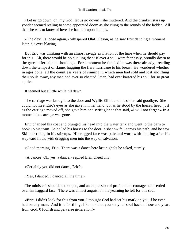«Let us go down, oh, my God! let us go down!» she muttered. And the drunken stars up yonder seemed reeling to some appointed doom as she clung to the rounds of the ladder. All that she was to know of love she had left upon his lips.

 «The devil is loose again,» whispered Olaf Oleson, as he saw Eric dancing a moment later, his eyes blazing.

 But Eric was thinking with an almost savage exultation of the time when he should pay for this. Ah, there would be no quailing then! if ever a soul went fearlessly, proudly down to the gates infernal, his should go. For a moment he fancied he was there already, treading down the tempest of flame, hugging the fiery hurricane to his breast. He wondered whether in ages gone, all the countless years of sinning in which men had sold and lost and flung their souls away, any man had ever so cheated Satan, had ever bartered his soul for so great a price.

It seemed but a little while till dawn.

 The carriage was brought to the door and Wyllis Elliot and his sister said goodbye. She could not meet Eric's eyes as she gave him her hand, but as he stood by the horse's head, just as the carriage moved off, she gave him one swift glance that said, «I will not forget.» In a moment the carriage was gone.

 Eric changed his coat and plunged his head into the water tank and went to the barn to hook up his team. As he led his horses to the door, a shadow fell across his path, and he saw Skinner rising in his stirrups. His rugged face was pale and worn with looking after his wayward flock, with dragging men into the way of salvation.

«Good morning, Eric. There was a dance here last night?» he asked, sternly.

«A dance? Oh, yes, a dance,» replied Eric, cheerfully.

«Certainly you did not dance, Eric?»

«Yes, I danced. I danced all the time.»

 The minister's shoulders drooped, and an expression of profound discouragement settled over his haggard face. There was almost anguish in the yearning he felt for this soul.

 «Eric, I didn't look for this from you. I thought God had set his mark on you if he ever had on any man. And it is for things like this that you set your soul back a thousand years from God. 0 foolish and perverse generation!»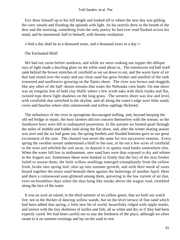Eric drew himself up to his full height and looked off to where the new day was gilding the corn−tassels and flooding the uplands with light. As his nostrils drew in the breath of the dew and the morning, something from the only poetry he had ever read flashed across his mind, and he murmured, half to himself, with dreamy exultation:

«'And a day shall be as a thousand years, and a thousand years as a day.'»

# The Enchanted Bluff

We had our swim before sundown, and while we were cooking our supper the oblique rays of light made a dazzling glare on the white sand about us. The translucent red ball itself sank behind the brown stretches of cornfield as we sat down to eat, and the warm layer of air that had rested over the water and our clean sand bar grew fresher and smelled of the rank ironweed and sunflowers growing on the flatter shore. The river was brown and sluggish, like any other of the half−dozen streams that water the Nebraska corn lands. On one shore was an irregular line of bald clay bluffs where a few scrub oaks with thick trunks and flat, twisted tops threw light shadows on the long grass. The western shore was low and level, with cornfields that stretched to the skyline, and all along the water's edge were little sandy coves and beaches where slim cottonwoods and willow saplings flickered.

 The turbulence of the river in springtime discouraged milling, and, beyond keeping the old red bridge in repair, the busy farmers did not concern themselves with the stream; so the Sandtown boys were left in undisputed possession. In the autumn we hunted quail through the miles of stubble and fodder land along the flat shore, and, after the winter skating season was over and the ice had gone out, the spring freshets and flooded bottoms gave us our great excitement of the year. The channel was never the same for two successive seasons. Every spring the swollen stream undermined a bluff to the east, or bit out a few acres of cornfield to the west and whirled the soil away, to deposit it in spumy mud banks somewhere else. When the water fell low in midsummer, new sand bars were thus exposed to dry and whiten in the August sun. Sometimes these were banked so firmly that the fury of the next freshet failed to unseat them; the little willow seedlings emerged triumphantly from the yellow froth, broke into spring leaf, shot up into summer growth, and with their mesh of roots bound together the moist sand beneath them against the batterings of another April. Here and there a cottonwood soon glittered among them, quivering in the low current of air that, even on breathless days when the dust hung like smoke above the wagon road, trembled along the face of the water.

 It was on such an island, in the third summer of its yellow green, that we built our watch fire; not in the thicket of dancing willow wands, but on the level terrace of fine sand which had been added that spring; a little new bit of world, beautifully ridged with ripple marks, and strewn with the tiny skeletons of turtles and fish, all as white and dry as if they had been expertly cured. We had been careful not to mar the freshness of the place, although we often swam to it on summer evenings and lay on the sand to rest.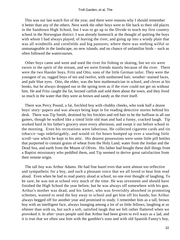This was our last watch fire of the year, and there were reasons why I should remember it better than any of the others. Next week the other boys were to file back to their old places in the Sandtown High School, but I was to go up to the Divide to teach my first country school in the Norwegian district. I was already homesick at the thought of quitting the boys with whom I had always played; of leaving the river, and going up into a windy plain that was all windmills and cornfields and big pastures; where there was nothing wilful or unmanageable in the landscape, no new islands, and no chance of unfamiliar birds – such as often followed the watercourses.

 Other boys came and went and used the river for fishing or skating, but we six were sworn to the spirit of the stream, and we were friends mainly because of the river. There were the two Hassler boys, Fritz and Otto, sons of the little German tailor. They were the youngest of us; ragged boys of ten and twelve, with sunburned hair, weather−stained faces, and pale blue eyes. Otto, the elder, was the best mathematician in school, and clever at his books, but he always dropped out in the spring term as if the river could not get on without him. He and Fritz caught the fat, horned catfish and sold them about the town, and they lived so much in the water that they were as brown and sandy as the river itself.

 There was Percy Pound, a fat, freckled boy with chubby cheeks, who took half a dozen boys' story−papers and was always being kept in for reading detective stories behind his desk. There was Tip Smith, destined by his freckles and red hair to be the buffoon in all our games, though he walked like a timid little old man and had a funny, cracked laugh. Tip worked hard in his father's grocery store every afternoon, and swept it out before school in the morning. Even his recreations were laborious. He collected cigarette cards and tin tobacco−tags indefatigably, and would sit for hours humped up over a snarling little scroll−saw which he kept in his attic. His dearest possessions were some little pill bottles that purported to contain grains of wheat from the Holy Land, water from the Jordan and the Dead Sea, and earth from the Mount of Olives. His father had bought these dull things from a Baptist missionary who peddled them, and Tip seemed to derive great satisfaction from their remote origin.

 The tall boy was Arthur Adams. He had fine hazel eves that were almost too reflective and sympathetic for a boy, and such a pleasant voice that we all loved to hear him read aloud. Even when he had to read poetry aloud at school, no one ever thought of laughing. To be sure, he was not at school very much of the time. He was seventeen and should have finished the High School the year before, but he was always off somewhere with his gun. Arthur's mother was dead, and his father, who was feverishly absorbed in promoting schemes, wanted to send the boy away to school and get him off his hands; but Arthur always begged off for another year and promised to study. I remember him as a tall, brown boy with an intelligent face, always lounging among a lot of us little fellows, laughing at us oftener than with us, but such a soft, satisfied laugh that we felt rather flattered when we provoked it. In after−years people said that Arthur had been given to evil ways as a ]ad, and it is true that we often saw him with the gambler's sons and with old Spanish Fanny's boy,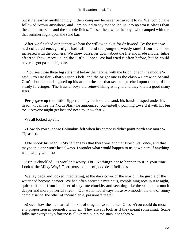but if he learned anything ugly in their company he never betrayed it to us. We would have followed Arthur anywhere, and I am bound to say that he led us into no worse places than the cattail marshes and the stubble fields. These, then, were the boys who camped with me that summer night upon the sand bar.

 After we finished our supper we beat the willow thicket for driftwood. By the time we had collected enough, night had fallen, and the pungent, weedy smell from the shore increased with the coolness. We threw ourselves down about the fire and made another futile effort to show Percy Pound the Little Dipper. We had tried it often before, but he could never be got past the big one.

 «You see those three big stars just below the handle, with the bright one in the middle?» said Otto Hassler; «that's Orion's belt, and the bright one is the clasp.» I crawled behind Otto's shoulder and sighted up his arm to the star that seemed perched upon the tip of his steady forefinger. The Hassler boys did seine−fishing at night, and they knew a good many stars.

 Percy gave up the Little Dipper and lay back on the sand, his hands clasped under his head. «I can see the North Star,» he announced, contentedly, pointing toward it with his big toe. «Anyone might get lost and need to know that.»

We all looked up at it.

 «How do you suppose Columbus felt when his compass didn't point north any more?» Tip asked.

 Otto shook his head. «My father says that there was another North Star once, and that maybe this one won't last always. I wonder what would happen to us down here if anything went wrong with it?»

 Arthur chuckled. «I wouldn't worry, Ott. Nothing's apt to happen to it in your time. Look at the Milky Way! There must be lots of good dead Indians.»

 We lay back and looked, meditating, at the dark cover of the world. The gurgle of the water had become heavier. We had often noticed a mutinous, complaining note in it at night, quite different from its cheerful daytime chuckle, and seeming like the voice of a much deeper and more powerful stream. Our water had always these two moods: the one of sunny complaisance, the other of inconsolable, passionate regret.

 «Queer how the stars are all in sort of diagrams,» remarked Otto. «You could do most any proposition in geometry with 'em. They always look as if they meant something. Some folks say everybody's fortune is all written out in the stars, don't they?»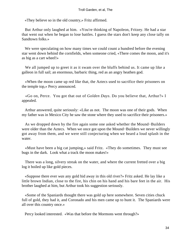«They believe so in the old country,» Fritz affirmed.

 But Arthur only laughed at him. «You're thinking of Napoleon, Fritzey. He had a star that went out when he began to lose battles. I guess the stars don't keep any close tally on Sandtown folks.»

We were speculating on how many times we could count a hundred before the evening star went down behind the cornfields, when someone cried, «There comes the moon, and it's as big as a cart wheel!»

 We all jumped up to greet it as it swam over the bluffs behind us. It came up like a galleon in full sail; an enormous, barbaric thing, red as an angry heathen god.

 «When the moon came up red like that, the Aztecs used to sacrifice their prisoners on the temple top,» Percy announced.

 «Go on, Perce. You got that out of *Golden Days*. Do you believe that, Arthur?» I appealed.

 Arthur answered, quite seriously: «Like as not. The moon was one of their gods. When my father was in Mexico City he saw the stone where they used to sacrifice their prisoners.»

 As we dropped down by the fire again some one asked whether the Mound−Builders were older than the Aztecs. When we once got upon the Mound−Builders we never willingly got away from them, and we were still conjecturing when we heard a loud splash in the water.

 «Must have been a big cat jumping,» said Fritz. «They do sometimes. They must see bugs in the dark. Look what a track the moon makes!»

 There was a long, silvery streak on the water, and where the current fretted over a big log it boiled up like gold pieces.

 «Suppose there ever *was* any gold hid away in this old river?» Fritz asked. He lay like a little brown Indian, close to the fire, his chin on his hand and his bare feet in the air. His brother laughed at him, but Arthur took his suggestion seriously.

 «Some of the Spaniards thought there was gold up here somewhere. Seven cities chuck full of gold, they had it, and Coronado and his men came up to hunt it. The Spaniards were all over this country once.»

Percy looked interested. «Was that before the Mormons went through?»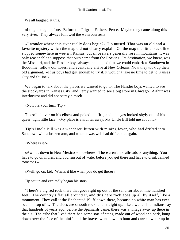We all laughed at this.

 «Long enough before. Before the Pilgrim Fathers, Perce. Maybe they came along this very river. They always followed the watercourses.»

 «I wonder where this river really does begin?» Tip mused. That was an old and a favorite mystery which the map did not clearly explain. On the map the little black line stopped somewhere in western Kansas; but since rivers generally rose in mountains, it was only reasonable to suppose that ours came from the Rockies. Its destination, we knew, was the Missouri, and the Hassler boys always maintained that we could embark at Sandtown in floodtime, follow our noses, and eventually arrive at New Orleans. Now they took up their old argument. «If us boys had grit enough to try it, it wouldn't take no time to get to Kansas City and St. Joe.»

 We began to talk about the places we wanted to go to. The Hassler boys wanted to see the stockyards in Kansas City, and Percy wanted to see a big store in Chicago. Arthur was interlocutor and did not betray himself.

«Now it's your turn, Tip.»

 Tip rolled over on his elbow and poked the fire, and his eyes looked shyly out of his queer, tight little face. «My place is awful far away. My Uncle Bill told me about it.»

 Tip's Uncle Bill was a wanderer, bitten with mining fever, who had drifted into Sandtown with a broken arm, and when it was well had drifted out again.

«Where is it?»

 «Aw, it's down in New Mexico somewheres. There aren't no railroads or anything. You have to go on mules, and you run out of water before you get there and have to drink canned tomatoes.»

«Well, go on, kid. What's it like when you do get there?»

Tip sat up and excitedly began his story.

 "There's a big red rock there that goes right up out of the sand for about nine hundred feet. The country's flat all around it, and this here rock goes up all by itself, like a monument. They call it the Enchanted Bluff down there, because no white man has ever been on top of it. The sides are smooth rock, and straight up, like a wall. The Indians say that hundreds of years ago, before the Spaniards came, there was a village away up there in the air. The tribe that lived there had some sort of steps, made out of wood and bark, bung down over the face of the bluff, and the braves went down to hunt and carried water up in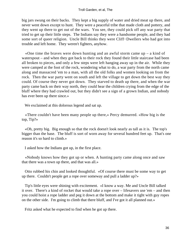big jars swung on their backs. They kept a big supply of water and dried meat up there, and never went down except to hunt. They were a peaceful tribe that made cloth and pottery, and they went up there to get out of the wars. You see, they could pick off any war party that tried to get up their little steps. The Indians say they were a handsome people, and they had some sort of queer religion. Uncle Bill thinks they were Cliff−Dwellers who had got into trouble and left home. They weren't fighters, anyhow.

«One time the braves were down hunting and an awful storm came  $up - a$  kind of waterspout – and when they got back to their rock they found their little staircase had been all broken to pieces, and only a few steps were left hanging away up in the air. While they were camped at the foot of the rock, wondering what to do, a war party from the north came along and massacred 'em to a man, with all the old folks and women looking on from the rock. Then the war party went on south and left the village to get down the best way they could. Of course they never got down. They starved to death up there, and when the war party came back on their way north, they could hear the children crying from the edge of the bluff where they had crawled out, but they didn't see a sign of a grown Indian, and nobody has ever been up there since.»

We exclaimed at this dolorous legend and sat up.

 «There couldn't have been many people up there,» Percy demurred. «How big is the top, Tip?»

 «Oh, pretty big. Big enough so that the rock doesn't look nearly as tall as it is. The top's bigger than the base. The bluff is sort of worn away for several hundred feet up. That's one reason it's so hard to climb.»

I asked how the Indians got up, in the first place.

 «Nobody knows how they got up or when. A hunting party came along once and saw that there was a town up there, and that was all.»

 Otto rubbed his chin and looked thoughtful. «Of course there must be some way to get up there. Couldn't people get a rope over someway and pull a ladder up?»

 Tip's little eyes were shining with excitement. «I know a way. Me and Uncle Bill talked it over. There's a kind of rocket that would take a rope over – lifesavers use 'em – and then you could hoist a rope ladder and peg it down at the bottom and make it tight with guy ropes on the other side. I'm going to climb that there bluff, and I've got it all planned out.»

Fritz asked what he expected to find when he got up there.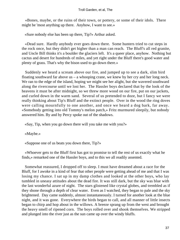«Bones, maybe, or the ruins of their town, or pottery, or some of their idols. There might be 'most anything up there. Anyhow, I want to see.»

«Sure nobody else has been up there, Tip?» Arthur asked.

 «Dead sure. Hardly anybody ever goes down there. Some hunters tried to cut steps in the rock once, but they didn't get higher than a man can reach. The Bluff's all red granite, and Uncle Bill thinks it's a boulder the glaciers left. It's a queer place, anyhow. Nothing but cactus and desert for hundreds of miles, and yet right under the Bluff there's good water and plenty of grass. That's why the bison used to go down there.»

 Suddenly we heard a scream above our fire, and jumped up to see a dark, slim bird floating southward far above us – a whooping crane, we knew by her cry and her long neck. We ran to the edge of the island, hoping we might see her alight, but she wavered southward along the rivercourse until we lost her. The Hassler boys declared that by the look of the heavens it must be after midnight, so we threw more wood on our fire, put on our jackets, and curled down in the warm sand. Several of us pretended to doze, but I fancy we were really thinking about Tip's Bluff and the extinct people. Over in the wood the ring doves were calling mournfully to one another, and once we heard a dog bark, far away. «Somebody getting into old Tommy's melon patch,» Fritz murmured sleepily, but nobody answered him. By and by Percy spoke out of the shadows.

«Say, Tip, when you go down there will you take me with you?»

«Maybe.»

«Suppose one of us beats you down there, Tip?»

 «Whoever gets to the Bluff first has got to promise to tell the rest of us exactly what he finds,» remarked one of the Hassler boys, and to this we all readily assented.

 Somewhat reassured, I dropped off to sleep. I must have dreamed about a race for the Bluff, for I awoke in a kind of fear that other people were getting ahead of me and that I was losing my chance. I sat up in my damp clothes and looked at the other boys, who lay tumbled in uneasy attitudes about the dead fire. It was still dark, but the sky was blue with the last wonderful azure of night. The stars glistened like crystal globes, and trembled as if they shone through a depth of clear water. Even as I watched, they began to pale and the sky brightened. Day came suddenly, almost instantaneously. I turned for another look at the blue night, and it was gone. Everywhere the birds began to call, and all manner of little insects began to chirp and hop about in the willows. A breeze sprang up from the west and brought the heavy smell of ripened corn. The boys rolled over and shook themselves. We stripped and plunged into the river just as the sun came up over the windy bluffs.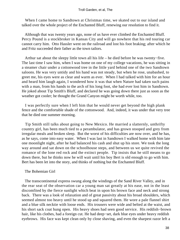#### Troll Garden, et al, The

 When I came home to Sandtown at Christmas time, we skated out to our island and talked over the whole project of the Enchanted Bluff, renewing our resolution to find it.

 Although that was twenty years ago, none of us have ever climbed the Enchanted Bluff. Percy Pound is a stockbroker in Kansas City and will go nowhere that his red touring car cannot carry him. Otto Hassler went on the railroad and lost his foot braking; after which he and Fritz succeeded their father as the town tailors.

 Arthur sat about the sleepy little town all his life – he died before he was twenty−five. The last time I saw him, when I was home on one of my college vacations, he was sitting in a steamer chair under a cottonwood tree in the little yard behind one of the two Sandtown saloons. He was very untidy and his hand was not steady, but when he rose, unabashed, to greet me, his eyes were as clear and warm as ever. When I had talked with him for an hour and heard him laugh again, I wondered how it was that when Nature had taken such pains with a man, from his hands to the arch of his long foot, she had ever lost him in Sandtown. He joked about Tip Smith's Bluff, and declared he was going down there just as soon as the weather got cooler; he thought the Grand Canyon might be worth while, too.

 I was perfectly sure when I left him that he would never get beyond the high plank fence and the comfortable shade of the cottonwood. And, indeed, it was under that very tree that he died one summer morning.

 Tip Smith still talks about going to New Mexico. He married a slatternly, unthrifty country girl, has been much tied to a perambulator, and has grown stooped and grey from irregular meals and broken sleep. But the worst of his difficulties are now over, and he has, as he says, come into easy water. When I was last in Sandtown I walked home with him late one moonlight night, after he had balanced his cash and shut up his store. We took the long way around and sat down on the schoolhouse steps, and between us we quite revived the romance of the lone red rock and the extinct people. Tip insists that he still means to go down there, but he thinks now he will wait until his boy Bert is old enough to go with him. Bert has been let into the story, and thinks of nothing but the Enchanted Bluff.

## The Bohemian Girl

 The transcontinental express swung along the windings of the Sand River Valley, and in the rear seat of the observation car a young man sat greatly at his ease, not in the least discomfited by the fierce sunlight which beat in upon his brown face and neck and strong back. There was a look of relaxation and of great passivity about his broad shoulders, which seemed almost too heavy until he stood up and squared them. He wore a pale flannel shirt and a blue silk necktie with loose ends. His trousers were wide and belted at the waist, and his short sack coat hung open. His heavy shoes had seen good service. His reddish−brown hair, like his clothes, had a foreign cut. He had deep−set, dark blue eyes under heavy reddish eyebrows. His face was kept clean only by close shaving, and even the sharpest razor left a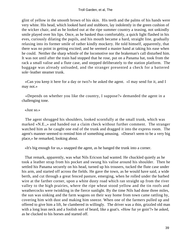glint of yellow in the smooth brown of his skin. His teeth and the palms of his hands were very white. His head, which looked hard and stubborn, lay indolently in the green cushion of the wicker chair, and as he looked out at the ripe summer country a teasing, not unkindly smile played over his lips. Once, as he basked thus comfortably, a quick light flashed in his eves, curiously dilating the pupils, and his mouth became a hard, straight line, gradually relaxing into its former smile of rather kindly mockery. He told himself, apparently, that there was no point in getting excited; and he seemed a master hand at taking his ease when he could. Neither the sharp whistle of the locomotive nor the brakeman's call disturbed him. It was not until after the train had stopped that he rose, put on a Panama hat, took from the rack a small valise and a flute case, and stepped deliberately to the station platform. The baggage was already unloaded, and the stranger presented a check for a battered sole−leather steamer trunk.

 «Can you keep it here for a day or two?» he asked the agent. «I may send for it, and I may not.»

 «Depends on whether you like the country, I suppose?» demanded the agent in a challenging tone.

# «Just so.»

 The agent shrugged his shoulders, looked scornfully at the small trunk, which was marked «N.E.,» and handed out a claim check without further comment. The stranger watched him as he caught one end of the trunk and dragged it into the express room. The agent's manner seemed to remind him of something amusing. «Doesn't seem to be a very big place,» he remarked, looking about.

«It's big enough for us,» snapped the agent, as he banged the trunk into a corner.

 That remark, apparently, was what Nils Ericson had wanted. He chuckled quietly as he took a leather strap from his pocket and swung his valise around his shoulder. Then he settled his Panama securely on his head, turned up his trousers, tucked the flute case under his arm, and started off across the fields. He gave the town, as he would have said, a wide berth, and cut through a great fenced pasture, emerging, when he rolled under the barbed wire at the farther corner, upon a white dusty road which ran straight up from the river valley to the high prairies, where the ripe wheat stood yellow and the tin roofs and weathercocks were twinkling in the fierce sunlight. By the time Nils had done three miles, the sun was sinking and the farm wagons on their way home from town came rattling by, covering him with dust and making him sneeze. When one of the farmers pulled up and offered to give him a lift, he clambered in willingly. The driver was a thin, grizzled old man with a long lean neck and a foolish sort of beard, like a goat's. «How fur ye goin'?» he asked, as he clucked to his horses and started off.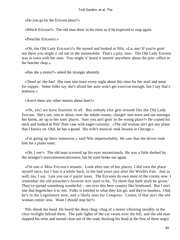«Do you go by the Ericson place?»

«Which Ericson?» The old man drew in his reins as if he expected to stop again.

«Preacher Ericson's.»

 «Oh, the Old Lady Ericson's!» He turned and looked at Nils. «La, me! If you're goin' out there you might a' rid out in the automobile. That's a pity, now. The Old Lady Ericson was in town with her auto. You might 'a' heard it snortin' anywhere about the post−office er the butcher shop.»

«Has she a motor?» asked the stranger absently.

 «'Deed an' she has! She runs into town every night about this time for her mail and meat for supper. Some folks say she's afraid her auto won't get exercise enough, but I say that's jealousy.»

«Aren't there any other motors about here?»

 «Oh, yes! we have fourteen in all. But nobody else gets around like the Old Lady Ericson. She's out, rain er shine, over the whole county, chargin' into town and out amongst her farms, an' up to her sons' places. Sure you ain't goin' to the wrong place?» He craned his neck and looked at Nils' flute case with eager curiosity. «The old woman ain't got any piany that I knows on. Olaf, he has a grand. His wife's musical: took lessons in Chicago.»

 «I'm going up there tomorrow,» said Nils imperturbably. He saw that the driver took him for a piano tuner.

 «Oh, I see!» The old man screwed up his eyes mysteriously. He was a little dashed by the stranger's noncommunicativeness, but he soon broke out again.

 «I'm one o' Miss Ericson's tenants. Look after one of her places. I did own the place myself once, but I lost it a while back, in the bad years just after the World's Fair. Just as well, too, I say. Lets you out o' payin' taxes. The Ericsons do own most of the county now. I remember the old preacher's favorite text used to be, 'To them that hath shall be given.' They've spread something wonderful – run over this here country like bindweed. But I ain't one that begretches it to 'em. Folks is entitled to what they kin git; and they're hustlers. Olaf, he's in the Legislature now, and a likely man fur Congress. Listen, if that ain't the old woman comin' now. Want I should stop her?»

 Nils shook his head. He heard the deep chug−chug of a motor vibrating steadily in the clear twilight behind them. The pale lights of the car swam over the hill, and the old man slapped his reins and turned clear out of the road, ducking his head at the first of three angry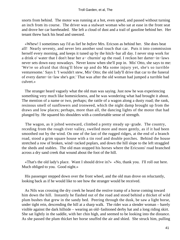snorts from behind. The motor was running at a hot, even speed, and passed without turning an inch from its course. The driver was a stalwart woman who sat at ease in the front seat and drove her car bareheaded. She left a cloud of dust and a trail of gasoline behind her. Her tenant threw back his head and sneezed.

 «Whew! I sometimes say I'd as lief be *before* Mrs. Ericson as behind her. She does beat all! Nearly seventy, and never lets another soul touch that car. Puts it into commission herself every morning, and keeps it tuned up by the hitch−bar all day. I never stop work for a drink o' water that I don't hear her a− churnin' up the road. I reckon her darter−in−laws never sets down easy nowadays. Never know when she'll pop in. Mis' Otto, she says to me: 'We're so afraid that thing'll blow up and do Ma some injury yet, she's so turrible venturesome.' Says I: 'I wouldn't stew, Mis' Otto; the old lady'll drive that car to the funeral of every darter−in−law she's got.' That was after the old woman had jumped a turrible bad culvert.»

 The stranger heard vaguely what the old man was saying. Just now he was experiencing something very much like homesickness, and he was wondering what had brought it about. The mention of a name or two, perhaps; the rattle of a wagon along a dusty road; the rank, resinous smell of sunflowers and ironweed, which the night damp brought up from the draws and low places; perhaps, more than all, the dancing lights of the motor that had plunged by. He squared his shoulders with a comfortable sense of strength.

 The wagon, as it jolted westward, climbed a pretty steady up−grade. The country, receding from the rough river valley, swelled more and more gently, as if it had been smoothed out by the wind. On one of the last of the rugged ridges, at the end of a branch road, stood a grim square house with a tin roof and double porches. Behind the house stretched a row of broken, wind−racked poplars, and down the hill slope to the left straggled the sheds and stables. The old man stopped his horses where the Ericsons' road branched across a dry sand creek that wound about the foot of the hill.

 «That's the old lady's place. Want I should drive in?» «No, thank you. I'll roll out here. Much obliged to you. Good night.»

 His passenger stepped down over the front wheel, and the old man drove on reluctantly, looking back as if he would like to see how the stranger would be received.

 As Nils was crossing the dry creek he heard the restive tramp of a horse coming toward him down the hill. Instantly he flashed out of the road and stood behind a thicket of wild plum bushes that grew in the sandy bed. Peering through the dusk, be saw a light horse, under tight rein, descending the hill at a sharp walk. The rider was a slender woman – barely visible against the dark hillside – wearing an old−fashioned derby hat and a long riding skirt. She sat lightly in the saddle, with her chin high, and seemed to be looking into the distance. As she passed the plum thicket her horse snuffed the air and shied. She struck him, pulling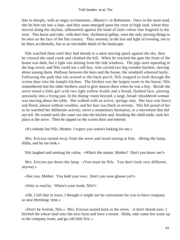him in sharply, with an angry exclamation, *«Blazne!»* in Bohemian. Once in the main road, she let him out into a lope, and they soon emerged upon the crest of high land, where they moved along the skyline, silhouetted against the band of faint colour that lingered in the west. This horse and rider, with their free, rhythmical gallop, were the only moving things to be seen on the face of the flat country. They seemed, in the last sad light of evening, not to be there accidentally, but as an inevitable detail of the landscape.

 Nils watched them until they had shrunk to a mere moving speck against the sky, then he crossed the sand creek and climbed the hill. When he reached the gate the front of the house was dark, but a light was shining from the side windows. The pigs were squealing in the hog corral, and Nils could see a tall boy, who carried two big wooden buckets, moving about among them. Halfway between the barn and the house, the windmill wheezed lazily. Following the path that ran around to the back porch, Nils stopped to look through the screen door into the lamplit kitchen. The kitchen was the largest room in the house; Nils remembered that his older brothers used to give dances there when he was a boy. Beside the stove stood a little girl with two light yellow braids and a broad, flushed face, peering anxiously into a frying pan. In the dining−room beyond, a large, broad−shouldered woman was moving about the table. She walked with an active, springy step. Her face was heavy and florid, almost without wrinkles, and her hair was black at seventy. Nils felt proud of her as he watched her deliberate activity; never a momentary hesitation, or a movement that did not tell. He waited until she came out into the kitchen and, brushing the child aside, took her place at the stove. Then he tapped on the screen door and entered.

«It's nobody but Nils, Mother. I expect you weren't looking for me.»

 Mrs. Ericson turned away from the stove and stood staring at him. «Bring the lamp, Hilda, and let me look.»

Nils laughed and unslung his valise. «What's the matter, Mother? Don't you know me?»

 Mrs. Ericson put down the lamp. «You must be Nils. You don't look very different, anyway.»

«Nor you, Mother. You hold your own. Don't you wear glasses yet?»

«Only to read by. Where's your trunk, Nils?»

 «Oh, I left that in town. I thought it might not be convenient for you to have company so near threshing−time.»

 «Don't be foolish, Nils.» Mrs. Ericson turned back to the stove. «I don't thresh now. I hitched the wheat land onto the next farm and have a tenant. Hilda, take some hot water up to the company room, and go call little Eric.»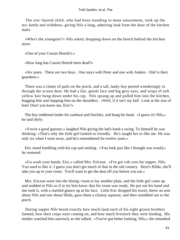#### Troll Garden, et al, The

 The tow−haired child, who had been standing in mute amazement, took up the tea−kettle and withdrew, giving Nils a long, admiring look from the door of the kitchen stairs.

 «Who's the youngster?» Nils asked, dropping down on the bench behind the kitchen stove.

«One of your Cousin Henrik's.»

«How long has Cousin Henrik been dead?»

 «Six years. There are two boys. One stays with Peter and one with Anders. Olaf is their guardeen.»

 There was a clatter of pails on the porch, and a tall, lanky boy peered wonderingly in through the screen door. He had a fair, gentle face and big grey eyes, and wisps of soft yellow hair hung down under his cap. Nils sprang up and pulled him into the kitchen, hugging him and slapping him on the shoulders. «Well, if it isn't my kid! Look at the size of him! Don't you know me, Eric?»

 The boy reddened tinder his sunburn and freckles, and hung his head. «I guess it's Nils,» he said shyly.

 «You're a good guesser,» laughed Nils giving the lad's hand a swing. To himself he was thinking: «That's why the little girl looked so friendly. He's taught her to like me. He was only six when I went away, and he's remembered for twelve years.»

 Eric stood fumbling with his cap and smiling. «You look just like I thought you would,» he ventured.

 «Go wash your hands, Eric,» called Mrs. Ericson. «I've got cob corn for supper, Nils. You used to like it. I guess you don't get much of that in the old country. Here's Hilda; she'll take you up to your room. You'll want to get the dust off you before you eat.»

 Mrs. Ericson went into the dining−room to lay another plate, and the little girl came up and nodded to Nils as if to let him know that his room was ready. He put out his hand and she took it, with a startled glance up at his face. Little Eric dropped his towel, threw an arm about Nils and one about Hilda, gave them a clumsy squeeze, and then stumbled out to the porch.

 During supper Nils heard exactly how much land each of his eight grown brothers farmed, how their crops were coming on, and how much livestock they were feeding. His mother watched him narrowly as she talked. «You've got better looking, Nils,» she remarked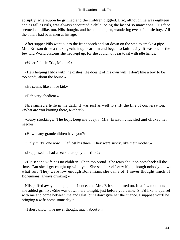abruptly, whereupon he grinned and the children giggled. Eric, although he was eighteen and as tall as Nils, was always accounted a child, being the last of so many sons. His face seemed childlike, too, Nils thought, and he had the open, wandering eves of a little boy. All the others had been men at his age.

 After supper Nils went out to the front porch and sat down on the step to smoke a pipe. Mrs. Ericson drew a rocking−chair up near him and began to knit busily. It was one of the few Old World customs she had kept up, for she could not bear to sit with idle hands.

«Where's little Eric, Mother?»

 «He's helping Hilda with the dishes. He does it of his own will; I don't like a boy to be too handy about the house.»

«He seems like a nice kid.»

«He's very obedient.»

 Nils smiled a little in the dark. It was just as well to shift the line of conversation. «What are you knitting there, Mother?»

 «Baby stockings. The boys keep me busy.» Mrs. Ericson chuckled and clicked her needles.

«How many grandchildren have you?»

«Only thirty−one now. Olaf lost his three. They were sickly, like their mother.»

«I supposed he had a second crop by this time!»

 «His second wife has no children. She's too proud. She tears about on horseback all the time. But she'll get caught up with, yet. She sets herself very high, though nobody knows what for. They were low enough Bohemians she came of. I never thought much of Bohemians; always drinking.»

 Nils puffed away at his pipe in silence, and Mrs. Ericson knitted on. In a few moments she added grimly: «She was down here tonight, just before you came. She'd like to quarrel with me and come between me and Olaf, but I don't give her the chance. I suppose you'll be bringing a wife home some day.»

«I don't know. I've never thought much about it.»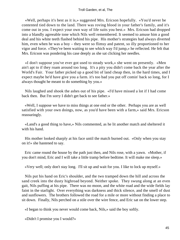«Well, perhaps it's best as it is,» suggested Mrs. Ericson hopefully. «You'd never be contented tied down to the land. There was roving blood in your father's family, and it's come out in you. I expect your own way of life suits you best.» Mrs. Ericson had dropped into a blandly agreeable tone which Nils well remembered. It seemed to amuse him a good deal and his white teeth flashed behind his pipe. His mother's strategies had always diverted him, even when he was a boy – they were so flimsy and patent, so illy proportioned to her vigor and force. «They've been waiting to see which way I'd jump,» he reflected. He felt that Mrs. Ericson was pondering his case deeply as she sat clicking her needles.

 «I don't suppose you've ever got used to steady work,» she went on presently. «Men ain't apt to if they roam around too long. It's a pity you didn't come back the year after the World's Fair. Your father picked up a good bit of land cheap then, in the hard times, and I expect maybe he'd have give you a farm. it's too bad you put off comin' back so long, for I always thought he meant to do something by you.»

 Nils laughed and shook the ashes out of his pipe. «I'd have missed a lot if I had come back then. But I'm sorry I didn't get back to see father.»

 «Well, I suppose we have to miss things at one end or the other. Perhaps you are as well satisfied with your own doings, now, as you'd have been with a farm,» said Mrs. Ericson reassuringly.

 «Land's a good thing to have,» Nils commented, as he lit another match and sheltered it with his hand.

 His mother looked sharply at his face until the match burned out. «Only when you stay on it!» she hastened to say.

 Eric came round the house by the path just then, and Nils rose, with a yawn. «Mother, if you don't mind, Eric and I will take a little tramp before bedtime. It will make me sleep.»

«Very well; only don't stay long. I'll sit up and wait for you. I like to lock up myself.»

 Nils put his hand on Eric's shoulder, and the two tramped down the hill and across the sand creek into the dusty highroad beyond. Neither spoke. They swung along at an even gait, Nils puffing at his pipe. There was no moon, and the white road and the wide fields lay faint in the starlight. Over everything was darkness and thick silence, and the smell of dust and sunflowers. The brothers followed the road for a mile or more without finding a place to sit down. Finally, Nils perched on a stile over the wire fence, and Eric sat on the lower step.

«I began to think you never would come back, Nils,» said the boy softly.

«Didn't I promise you I would?»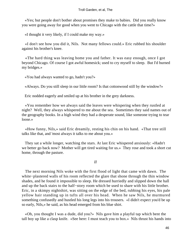«Yes; but people don't bother about promises they make to babies. Did you really know you were going away for good when you went to Chicago with the cattle that time?»

«I thought it very likely, if I could make my way.»

 «I don't see how you did it, Nils. Not many fellows could.» Eric rubbed his shoulder against his brother's knee.

 «The hard thing was leaving home you and father. It was easy enough, once I got beyond Chicago. Of course I got awful homesick; used to cry myself to sleep. But I'd burned my bridges.»

«You had always wanted to go, hadn't you?»

«Always. Do you still sleep in our little room? Is that cottonwood still by the window?»

Eric nodded eagerly and smiled up at his brother in the grey darkness.

 «You remember how we always said the leaves were whispering when they rustled at night? Well, they always whispered to me about the sea. Sometimes they said names out of the geography books. In a high wind they had a desperate sound, like someone trying to tear loose.»

 «How funny, Nils,» said Eric dreamily, resting his chin on his hand. «That tree still talks like that, and 'most always it talks to me about you.»

 They sat a while longer, watching the stars. At last Eric whispered anxiously: «Hadn't we better go back now? Mother will get tired waiting for us.» They rose and took a short cut home, through the pasture.

*II*

 The next morning Nils woke with the first flood of light that came with dawn. The white−plastered walls of his room reflected the glare that shone through the thin window shades, and he found it impossible to sleep. He dressed hurriedly and slipped down the hall and up the back stairs to the half−story room which be used to share with his little brother. Eric, in a skimpy nightshirt, was sitting on the edge of the bed, rubbing his eyes, his pale yellow hair standing up in tufts all over his head. When he saw Nils, he murmured something confusedly and hustled his long legs into his trousers. «I didn't expect you'd be up so early, Nils,» he said, as his head emerged from his blue shirt.

 «Oh, you thought I was a dude, did you?» Nils gave him a playful tap which bent the tall boy up like a clasp knife. «See here: I must teach you to box.» Nils thrust his hands into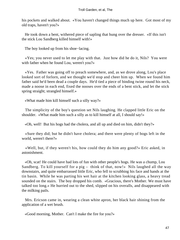his pockets and walked about. «You haven't changed things much up here. Got most of my old traps, haven't you?»

 He took down a bent, withered piece of sapling that hung over the dresser. «If this isn't the stick Lou Sandberg killed himself with!»

The boy looked up from his shoe−lacing.

 «Yes; you never used to let me play with that. Just how did he do it, Nils? You were with father when he found Lou, weren't you?»

 «Yes. Father was going off to preach somewhere, and, as we drove along, Lou's place looked sort of forlorn, and we thought we'd stop and cheer him up. When we found him father said he'd been dead a couple days. He'd tied a piece of binding twine round his neck, made a noose in each end, fixed the nooses over the ends of a bent stick, and let the stick spring straight; strangled himself.»

«What made him kill himself such a silly way?»

 The simplicity of the boy's question set Nils laughing. He clapped little Eric on the shoulder. «What made him such a silly as to kill himself at all, I should say!»

«Oh, well! But his hogs had the cholera, and all up and died on him, didn't they?»

 «Sure they did; but he didn't have cholera; and there were plenty of bogs left in the world, weren't there?»

 «Well, but, if they weren't his, how could they do him any good?» Eric asked, in astonishment.

 «Oh, scat! He could have had lots of fun with other people's hogs. He was a chump, Lou Sandberg. To kill yourself for a pig – think of that, now!» Nils laughed all the way downstairs, and quite embarrassed little Eric, who fell to scrubbing his face and hands at the tin basin. While he was parting his wet hair at the kitchen looking glass, a heavy tread sounded on the stairs. The boy dropped his comb. «Gracious, there's Mother. We must have talked too long.» He hurried out to the shed, slipped on his overalls, and disappeared with the milking pails.

 Mrs. Ericson came in, wearing a clean white apron, her black hair shining from the application of a wet brush.

«Good morning, Mother. Can't I make the fire for you?»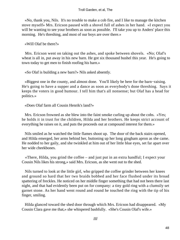«No, thank you, Nils. It's no trouble to make a cob fire, and I like to manage the kitchen stove myself» Mrs. Ericson paused with a shovel full of ashes in her hand. «I expect you will be wanting to see your brothers as soon as possible. I'll take you up to Anders' place this morning. He's threshing, and most of our boys are over there.»

«Will Olaf be there?»

 Mrs. Ericson went on taking out the ashes, and spoke between shovels. «No; Olaf's wheat is all in, put away in his new barn. He got six thousand bushel this year. He's going to town today to get men to finish roofing his barn.»

«So Olaf is building a new barn?» Nils asked absently.

 «Biggest one in the county, and almost done. You'll likely be here for the barn−raising. He's going to have a supper and a dance as soon as everybody's done threshing. Says it keeps the voters in good humour. I tell him that's all nonsense; but Olaf has a head for politics.»

«Does Olaf farm all Cousin Henrik's land?»

Mrs. Ericson frowned as she blew into the faint smoke curling up about the cobs. «Yes; he holds it in trust for the children, Hilda and her brothers. He keeps strict account of everything he raises on it, and puts the proceeds out at compound interest for them.»

 Nils smiled as he watched the little flames shoot up. The door of the back stairs opened, and Hilda emerged, her arms behind her, buttoning up her long gingham apron as she came. He nodded to her gaily, and she twinkled at him out of her little blue eyes, set far apart over her wide cheekbones.

 «There, Hilda, you grind the coffee – and just put in an extra handful; I expect your Cousin Nils likes his strong,» said Mrs. Ericson, as she went out to the shed.

 Nils turned to look at the little girl, who gripped the coffee grinder between her knees and ground so hard that her two braids bobbed and her face flushed under its broad spattering of freckles. He noticed on her middle finger something that had not been there last night, and that had evidently been put on for company: a tiny gold ring with a clumsily set garnet stone. As her hand went round and round he touched the ring with the tip of his finger, smiling.

 Hilda glanced toward the shed door through which Mrs. Ericson had disappeared. «My Cousin Clara gave me that,» she whispered bashfully. «She's Cousin Olaf's wife.»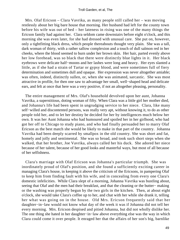Mrs. Olaf Ericson – Clara Vavrika, as many people still called her – was moving restlessly about her big bare house that morning. Her husband had left for the county town before his wife was out of bed – her lateness in rising was one of the many things the Ericson family had against her. Clara seldom came downstairs before eight o'clock, and this morning she was even later, for she had dressed with unusual care. She put on, however, only a tightfitting black dress, which people thereabouts thought very plain. She was a tall, dark woman of thirty, with a rather sallow complexion and a touch of dull salmon red in her cheeks, where the blood seemed to burn under her brown skin. Her hair, parted evenly above her low forehead, was so black that there were distinctly blue lights in it. Her black eyebrows were delicate half−moons and her lashes were long and heavy. Her eyes slanted a little, as if she had a strain of Tartar or gypsy blood, and were sometimes full of fiery determination and sometimes dull and opaque. Her expression was never altogether amiable; was often, indeed, distinctly sullen, or, when she was animated, sarcastic. She was most attractive in profile, for then one saw to advantage her small, well−shaped head and delicate ears, and felt at once that here was a very positive, if not an altogether pleasing, personality.

 The entire management of Mrs. Olaf's household devolved upon her aunt, Johanna Vavrika, a superstitious, doting woman of fifty. When Clara was a little girl her mother died, and Johanna's life had been spent in ungrudging service to her niece. Clara, like many self−willed and discontented persons, was really very apt, without knowing it, to do as other people told her, and to let her destiny be decided for her by intelligences much below her own. It was her Aunt Johanna who had humoured and spoiled her in her girlhood, who had got her off to Chicago to study piano, and who had finally persuaded her to marry Olaf Ericson as the best match she would be likely to make in that part of the country. Johanna Vavrika had been deeply scarred by smallpox in the old country. She was short and fat, homely and jolly and sentimental. She was so broad, and took such short steps when she walked, that her brother, Joe Vavrika, always called her his duck. She adored her niece because of her talent, because of her good looks and masterful ways, but most of all because of her selfishness.

 Clara's marriage with Olaf Ericson was Johanna's particular triumph. She was inordinately proud of Olaf's position, and she found a sufficiently exciting career in managing Clara's house, in keeping it above the criticism of the Ericsons, in pampering Olaf to keep him from finding fault with his wife, and in concealing from every one Clara's domestic infelicities. While Clara slept of a morning, Johanna Vavrika was bustling about, seeing that Olaf and the men had their breakfast, and that the cleaning or the butter− making or the washing was properly begun by the two girls in the kitchen. Then, at about eight o'clock, she would take Clara's coffee up to her, and chat with her while she drank it, telling her what was going on in the house. Old Mrs. Ericson frequently said that her daughter−in−law would not know what day of the week it was if Johanna did not tell her every morning. Mrs. Ericson despised and pitied Johanna, but did not wholly dislike her. The one thing she hated in her daughter−in−law above everything else was the way in which Clara could come it over people. It enraged her that the affairs of her son's big, barnlike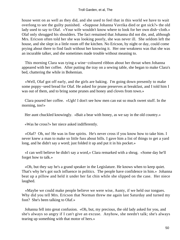## Troll Garden, et al, The

house went on as well as they did, and she used to feel that in this world we have to wait overlong to see the guilty punished. «Suppose Johanna Vavrika died or got sick?» the old lady used to say to Olaf. «Your wife wouldn't know where to look for her own dish−cloth.» Olaf only shrugged his shoulders. The fact remained that Johanna did not die, and, although Mrs. Ericson often told her she was looking poorly, she was never ill. She seldom left the house, and she slept in a little room off the kitchen. No Ericson, by night or day, could come prying about there to find fault without her knowing it. Her one weakness was that she was an incurable talker, and she sometimes made trouble without meaning to.

 This morning Clara was tying a wine−coloured ribbon about her throat when Johanna appeared with her coffee. After putting the tray on a sewing table, she began to make Clara's bed, chattering the while in Bohemian.

 «Well, Olaf got off early, and the girls are baking. I'm going down presently to make some poppy−seed bread for Olaf. He asked for prune preserves at breakfast, and I told him I was out of them, and to bring some prunes and honey and cloves from town.»

 Clara poured her coffee. «Ugh! I don't see how men can eat so much sweet stuff. In the morning, too!»

Her aunt chuckled knowingly. «Bait a bear with honey, as we say in the old country.»

«Was he cross?» her niece asked indifferently.

 «Olaf? Oh, no! He was in fine spirits. He's never cross if you know how to take him. I never knew a man to make so little fuss about bills. I gave him a list of things to get a yard long, and he didn't say a word; just folded it up and put it in his pocket.»

 «I can well believe he didn't say a word,» Clara remarked with a shrug. «Some day he'll forget how to talk.»

 «Oh, but they say he's a grand speaker in the Legislature. He knows when to keep quiet. That's why he's got such influence in politics. The people have confidence in him.» Johanna beat up a pillow and held it under her fat chin while she slipped on the case. Her niece laughed.

 «Maybe we could make people believe we were wise, Aunty, if we held our tongues. Why did you tell Mrs. Ericson that Norman threw me again last Saturday and turned my foot? She's been talking to Olaf.»

 Johanna fell into great confusion. «Oh, but, my precious, the old lady asked for you, and she's always so angry if I can't give an excuse. Anyhow, she needn't talk; she's always tearing up something with that motor of hers.»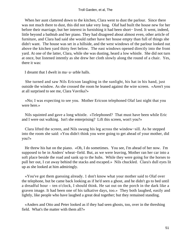When her aunt clattered down to the kitchen, Clara went to dust the parlour. Since there was not much there to dust, this did not take very long. Olaf had built the house new for her before their marriage, but her interest in furnishing it had been short− lived. It went, indeed, little beyond a bathtub and her piano. They had disagreed about almost even, other article of furniture, and Clara had said she would rather have her house empty than full of things she didn't want. The house was set in a hillside, and the west windows of the parlour looked out above the kitchen yard thirty feet below. The east windows opened directly into the front yard. At one of the latter, Clara, while she was dusting, heard a low whistle. She did not turn at once, but listened intently as she drew her cloth slowly along the round of a chair. Yes, there it was:

I dreamt that I dwelt in ma−a−arble halls.

 She turned and saw Nils Ericson laughing in the sunlight, his hat in his hand, just outside the window. As she crossed the room he leaned against the wire screen. «Aren't you at all surprised to see me, Clara Vavrika?»

 «No; I was expecting to see you. Mother Ericson telephoned Olaf last night that you were here.»

 Nils squinted and gave a long whistle. «Telephoned? That must have been while Eric and I were out walking. Isn't she enterprising? Lift this screen, won't you?»

 Clara lifted the screen, and Nils swung his leg across the window−sill. As he stepped into the room she said: «You didn't think you were going to get ahead of your mother, did you?»

 He threw his hat on the piano. «Oh, I do sometimes. You see, I'm ahead of her now. I'm supposed to be in Anders' wheat−field. But, as we were leaving, Mother ran her car into a soft place beside the road and sank up to the hubs. While they were going for the horses to pull her out, I cut away behind the stacks and escaped.» Nils chuckled. Clara's dull eyes lit up as she looked at him admiringly.

 «You've got them guessing already. 1 don't know what your mother said to Olaf over the telephone, but be came back looking as if he'd seen a ghost, and he didn't go to bed until a dreadful hour – ten o'clock, I should think. He sat out on the porch in the dark like a graven image. It had been one of his talkative days, too.» They both laughed, easily and lightly, like people who have laughed a great deal together; but they remained standing.

 «Anders and Otto and Peter looked as if they had seen ghosts, too, over in the threshing field. What's the matter with them all?»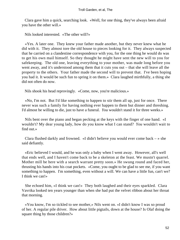Clara gave him a quick, searching look. «Well, for one thing, they've always been afraid you have the other will.»

Nils looked interested. «The other will?»

 «Yes. A later one. They knew your father made another, but they never knew what he did with it. They almost tore the old house to pieces looking for it. They always suspected that he carried on a clandestine correspondence with you, for the one thing he would do was to get his own mail himself. So they thought he might have sent the new will to you for safekeeping. The old one, leaving everything to your mother, was made long before you went away, and it's understood among them that it cuts you out – that she will leave all the property to the others. Your father made the second will to prevent that. I've been hoping you had it. It would be such fun to spring it on them.» Clara laughed mirthfully, a thing she did not often do now.

Nils shook his head reprovingly. «Come, now, you're malicious.»

 «No, I'm not. But I'd like something to happen to stir them all up, just for once. There never was such a family for having nothing ever happen to them but dinner and threshing. I'd almost be willing to die, just to have a funeral. *You* wouldn't stand it for three weeks.»

 Nils bent over the piano and began pecking at the keys with the finger of one hand. «I wouldn't? My dear young lady, how do you know what I can stand? *You* wouldn't wait to find out.»

Clara flushed darkly and frowned. «I didn't believe you would ever come back  $-$  » she said defiantly.

 «Eric believed I would, and he was only a baby when I went away. However, all's well that ends well, and I haven't come back to be a skeleton at the feast. We mustn't quarrel. Mother mill be here with a search warrant pretty soon.» He swung round and faced her, thrusting his hands into his coat pockets. «Come, you ought to be glad to see me, if you want something to happen. I'm something, even without a will. We can have a little fun, can't we? I think we can!»

 She echoed him, «I think we can!» They both laughed and their eyes sparkled. Clara Vavrika looked ten years younger than when she had put the velvet ribbon about her throat that morning.

 «You know, I'm so tickled to see mother,» Nils went on. «I didn't know I was so proud of her. A regular pile driver. How about little pigtails, down at the house? Is Olaf doing the square thing by those children?»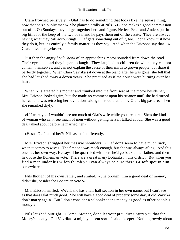Clara frowned pensively. «Olaf has to do something that looks like the square thing, now that he's a public man!» She glanced drolly at Nils. «But he makes a good commission out of it. On Sundays they all get together here and figure. He lets Peter and Anders put in big bills for the keep of the two boys, and he pays them out of the estate. They are always having what they call accountings. Olaf gets something out of it, too. I don't know just how they do it, but it's entirely a family matter, as they say. And when the Ericsons say that  $-\infty$ Clara lifted her eyebrows.

 Just then the angry *honk−honk* of an approaching motor sounded from down the road. Their eyes met and they began to laugh. They laughed as children do when they can not contain themselves, and can not explain the cause of their mirth to grown people, but share it perfectly together. When Clara Vavrika sat down at the piano after he was gone, she felt that she had laughed away a dozen years. She practised as if the house were burning over her head.

 When Nils greeted his mother and climbed into the front seat of the motor beside her, Mrs. Ericson looked grim, but she made no comment upon his truancy until she had turned her car and was retracing her revolutions along the road that ran by Olaf's big pasture. Then she remarked dryly:

 «If I were you I wouldn't see too much of Olaf's wife while you are here. She's the kind of woman who can't see much of men without getting herself talked about. She was a good deal talked about before he married her.»

«Hasn't Olaf tamed her?» Nils asked indifferently.

 Mrs. Ericson shrugged her massive shoulders. «Olaf don't seem to have much luck, when it comes to wives. The first one was meek enough, but she was always ailing. And this one has her own way. He says if he quarreled with her she'd go back to her father, and then he'd lose the Bohemian vote. There are a great many Bohunks in this district. But when you find a man under his wife's thumb you can always be sure there's a soft spot in him somewhere.»

 Nils thought of his own father, and smiled. «She brought him a good deal of money, didn't she, besides the Bohemian vote?»

 Mrs. Ericson sniffed. «Well, she has a fair half section in her own name, but I can't see as that does Olaf much good. She will have a good deal of property some day, if old Vavrika don't marry again. But I don't consider a saloonkeeper's money as good as other people's money,»

 Nils laughed outright. «Come, Mother, don't let your prejudices carry you that far. Money's money. Old Vavrika's a mighty decent sort of saloonkeeper. Nothing rowdy about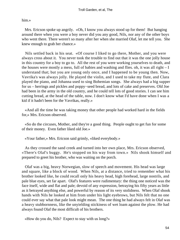him.»

 Mrs. Ericson spoke up angrily. «Oh, I know you always stood up for them! But hanging around there when you were a boy never did you any good, Nils, nor any of the other boys who went there. There weren't so many after her when she married Olaf, let me tell you. She knew enough to grab her chance.»

 Nils settled back in his seat. «Of course I liked to go there, Mother, and you were always cross about it. You never took the trouble to find out that it was the one jolly house in this country for a boy to go to. All the rest of you were working yourselves to death, and the houses were mostly a mess, full of babies and washing and flies. oh, it was all right – I understand that; but you are young only once, and I happened to be young then. Now, Vavrika's was always jolly. He played the violin, and I used to take my flute, and Clara played the piano, and Johanna used to sing Bohemian songs. She always had a big supper for us – herrings and pickles and poppy−seed bread, and lots of cake and preserves. Old Joe had been in the army in the old country, and he could tell lots of good stories. I can see him cutting bread, at the head of the table, now. I don't know what I'd have done when I was a kid if it hadn't been for the Vavrikas, really.»

 «And all the time he was taking money that other people had worked hard in the fields for,» Mrs. Ericson observed.

 «So do the circuses, Mother, and they're a good thing. People ought to get fun for some of their money. Even father liked old Joe.»

«Your father,» Mrs. Ericson said grimly, «liked everybody.»

 As they crossed the sand creek and turned into her own place, Mrs. Ericson observed, «There's Olaf's buggy. He's stopped on his way from town.» Nils shook himself and prepared to greet his brother, who was waiting on the porch.

 Olaf was a big, heavy Norwegian, slow of speech and movement. His head was large and square, like a block of wood. When Nils, at a distance, tried to remember what his brother looked like, he could recall only his heavy head, high forehead, large nostrils, and pale blue eyes, set far apart. Olaf's features were rudimentary: the thing one noticed was the face itself, wide and flat and pale; devoid of any expression, betraying his fifty years as little as it betrayed anything else, and powerful by reason of its very stolidness. When Olaf shook hands with Nils he looked at him from under his light eyebrows, but Nils felt that no one could ever say what that pale look might mean. The one thing he had always felt in Olaf was a heavy stubbornness, like the unyielding stickiness of wet loam against the plow. He had always found Olaf the most difficult of his brothers.

«How do you do, Nils? Expect to stay with us long?»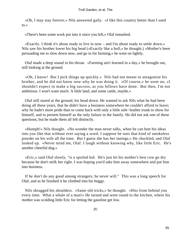«Oh, I may stay forever,» Nils answered gaily. «I like this country better than I used to.»

«There's been some work put into it since you left,» Olaf remarked.

 «Exactly. I think it's about ready to live in now – and I'm about ready to settle down.» Nils saw his brother lower his big head («Exactly like a bull,» he thought.) «Mother's been persuading me to slow down now, and go in for farming,» he went on lightly.

 Olaf made a deep sound in his throat. «Farming ain't learned in a day,» he brought out, still looking at the ground.

 «Oh, I know! But I pick things up quickly.» Nils had not meant to antagonize his brother, and he did not know now why he was doing it. «Of course,» he went on, «I shouldn't expect to make a big success, as you fellows have done. But then, I'm not ambitious. I won't want much. A little land, and some cattle, maybe.»

 Olaf still stared at the ground, his head down. He wanted to ask Nils what he had been doing all these years, that he didn't have a business somewhere he couldn't afford to leave; why he hadn't more pride than to come back with only a little sole−leather trunk to show for himself, and to present himself as the only failure in the family. He did not ask one of these questions, but he made them all felt distinctly.

 «Humph!» Nils thought. «No wonder the man never talks, when he can butt his ideas into you like that without ever saying a word. I suppose he uses that kind of smokeless powder on his wife all the time. But I guess she has her innings.» He chuckled, and Olaf looked up. «Never mind me, Olaf. I laugh without knowing why, like little Eric. He's another cheerful dog.»

 «Eric,» said Olaf slowly, "is a spoiled kid. He's just let his mother's best cow go dry because he don't milk her right. I was hoping you'd take him away somewhere and put him into business.

 If he don't do any good among strangers, he never will." This was a long speech for Olaf, and as he finished it he climbed into his buggy.

 Nils shrugged his shoulders. «Same old tricks,» he thought. «Hits from behind you every time. What a whale of a man!» He turned and went round to the kitchen, where his mother was scolding little Eric for letting the gasoline get low.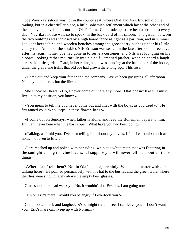Joe Vavrika's saloon was not in the county seat, where Olaf and Mrs. Ericson did their trading, but in a cheerfuller place, a little Bohemian settlement which lay at the other end of the county, ten level miles north of Olaf's farm. Clara rode up to see her father almost every day. Vavrika's house was, so to speak, in the back yard of his saloon. The garden between the two buildings was inclosed by a high board fence as tight as a partition, and in summer Joe kept beer tables and wooden benches among the gooseberry bushes under his little cherry tree. At one of these tables Nils Ericson was seated in the late afternoon, three days after his return home. Joe had gone in to serve a customer, and Nils was lounging on his elbows, looking rather mournfully into his half− emptied pitcher, when he heard a laugh across the little garden. Clara, in her riding habit, was standing at the back door of the house, under the grapevine trellis that old Joe had grown there long ago. Nils rose.

 «Come out and keep your father and me company. We've been gossiping all afternoon. Nobody to bother us but the flies.»

 She shook her head. «No, I never come out here any more. Olaf doesn't like it. I must live up to my position, you know.»

 «You mean to tell me you never come out and chat with the boys, as you used to? He *has* tamed you! Who keeps up these flower−beds?»

 «I come out on Sundays, when father is alone, and read the Bohemian papers to him. But I am never here when the bar is open. What have you two been doing?»

 «Talking, as I told you. I've been telling him about my travels. I find I can't talk much at home, not even to Eric.»

 Clara reached up and poked with her riding−whip at a white moth that was fluttering in the sunlight among the vine leaves. «I suppose you will never tell me about all those things.»

 «Where can I tell them? Not in Olaf's house, certainly. What's the matter with our talking here?» He pointed persuasively with his hat to the bushes and the green table, where the flies were singing lazily above the empty beer glasses.

Clara shook her head weakly. «No, it wouldn't do. Besides, I am going now.»

«I'm on Eric's mare. Would you be angry if I overtook you?»

 Clara looked back and laughed. «You might try and see. I can leave you if I don't want you. Eric's mare can't keep up with Norman.»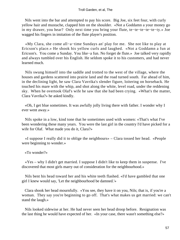#### Troll Garden, et al, The

 Nils went into the bar and attempted to pay his score. Big Joe, six feet four, with curly yellow hair and mustache, clapped him on the shoulder. «Not a Goddamn a your money go in my drawer, you hear? Only next time you bring your flute, te−te−te−te−te−ty.» Joe wagged his fingers in imitation of the flute player's position.

 «My Clara, she come all−a−time Sundays an' play for me. She not like to play at Ericson's place.» He shook his yellow curls and laughed. «Not a Goddamn a fun at Ericson's. You come a Sunday. You like−a fun. No forget de flute.» Joe talked very rapidly and always tumbled over his English. He seldom spoke it to his customers, and had never learned much.

 Nils swung himself into the saddle and trotted to the west of the village, where the houses and gardens scattered into prairie land and the road turned south. Far ahead of him, in the declining light, he saw Clara Vavrika's slender figure, loitering on horseback. He touched his mare with the whip, and shot along the white, level road, under the reddening sky. When he overtook Olaf's wife he saw that she had been crying. «What's the matter, Clara Vavrika?» he asked kindly.

 «Oh, I get blue sometimes. It was awfully jolly living there with father. I wonder why I ever went away.»

 Nils spoke in a low, kind tone that he sometimes used with women: «That's what I've been wondering these many years. You were the last girl in the country I'd have picked for a wife for Olaf. What made you do it, Clara?»

 «I suppose I really did it to oblige the neighbours» – Clara tossed her head. «People were beginning to wonder.»

«To wonder?»

 «Yes – why I didn't get married. I suppose I didn't like to keep them in suspense. I've discovered that most girls marry out of consideration for the neighbourhood.»

 Nils bent his head toward her and his white teeth flashed. «I'd have gambled that one girl I knew would say, 'Let the neighbourhood be damned.'»

 Clara shook her head mournfully. «You see, they have it on you, Nils; that is, if you're a woman. They say you're beginning to go off. That's what makes us get married: we can't stand the laugh.»

 Nils looked sidewise at her. He had never seen her head droop before. Resignation was the last thing he would have expected of her. «In your case, there wasn't something else?»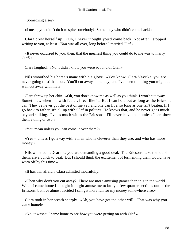«Something else?»

«I mean, you didn't do it to spite somebody? Somebody who didn't come back?»

 Clara drew herself up. «Oh, I never thought you'd come back. Not after I stopped writing to you, at least. *That* was all over, long before I married Olaf.»

 «It never occurred to you, then, that the meanest thing you could do to me was to marry Olaf?»

Clara laughed. «No; I didn't know you were so fond of Olaf.»

 Nils smoothed his horse's mane with his glove. «You know, Clara Vavrika, you are never going to stick it out. You'll cut away some day, and I've been thinking you might as well cut away with me.»

 Clara threw up her chin. «Oh, you don't know me as well as you think. I won't cut away. Sometimes, when I'm with father, I feel like it. But I can hold out as long as the Ericsons can. They've never got the best of me yet, and one can live, so long as one isn't beaten. If I go back to father, it's all up with Olaf in politics. He knows that, and he never goes much beyond sulking. I've as much wit as the Ericsons. I'll never leave them unless I can show them a thing or two.»

«You mean unless you can come it over them?»

 «Yes – unless I go away with a man who is cleverer than they are, and who has more money.»

 Nils whistled. «Dear me, you are demanding a good deal. The Ericsons, take the lot of them, are a bunch to beat. But I should think the excitement of tormenting them would have worn off by this time.»

«It has, I'm afraid,» Clara admitted mournfully.

 «Then why don't you cut away? There are more amusing games than this in the world. When I came home I thought it might amuse me to bully a few quarter sections out of the Ericsons; but I've almost decided I can get more fun for my money somewhere else.»

 Clara took in her breath sharply. «Ah, you have got the other will! That was why you came home!»

«No, it wasn't. I came home to see how you were getting on with Olaf.»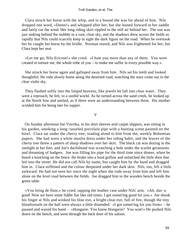Clara struck her horse with the whip, and in a bound she was far ahead of him. Nils dropped one word, «Damn!» and whipped after her; but she leaned forward in her saddle and fairly cut the wind. Her long riding skirt rippled in the still air behind her. The sun was just sinking behind the stubble in a vast, clear sky, and the shadows drew across the fields so rapidly that Nils could scarcely keep in sight the dark figure on the road. When he overtook her he caught her horse by the bridle. Norman reared, and Nils was frightened for her; but Clara kept her seat.

 «Let me go, Nils Ericson!» she cried. «I hate you more than any of them. You were created to torture me, the whole tribe of you – to make me suffer in every possible way.»

 She struck her horse again and galloped away from him. Nils set his teeth and looked thoughtful. He rode slowly home along the deserted road, watching the stars come out in the clear violet sky.

 They flashed softly into the limpid heavens, like jewels let fall into clear water. They were a reproach, he felt, to a sordid world. As he turned across the sand creek, he looked up at the North Star and smiled, as if there were an understanding between them. His mother scolded him for being late for supper.

*V*

 On Sunday afternoon Joe Vavrika, in his shirt sleeves arid carpet slippers, was sitting in his garden, smoking a long−tasseled porcelain pipe with a hunting scene painted on the bowl. Clara sat under the cherry tree, reading aloud to him from the, weekly Bohemian papers. She had worn a white muslin dress under her riding habit, and the leaves of the cherry tree threw a pattern of sharp shadows over her skirt. The black cat was dozing in the sunlight at her feet, and Joe's dachshund was scratching a hole under the scarlet geraniums and dreaming of badgers. Joe was filling his pipe for the third time since dinner, when he heard a knocking on the fence. He broke into a loud guffaw and unlatched the little door that led into the street. He did not call Nils by name, but caught him by the hand and dragged him in. Clara stiffened and the colour deepened under her dark skin. Nils, too, felt a little awkward. He had not seen her since the night when she rode away from him and left him alone on the level road between the fields. Joe dragged him to the wooden bench beside the green table.

 «You bring de flute,» he cried, tapping the leather case under Nils' arm. «Ah, das−a good' Now we have some liddle fun like old times. I got somet'ing good for you.» Joe shook his finger at Nils and winked his blue eye, a bright clear eye, full of fire, though the tiny bloodvessels on the ball were always a little distended. «I got somet'ing for you from» – he paused and waved his hand – «Hongarie. You know Hongarie? You wait!» He pushed Nils down on the bench, and went through the back door of his saloon.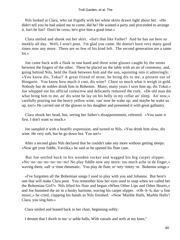## Troll Garden, et al, The

 Nils looked at Clara, who sat frigidly with her white skirts drawn tight about her. «He didn't tell you he had asked me to come, did he? He wanted a party and proceeded to arrange it. Isn't he fun? Don't be cross; let's give him a good time.»

 Clara smiled and shook out her skirt. «Isn't that like Father? And he has sat here so meekly all day. Well, I won't pout. I'm glad you came. He doesn't have very many good times now any more. There are so few of his kind left. The second generation are a tame lot.»

 Joe came back with a flask in one hand and three wine glasses caught by the stems between the fingers of the other. These he placed on the table with an air of ceremony, and, going behind Nils, held the flask between him and the sun, squinting into it admiringly. «You know dis, Tokai? A great friend of mine, he bring dis to me, a present out of Hongarie. You know how much it cost, dis wine? Chust so much what it weigh in gold. Nobody but de nobles drink him in Bohemie. Many, many years I save him up, dis Tokai.» Joe whipped out his official corkscrew and delicately removed the cork. «De old man die what bring him to me, an' dis wine he lay on his belly in my cellar an' sleep. An' now,» carefully pouring out the heavy yellow wine, «an' now he wake up; and maybe he wake us up, too!» He carried one of the glasses to his daughter and presented it with great gallantry.

 Clara shook her head, but, seeing her father's disappointment, relented. «You taste it first. I don't want so much.»

 Joe sampled it with a beatific expression, and turned to Nils. «You drink him slow, dis wine. He very soft, but he go down hot. You see!»

 After a second glass Nils declared that he couldn't take any more without getting sleepy. «Now get your fiddle, Vavrika,» he said as he opened his flute case.

 But Joe settled back in his wooden rocker and wagged his big carpet slipper. «No−no−no−no−no−no−no! No play fiddle now any more: too much ache in de finger,» waving them, «all−a−time rheumatic. You play de flute, te−tety−tetety−te. Bohemie songs.»

 «I've forgotten all the Bohemian songs I used to play with you and Johanna. But here's one that will make Clara pout. You remember how her eyes used to snap when we called her the Bohemian Girl?» Nils lifted his flute and began «When Other Lips and Other Hearts,» and Joe hummed the air in a husky baritone, waving his carpet slipper. «Oh−h−h, das−a fine music,» he cried, clapping his hands as Nils finished. «Now 'Marble Halls, Marble Halls'! Clara, you sing him.»

Clara smiled and leaned back in her chair, beginning softly:

I dreamt that I dwelt in ma−a−arble halls, With vassals and serfs at my knee,"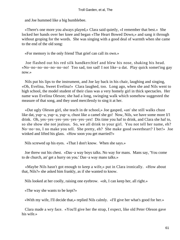and Joe hummed like a big bumblebee.

 «There's one more you always played,» Clara said quietly, «I remember that best.» She locked her hands over her knee and began «The Heart Bowed Down,» and sang it through without groping for the words. She was singing with a good deal of warmth when she came to the end of the old song:

«For memory is the only friend That grief can call its own.»

 Joe flashed out his red silk handkerchief and blew his nose, shaking his head. «No−no−no−no−no−no−no! Too sad, too sad! I not like−a dat. Play quick somet'ing gay now.»

 Nils put his lips to the instrument, and Joe lay back in his chair, laughing and singing, «Oh, Evelina, Sweet Evelina!» Clara laughed, too. Long ago, when she and Nils went to high school, the model student of their class was a very homely girl in thick spectacles. Her name was Evelina Oleson; she had a long, swinging walk which somehow suggested the measure of that song, and they used mercilessly to sing it at her.

 «Dat ugly Oleson girl, she teach in de school,» Joe gasped, «an' she still walks chust like dat, yup−a, yup−a, yup−a, chust like a camel she go! Now, Nils, we have some more li'l drink. Oh, yes−yes−yes−yes−yes−yes−*yes*! Dis time you haf to drink, and Clara she haf to, so she show she not jealous. So, we all drink to your girl. You not tell her name, eh? No−no−no, I no make you tell. She pretty, eh? She make good sweetheart? I bet!» Joe winked and lifted his glass. «How soon you get married?»

Nils screwed up his eyes. «That I don't know. When she says.»

 Joe threw out his chest. «Das−a way boys talks. No way for mans. Mans say, 'You come to de church, an' get a hurry on you.' Das−a way mans talks.»

 «Maybe Nils hasn't got enough to keep a wife,» put in Clara ironically. «How about that, Nils?» she asked him frankly, as if she wanted to know.

Nils looked at her coolly, raising one eyebrow. «oh, I can keep her, all right.»

«The way she wants to be kept?»

«With my wife, I'll decide that,» replied Nils calmly. «I'll give her what's good for her.»

 Clara made a wry face. «You'll give her the strap, I expect, like old Peter Oleson gave his wife.»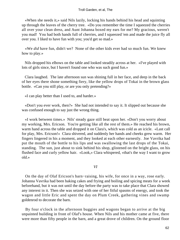«When she needs it,» said Nils lazily, locking his hands behind his head and squinting up through the leaves of the cherry tree. «Do you remember the time I squeezed the cherries all over your clean dress, and Aunt Johanna boxed my ears for me? My gracious, weren't you mad! You had both hands full of cherries, and I squeezed 'em and made the juice fly all over you. I liked to have fun with you; you'd get so mad.»

 «We *did* have fun, didn't we? None of the other kids ever had so much fun. We knew how to play.»

 Nils dropped his elbows on the table and looked steadily across at her. «I've played with lots of girls since, but I haven't found one who was such good fun.»

 Clara laughed. The late afternoon sun was shining full in her face, and deep in the back of her eyes there shone something fiery, like the yellow drops of Tokai in the brown glass bottle. «Can you still play, or are you only pretending?»

«I can play better than I used to, and harder.»

 «Don't you ever work, then?» She had not intended to say it. It slipped out because she was confused enough to say just the wrong thing.

 «I work between times.» Nils' steady gaze still beat upon her. «Don't you worry about my working, Mrs. Ericson. You're getting like all the rest of them.» He reached his brown, warm hand across the table and dropped it on Clara's, which was cold as an icicle. «Last call for play, Mrs. Ericson!» Clara shivered, and suddenly her hands and cheeks grew warm. Her fingers lingered in his a moment, and they looked at each other earnestly. Joe Vavrika had put the mouth of the bottle to his lips and was swallowing the last drops of the Tokai, standing. The sun, just about to sink behind his shop, glistened on the bright glass, on his flushed face and curly yellow hair. «Look,» Clara whispered, «that's the way I want to grow old.»

*VI*

 On the day of Olaf Ericson's barn−raising, his wife, for once in a way, rose early. Johanna Vavrika had been baking cakes and frying and boiling and spicing meats for a week beforehand, but it was not until the day before the party was to take place that Clara showed any interest in it. Then she was seized with one of her fitful spasms of energy, and took the wagon and little Eric and spent the day on Plum Creek, gathering vines and swamp goldenrod to decorate the barn.

 By four o'clock in the afternoon buggies and wagons began to arrive at the big unpainted building in front of Olaf's house. When Nils and his mother came at five, there were more than fifty people in the barn, and a great drove of children. On the ground floor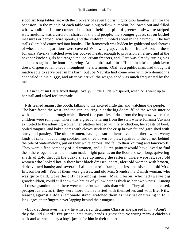stood six long tables, set with the crockery of seven flourishing Ericson families, lent for the occasion. In the middle of each table was a big yellow pumpkin, hollowed out and filled with woodbine. In one corner of the barn, behind a pile of green− and−white striped watermelons, was a circle of chairs for the old people; the younger guests sat on bushel measures or barbed−wire spools, and the children tumbled about in the haymow. The box stalls Clara had converted into booths. The framework was hidden by goldenrod and sheaves of wheat, and the partitions were covered 'With wild grapevines full of fruit. At one of these Johanna Vavrika watched over her cooked meats, enough to provision an army; and at the next her kitchen girls had ranged the ice−cream freezers, and Clara was already cutting pies and cakes against the hour of serving. At the third stall, little Hilda, in a bright pink lawn dress, dispensed lemonade throughout the afternoon. Olaf, as a public man, had thought it inadvisable to serve beer in his barn; but Joe Vavrika had come over with two demijohns concealed in his buggy, and after his arrival the wagon shed was much frequented by the men.

 «Hasn't Cousin Clara fixed things lovely?» little Hilda whispered, when Nils went up to her stall and asked for lemonade.

 Nils leaned against the booth, talking to the excited little girl and watching the people. The barn faced the west, and the sun, pouring in at the big doors, filled the whole interior with a golden light, through which filtered fine particles of dust from the haymow, where the children were romping. There was a great chattering from the stall where Johanna Vavrika exhibited to the admiring women her platters heaped with fried chicken, her roasts of beef, boiled tongues, and baked hams with cloves stuck in the crisp brown fat and garnished with tansy and parsley. The older women, having assured themselves that there were twenty kinds of cake, not counting cookies, and three dozen fat pies, repaired to the corner behind the pile of watermelons, put on their white aprons, and fell to their knitting and fancywork. They were a fine company of old women, and a Dutch painter would have loved to find them there together, where the sun made bright patches on the floor and sent long, quivering shafts of gold through the dusky shade up among the rafters. There were fat, rosy old women who looked hot in their best black dresses; spare, alert old women with brown, dark−veined hands; and several of almost heroic frame, not less massive than old Mrs. Ericson herself. Few of them wore glasses, and old Mrs. Svendsen, a Danish woman, who was quite bald, wore the only cap among them. Mrs. Oleson, who had twelve big grandchildren, could still show two braids of yellow hair as thick as her own wrists. Among all these grandmothers there were more brown heads than white. They all had a pleased, prosperous air, as if they were more than satisfied with themselves and with life. Nils, leaning against Hilda's lemonade stand, watched them as they sat chattering in four languages, their fingers never lagging behind their tongues.

 «Look at them over there,» he whispered, detaining Clara as she passed him. «Aren't they the Old Guard? I've just counted thirty hands. I guess they've wrung many a chicken's neck and warmed many a boy's jacket for him in their time.»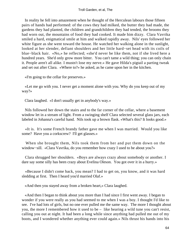In reality he fell into amazement when he thought of the Herculean labours those fifteen pairs of hands had performed: of the cows they had milked, the butter they had made, the gardens they had planted, the children and grandchildren they had tended, the brooms they had worn out, the mountains of food they had cooked. It made him dizzy. Clara Vavrika smiled a hard, enigmatical smile at him and walked rapidly away. Nils' eyes followed her white figure as she went toward the house. He watched her walking alone in the sunlight, looked at her slender, defiant shoulders and her little hard−set head with its coils of blue−black hair. «No,» he reflected; «she'd never be like them, not if she lived here a hundred years. She'd only grow more bitter. You can't tame a wild thing; you can only chain it. People aren't all alike. I mustn't lose my nerve.» He gave Hilda's pigtail a parting tweak and set out after Clara. «Where to?» he asked, as he came upon her in the kitchen.

«I'm going to the cellar for preserves.»

 «Let me go with you. I never get a moment alone with you. Why do you keep out of my way?»

Clara laughed. «I don't usually get in anybody's way.»

 Nils followed her down the stairs and to the far corner of the cellar, where a basement window let in a stream of light. From a swinging shelf Clara selected several glass jars, each labeled in Johanna's careful hand. Nils took up a brown flask. «What's this? It looks good.»

 «It is. It's some French brandy father gave me when I was married. Would you like some? Have you a corkscrew? I'll get glasses.»

 When she brought them, Nils took them from her and put them down on the window−sill. «Clara Vavrika, do you remember how crazy I used to be about you?»

 Clara shrugged her shoulders. «Boys are always crazy about somebody or another. I dare say some silly has been crazy about Evelina Oleson. You got over it in a hurry.»

 «Because I didn't come back, you mean? I had to get on, you know, and it was hard sledding at first. Then I heard you'd married Olaf.»

«And then you stayed away from a broken heart,» Clara laughed.

 «And then I began to think about you more than I had since I first went away. I began to wonder if you were really as you had seemed to me when I was a boy. I thought I'd like to see. I've had lots of girls, but no one ever pulled me the same way. The more I thought about you, the more I remembered how it used to be – like hearing a wild tune you can't resist, calling you out at night. It had been a long while since anything had pulled me out of my boots, and I wondered whether anything ever could again.» Nils thrust his hands into his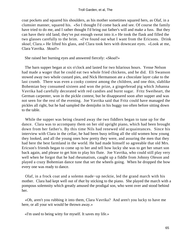coat pockets and squared his shoulders, as his mother sometimes squared hers, as Olaf, in a clumsier manner, squared his. «So I thought I'd come back and see. Of course the family have tried to do me, and I rather thought I'd bring out father's will and make a fuss. But they can have their old land; they've put enough sweat into it.» He took the flask and filled the two glasses carefully to the brim. «I've found out what I want from the Ericsons. Drink *skoal*, Clara.» He lifted his glass, and Clara took hers with downcast eyes. «Look at me, Clara Vavrika. *Skoal!*»

She raised her burning eyes and answered fiercely: «*Skoal!*»

 The barn supper began at six o'clock and lasted for two hilarious hours. Yense Nelson had made a wager that he could eat two whole fried chickens, and he did. Eli Swanson stowed away two whole custard pies, and Nick Hermanson ate a chocolate layer cake to the last crumb. There was even a cooky contest among the children, and one thin, slablike Bohemian boy consumed sixteen and won the prize, a gingerbread pig which Johanna Vavrika had carefully decorated with red candies and burnt sugar. Fritz Sweiheart, the German carpenter, won in the pickle contest, but he disappeared soon after supper and was not seen for the rest of the evening. Joe Vavrika said that Fritz could have managed the pickles all right, but he had sampled the demijohn in his buggy too often before sitting down to the table.

 While the supper was being cleared away the two fiddlers began to tune up for the dance. Clara was to accompany them on her old upright piano, which had been brought down from her father's. By this time Nils had renewed old acquaintances. Since his interview with Clara in the cellar, he had been busy telling all the old women how young they looked, and all the young ones how pretty they were, and assuring the men that they had here the best farmland in the world. He had made himself so agreeable that old Mrs. Ericson's friends began to come up to her and tell how lucky she was to get her smart son back again, and please to get him to play his flute. Joe Vavrika, who could still play very well when he forgot that he had rheumatism, caught up a fiddle from Johnny Oleson and played a crazy Bohemian dance tune that set the wheels going. When he dropped the bow every one was ready to dance.

 Olaf, in a frock coat and a solemn made−up necktie, led the grand march with his mother. Clara had kept well out of *that* by sticking to the piano. She played the march with a pompous solemnity which greatly amused the prodigal son, who went over and stood behind her.

 «Oh, aren't you rubbing it into them, Clara Vavrika? And aren't you lucky to have me here, or all your wit would be thrown away.»

«I'm used to being witty for myself. It saves my life.»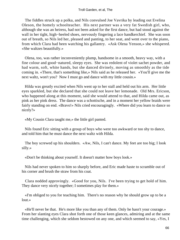The fiddles struck up a polka, and Nils convulsed Joe Vavrika by leading out Evelina Oleson, the homely schoolteacher. His next partner was a very fat Swedish girl, who, although she was an heiress, had not been asked for the first dance, but had stood against the wall in her tight, high−heeled shoes, nervously fingering a lace handkerchief. She was soon out of breath, so Nils led her, pleased and panting, to her seat, and went over to the piano, from which Clara had been watching his gallantry. «Ask Olena Yenson,» she whispered. «She waltzes beautifully.»

 Olena, too, was rather inconveniently plump, handsome in a smooth, heavy way, with a fine colour and good−natured, sleepy eyes. She was redolent of violet sachet powder, and had warm, soft, white hands, but she danced divinely, moving as smoothly as the tide coming in. «There, that's something like,» Nils said as he released her. «You'll give me the next waltz, won't you? Now I must go and dance with my little cousin.»

 Hilda was greatly excited when Nils went up to her stall and held out his arm. Her little eyes sparkled, but she declared that she could not leave her lemonade. Old Mrs. Ericson, who happened along at this moment, said she would attend to that, and Hilda came out, as pink as her pink dress. The dance was a schottische, and in a moment her yellow braids were fairly standing on end. «Bravo!» Nils cried encouragingly. «Where did you learn to dance so nicely?»

«My Cousin Clara taught me,» the little girl panted.

 Nils found Eric sitting with a group of boys who were too awkward or too shy to dance, and told him that he must dance the next waltz with Hilda.

 The boy screwed up his shoulders. «Aw, Nils, I can't dance. My feet are too big; I look silly.»

«Don't be thinking about yourself. It doesn't matter how boys look.»

 Nils had never spoken to him so sharply before, and Eric made haste to scramble out of his corner and brush the straw from his coat.

 Clara nodded approvingly. «Good for you, Nils. I've been trying to get hold of him. They dance very nicely together; I sometimes play for them.»

 «I'm obliged to you for teaching him. There's no reason why he should grow up to be a lout.»

 «He'll never be that. He's more like you than any of them. Only he hasn't your courage.» From her slanting eyes Clara shot forth one of those keen glances, admiring and at the same time challenging, which she seldom bestowed on any one, and which seemed to say, «Yes, I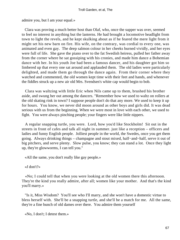admire you, but I am your equal.»

 Clara was proving a much better host than Olaf, who, once the supper was over, seemed to feel no interest in anything but the lanterns. He had brought a locomotive headlight from town to light the revels, and he kept skulking about as if he feared the mere light from it might set his new barn on fire. His wife, on the contrary, was cordial to every one, was animated and even gay. The deep salmon colour in her cheeks burned vividly, and her eyes were full of life. She gave the piano over to the fat Swedish heiress, pulled her father away from the corner where he sat gossiping with his cronies, and made him dance a Bohemian dance with her. In his youth Joe had been a famous dancer, and his daughter got him so limbered up that every one sat around and applauded them. The old ladies were particularly delighted, and made them go through the dance again. From their corner where they watched and commented, the old women kept time with their feet and hands, and whenever the fiddles struck up a new air old Mrs. Svendsen's white cap would begin to bob.

 Clara was waltzing with little Eric when Nils came up to them, brushed his brother aside, and swung her out among the dancers. "Remember how we used to waltz on rollers at the old skating rink in town? I suppose people don't do that any more. We used to keep it up for hours. You know, we never did moon around as other boys and girls did. It was dead serious with us from the beginning. When we were most in love with each other, we used to fight. You were always pinching people; your fingers were like little nippers.

 A regular snapping turtle, you were. Lord, how you'd like Stockholm! Sit out in the streets in front of cafes and talk all night in summer. just like a reception – officers and ladies and funny English people. Jolliest people in the world, the Swedes, once you get them going. Always drinking things – champagne and stout mixed, half−and−half, serve it out of big pitchers, and serve plenty. Slow pulse, you know; they can stand a lot. Once they light up, they're glowworms, I can tell you."

«All the same, you don't really like gay people.»

«*I* don't?»

 «No; I could tell that when you were looking at the old women there this afternoon. They're the kind you really admire, after all; women like your mother. And that's the kind you'll marry.»

 "Is it, Miss Wisdom? You'll see who I'll marry, and she won't have a domestic virtue to bless herself with. She'll be a snapping turtle, and she'll be a match for me. All the same, they're a fine bunch of old dames over there. You admire them yourself

«No, I don't; I detest them.»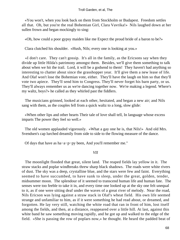«You won't, when you look back on them from Stockholm or Budapest. Freedom settles all that. Oh, but you're the real Bohemian Girl, Clara Vavrika!» Nils laughed down at her sullen frown and began mockingly to sing:

«Oh, how could a poor gypsy maiden like me Expect the proud bride of a baron to be?»

Clara clutched his shoulder. «Hush, Nils; every one is looking at you.»

 «I don't care. They can't gossip. It's all in the family, as the Ericsons say when they divide up little Hilda's patrimony amongst them. Besides, we'll give them something to talk about when we hit the trail. Lord, it will be a godsend to them! They haven't had anything so interesting to chatter about since the grasshopper year. It'll give them a new lease of life. And Olaf won't lose the Bohemian vote, either. They'll have the laugh on him so that they'll vote two apiece. They'll send him to Congress. They'll never forget his barn party, or us. They'll always remember us as we're dancing together now. We're making a legend. Where's my waltz, boys?» he called as they whirled past the fiddlers.

 The musicians grinned, looked at each other, hesitated, and began a new air; and Nils sang with them, as the couples fell from a quick waltz to a long, slow glide:

 «When other lips and other hearts Their tale of love shall tell, In language whose excess imparts The power they feel so well.»

 The old women applauded vigorously. «What a gay one he is, that Nils!» And old Mrs. Svendsen's cap lurched dreamily from side to side to the flowing measure of the dance.

Of days that have as ha−a−p−py been, And you'll remember me."

## *VII*

 The moonlight flooded that great, silent land. The reaped fields lay yellow in it. The straw stacks and poplar windbreaks threw sharp black shadows. The roads were white rivers of dust. The sky was a deep, crystalline blue, and the stars were few and faint. Everything seemed to have succumbed, to have sunk to sleep, under the great, golden, tender, midsummer moon. The splendour of it seemed to transcend human life and human fate. The senses were too feeble to take it in, and every time one looked up at the sky one felt unequal to it, as if one were sitting deaf under the waves of a great river of melody. Near the road, Nils Ericson was lying against a straw stack in Olaf's wheat field. His own life seemed strange and unfamiliar to him, as if it were something he had read about, or dreamed, and forgotten. He lay very still, watching the white road that ran in front of him, lost itself among the fields, and then, at a distance, reappeared over a little hill. At last, against this white band he saw something moving rapidly, and he got up and walked to the edge of the field. «She is passing the row of poplars now,» he thought. He heard the padded beat of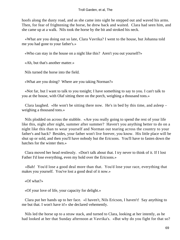hoofs along the dusty road, and as she came into sight he stepped out and waved his arms. Then, for fear of frightening the horse, he drew back and waited. Clara had seen him, and she came up at a walk. Nils took the horse by the bit and stroked his neck.

 «What are you doing out so late, Clara Vavrika? I went to the house, but Johanna told me you had gone to your father's.»

«Who can stay in the house on a night like this? Aren't you out yourself?»

«Ah, but that's another matter.»

Nils turned the horse into the field.

«What are you doing? Where are you taking Norman?»

 «Not far, but I want to talk to you tonight; I have something to say to you. I can't talk to you at the house, with Olaf sitting there on the porch, weighing a thousand tons.»

 Clara laughed. «He won't be sitting there now. He's in bed by this time, and asleep – weighing a thousand tons.»

 Nils plodded on across the stubble. «Are you really going to spend the rest of your life like this, night after night, summer after summer? Haven't you anything better to do on a night like this than to wear yourself and Norman out tearing across the country to your father's and back? Besides, your father won't live forever, you know. His little place will be shut up or sold, and then you'll have nobody but the Ericsons. You'll have to fasten down the hatches for the winter then.»

 Clara moved her head restlessly. «Don't talk about that. I try never to think of it. If I lost Father I'd lose everything, even my hold over the Ericsons.»

 «Bah! You'd lose a good deal more than that. You'd lose your race, everything that makes you yourself. You've lost a good deal of it now.»

«Of what?»

«Of your love of life, your capacity for delight.»

 Clara put her hands up to her face. «I haven't, Nils Ericson, I haven't! Say anything to me but that. I won't have it!» she declared vehemently.

 Nils led the horse up to a straw stack, and turned to Clara, looking at her intently, as he had looked at her that Sunday afternoon at Vavrika's. «But why do you fight for that so?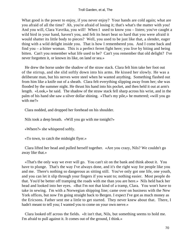## Troll Garden, et al, The

What good is the power to enjoy, if you never enjoy? Your hands are cold again; what are you afraid of all the time? Ah, you're afraid of losing it; that's what's the matter with you! And you will, Clara Vavrika, you will! When I used to know you – listen; you've caught a wild bird in your hand, haven't you, and felt its heart beat so hard that you were afraid it would shatter its little body to pieces? Well, you used to be just like that, a slender, eager thing with a wild delight inside you. That is how I remembered you. And I come back and find you – a bitter woman. This is a perfect ferret fight here; you live by biting and being bitten. Can't you remember what life used to be? Can't you remember that old delight? I've never forgotten it, or known its like, on land or sea.»

 He drew the horse under the shadow of the straw stack. Clara felt him take her foot out of the stirrup, and she slid softly down into his arms. He kissed her slowly. He was a deliberate man, but his nerves were steel when he wanted anything. Something flashed out from him like a knife out of a sheath. Clara felt everything slipping away from her; she was flooded by the summer night. He thrust his hand into his pocket, and then held it out at arm's length. «Look,» he said. The shadow of the straw stack fell sharp across his wrist, and in the palm of his hand she saw a silver dollar shining. «That's my pile,» he muttered; «will you go with me?»

Clara nodded, and dropped her forehead on his shoulder.

Nils took a deep breath. «Will you go with me tonight?»

«Where?» she whispered softly.

«To town, to catch the midnight flyer.»

 Clara lifted her head and pulled herself together. «Are you crazy, Nils? We couldn't go away like that.»

 «That's the only way we ever will go. You can't sit on the bank and think about it. You have to plunge. That's the way I've always done, and it's the right way for people like you and me. There's nothing so dangerous as sitting still. You've only got one life, one youth, and you can let it slip through your fingers if you want to; nothing easier. Most people do that. You'd be better off tramping the roads with me than you are here.» Nils held back her head and looked into her eyes. «But I'm not that kind of a tramp, Clara. You won't have to take in sewing. I'm with a Norwegian shipping line; came over on business with the New York offices, but now I'm going straight back to Bergen. I expect I've got as much money as the Ericsons. Father sent me a little to get started. They never knew about that. There, I hadn't meant to tell you; I wanted you to come on your own nerve.»

 Clara looked off across the fields. «It isn't that, Nils, but something seems to hold me. I'm afraid to pull against it. It comes out of the ground, I think.»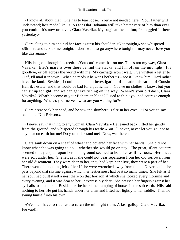#### Troll Garden, et al, The

 «I know all about that. One has to tear loose. You're not needed here. Your father will understand; he's made like us. As for Olaf, Johanna will take better care of him than ever you could. It's now or never, Clara Vavrika. My bag's at the station; I smuggled it there yesterday.»

 Clara clung to him and hid her face against his shoulder. «Not tonight,» she whispered. «Sit here and talk to me tonight. I don't want to go anywhere tonight. I may never love you like this again.»

 Nils laughed through his teeth. «You can't come that on me. That's not my way, Clara Vavrika. Eric's mare is over there behind the stacks, and I'm off on the midnight. It's goodbye, or off across the world with me. My carriage won't wait. I've written a letter to Olaf, I'll mail it in town. When he reads it he won't bother us – not if I know him. He'd rather have the land. Besides, I could demand an investigation of his administration of Cousin Henrik's estate, and that would be bad for a public man. You've no clothes, I know; but you can sit up tonight, and we can get everything on the way. Where's your old dash, Clara Vavrika? What's become of your Bohemian blood? I used to think you had courage enough for anything. Where's your nerve – what are you waiting for?»

 Clara drew back her head, and he saw the slumberous fire in her eyes. «For you to say one thing, Nils Ericson.»

 «I never say that thing to any woman, Clara Vavrika.» He leaned back, lifted her gently from the ground, and whispered through his teeth: «But I'll never, never let you go, not to any man on earth but me! Do you understand me? Now, wait here.»

 Clara sank down on a sheaf of wheat and covered her face with her hands. She did not know what she was going to do – whether she would go or stay. The great, silent country seemed to lay a spell upon her. The ground seemed to hold her as if by roots. Her knees were soft under her. She felt as if she could not bear separation from her old sorrows, from her old discontent. They were dear to her, they had kept her alive, they were a part of her. There would be nothing left of her if she were wrenched away from them. Never could she pass beyond that skyline against which her restlessness had beat so many times. She felt as if her soul had built itself a nest there on that horizon at which she looked every morning and every evening, and it was dear to her, inexpressibly dear. She pressed her fingers against her eyeballs to shut it out. Beside her she heard the tramping of horses in the soft earth. Nils said nothing to her. He put his hands under her arms and lifted her lightly to her saddle. Then he swung himself into his own.

 «We shall have to ride fast to catch the midnight train. A last gallop, Clara Vavrika. Forward!»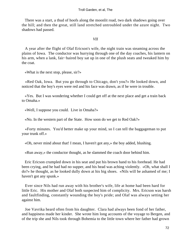There was a start, a thud of hoofs along the moonlit road, two dark shadows going over the hill; and then the great, still land stretched untroubled under the azure night. Two shadows had passed.

*VII*

 A year after the flight of Olaf Ericson's wife, the night train was steaming across the plains of Iowa. The conductor was hurrying through one of the day coaches, his lantern on his arm, when a lank, fair−haired boy sat up in one of the plush seats and tweaked him by the coat.

«What is the next stop, please, sir?»

 «Red Oak, Iowa. But you go through to Chicago, don't you?» He looked down, and noticed that the boy's eyes were red and his face was drawn, as if he were in trouble.

 «Yes. But I was wondering whether I could get off at the next place and get a train back to Omaha.»

«Well, I suppose you could. Live in Omaha?»

«No. In the western part of the State. How soon do we get to Red Oak?»

 «Forty minutes. You'd better make up your mind, so I can tell the baggageman to put your trunk off.»

«Oh, never mind about that! I mean, I haven't got any,» the boy added, blushing.

«Run away,» the conductor thought, as he slammed the coach door behind him.

 Eric Ericson crumpled down in his seat and put his brown hand to his forehead. He had been crying, and he had had no supper, and his head was aching violently. «Oh, what shall I do?» he thought, as he looked dully down at his big shoes. «Nils will be ashamed of me; I haven't got any spunk.»

 Ever since Nils had run away with his brother's wife, life at home had been hard for little Eric. His mother and Olaf both suspected him of complicity. Mrs. Ericson was harsh and faultfinding, constantly wounding the boy's pride; and Olaf was always setting her against him.

 Joe Vavrika heard often from his daughter. Clara had always been fond of her father, and happiness made her kinder. She wrote him long accounts of the voyage to Bergen, and of the trip she and Nils took through Bohemia to the little town where her father had grown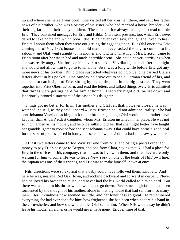up and where she herself was born. She visited all her kinsmen there, and sent her father news of his brother, who was a priest; of his sister, who had married a horse−breeder – of their big farm and their many children. These letters Joe always managed to read to little Eric. They contained messages for Eric and Hilda. Clara sent presents, too, which Eric never dared to take home and which poor little Hilda never even saw, though she loved to hear Eric tell about them when they were out getting the eggs together. But Olaf once saw Eric coming out of Vavrika's house – the old man had never asked the boy to come into his saloon – and Olaf went straight to his mother and told her. That night Mrs. Ericson came to Eric's room after he was in bed and made a terrible scene. She could be very terrifying when she was really angry. She forbade him ever to speak to Vavrika again, and after that night she would not allow him to go to town alone. So it was a long while before Eric got any more news of his brother. But old Joe suspected what was going on, and he carried Clara's letters about in his pocket. One Sunday he drove out to see a German friend of his, and chanced to catch sight of Eric, sitting by the cattle pond in the big pasture. They went together into Fritz Oberlies' barn, and read the letters and talked things over. Eric admitted that things were getting hard for him at home. That very night old Joe sat down and laboriously penned a statement of the case to his daughter.

 Things got no better for Eric. His mother and Olaf felt that, however closely he was watched, he still, as they said, «heard.» Mrs. Ericson could not admit neutrality. She had sent Johanna Vavrika packing back to her brother's, though Olaf would much rather have kept her than Anders' eldest daughter, whom Mrs. Ericson installed in her place. He was not so highhanded as his mother, and he once sulkily told her that she might better have taught her granddaughter to cook before she sent Johanna away. Olaf could have borne a good deal for the sake of prunes spiced in honey, the secret of which Johanna had taken away with her.

 At last two letters came to Joe Vavrika: one from Nils, enclosing a postal order for money to pay Eric's passage to Bergen, and one from Clara, saying that Nils had a place for Eric in the offices of his company, that he was to live with them, and that they were only waiting for him to come. He was to leave New York on one of the boats of Nils' own line; the captain was one of their friends, and Eric was to make himself known at once.

 Nils' directions were so explicit that a baby could have followed them, Eric felt. And here he was, nearing Red Oak, Iowa, and rocking backward and forward in despair. Never had he loved his brother so much, and never had the big world called to him so hard. But there was a lump in his throat which would not go down. Ever since nightfall he had been tormented by the thought of his mother, alone in that big house that had sent forth so many men. Her unkindness now seemed so little, and her loneliness so great. He remembered everything she had ever done for him: how frightened she had been when he tore his hand in the corn−sheller, and how she wouldn't let Olaf scold him. When Nils went away he didn't leave his mother all alone, or he would never have gone. Eric felt sure of that.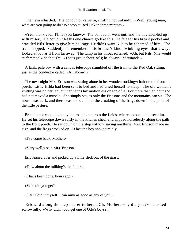The train whistled. The conductor came in, smiling not unkindly. «Well, young man, what are you going to do? We stop at Red Oak in three minutes.»

 «Yes, thank you. I'll let you know.» The conductor went out, and the boy doubled up with misery. He couldn't let his one chance go like this. He felt for his breast pocket and crackled Nils' letter to give him courage. He didn't want Nils to be ashamed of him. The train stopped. Suddenly he remembered his brother's kind, twinkling eyes, that always looked at you as if from far away. The lump in his throat softened. «Ah, but Nils, Nils would *understand*!» he thought. «That's just it about Nils; he always understands.»

 A lank, pale boy with a canvas telescope stumbled off the train to the Red Oak siding, just as the conductor called, «All aboard!»

 The next night Mrs. Ericson was sitting alone in her wooden rocking−chair on the front porch. Little Hilda had been sent to bed and had cried herself to sleep. The old woman's knitting was on her lap, but her hands lay motionless on top of it. For more than an hour she had not moved a muscle. She simply sat, as only the Ericsons and the mountains can sit. The house was dark, and there was no sound but the croaking of the frogs down in the pond of the little pasture.

 Eric did not come home by the road, but across the fields, where no one could see him. He set his telescope down softly in the kitchen shed, and slipped noiselessly along the path to the front porch. He sat down on the step without saying anything. Mrs. Ericson made no sign, and the frogs croaked on. At last the boy spoke timidly.

«I've come back, Mother.»

«Very well,» said Mrs. Ericson.

Eric leaned over and picked up a little stick out of the grass.

«How about the milking?» he faltered.

«That's been done, hours ago.»

«Who did you get?»

«Get? I did it myself. I can milk as good as any of you.»

 Eric slid along the step nearer to her. «Oh, Mother, why did you?» he asked sorrowfully. «Why didn't you get one of Otto's boys?»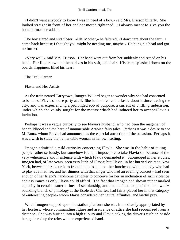«I didn't want anybody to know I was in need of a boy,» said Mrs. Ericson bitterly. She looked straight in front of her and her mouth tightened. «I always meant to give you the home farm,» she added.

 The boy stared and slid closer. «Oh, Mother,» he faltered, «I don't care about the farm. I came back because I thought you might be needing me, maybe.» He hung his head and got no further.

 «Very well,» said Mrs. Ericson. Her hand went out from her suddenly and rested on his head. Her fingers twined themselves in his soft, pale hair. His tears splashed down on the boards; happiness filled his heart.

The Troll Garden

Flavia and Her Artists

 As the train neared Tarrytown, Imogen Willard began to wonder why she had consented to be one of Flavia's house party at all. She had not felt enthusiastic about it since leaving the city, and was experiencing a prolonged ebb of purpose, a current of chilling indecision, under which she vainly sought for the motive which had induced her to accept Flavia's invitation.

 Perhaps it was a vague curiosity to see Flavia's husband, who had been the magician of her childhood and the hero of innumerable Arabian fairy tales. Perhaps it was a desire to see M. Roux, whom Flavia had announced as the especial attraction of the occasion. Perhaps it was a wish to study that remarkable woman in her own setting.

 Imogen admitted a mild curiosity concerning Flavia. She was in the habit of taking people rather seriously, but somehow found it impossible to take Flavia so, because of the very vehemence and insistence with which Flavia demanded it. Submerged in her studies, Imogen had, of late years, seen very little of Flavia; but Flavia, in her hurried visits to New York, between her excursions from studio to studio – her luncheons with this lady who had to play at a matinee, and her dinners with that singer who had an evening concert – had seen enough of her friend's handsome daughter to conceive for her an inclination of such violence and assurance as only Flavia could afford. The fact that Imogen had shown rather marked capacity in certain esoteric lines of scholarship, and had decided to specialize in a well− sounding branch of philology at the Ecole des Chartes, had fairly placed her in that category of «interesting people» whom Flavia considered her natural affinities, and lawful prey.

 When Imogen stepped upon the station platform she was immediately appropriated by her hostess, whose commanding figure and assurance of attire she had recognized from a distance. She was hurried into a high tilbury and Flavia, taking the driver's cushion beside her, gathered up the reins with an experienced hand.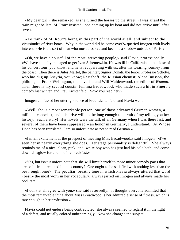«My dear girl,» she remarked, as she turned the horses up the street, «I was afraid the train might be late. M. Roux insisted upon coming up by boat and did not arrive until after seven.»

 «To think of M. Roux's being in this part of the world at all, and subject to the vicissitudes of river boats! Why in the world did he come over?» queried Imogen with lively interest. «He is the sort of man who must dissolve and become a shadow outside of Paris.»

 «Oh, we have a houseful of the most interesting people,» said Flavia, professionally. «We have actually managed to get Ivan Schemetzkin. He was ill in California at the close of his concert tour, you know, and he is recuperating with us, after his wearing journey from the coast. Then there is Jules Martel, the painter; Signor Donati, the tenor; Professor Schotte, who has dug up Assyria, you know; Restzhoff, the Russian chemist; Alcee Buisson, the philologist; Frank Wellington, the novelist; and Will Maidenwood, the editor of *Woman*. Then there is my second cousin, Jemima Broadwood, who made such a hit in Pinero's comedy last winter, and Frau Lichtenfeld. *Have* you read her?»

Imogen confessed her utter ignorance of Frau Lichtenfeld, and Flavia went on.

 «Well, she is a most remarkable person; one of those advanced German women, a militant iconoclast, and this drive will not be long enough to permit of my telling you her history. Such a story! Her novels were the talk of all Germany when I was there last, and several of them have been suppressed – an honor in Germany, I understand. 'At Whose Door' has been translated. I am so unfortunate as not to read German.»

 «I'm all excitement at the prospect of meeting Miss Broadwood,» said Imogen. «I've seen her in nearly everything she does. Her stage personality is delightful. She always reminds me of a nice, clean, pink−and−white boy who has just had his cold bath, and come down all aglow for a run before breakfast.»

 «Yes, but isn't it unfortunate that she will limit herself to those minor comedy parts that are so little appreciated in this country? One ought to be satisfied with nothing less than the best, ought one?» The peculiar, breathy tone in which Flavia always uttered that word «best,» the most worn in her vocabulary, always jarred on Imogen and always made her obdurate.

 «I don't at all agree with you,» she said reservedly. «I thought everyone admitted that the most remarkable thing about Miss Broadwood is her admirable sense of fitness, which is rare enough in her profession.»

 Flavia could not endure being contradicted; she always seemed to regard it in the light of a defeat, and usually colored unbecomingly. Now she changed the subject.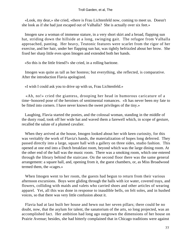«Look, my dear,» she cried, «there is Frau Lichtenfeld now, coming to meet us. Doesn't she look as if she had just escaped out of Valhalla? She is actually over six feet.»

 Imogen saw a woman of immense stature, in a very short skirt and a broad, flapping sun hat, striding down the hillside at a long, swinging gait. The refugee from Valhalla approached, panting. Her heavy, Teutonic features were scarlet from the rigor of her exercise, and her hair, under her flapping sun hat, was tightly befrizzled about her brow. She fixed her sharp little eves upon Imogen and extended both her hands.

«So this is the little friend?» she cried, in a rolling baritone.

 Imogen was quite as tall as her hostess; but everything, she reflected, is comparative. After the introduction Flavia apologized.

«I wish I could ask you to drive up with us, Frau Lichtenfeld.»

 «Ah, no!» cried the giantess, drooping her head in humorous caricature of a time−honored pose of the heroines of sentimental romances. «It has never been my fate to be fitted into corners. I have never known the sweet privileges of the tiny.»

 Laughing, Flavia started the ponies, and the colossal woman, standing in the middle of the dusty road, took off her wide hat and waved them a farewell which, in scope of gesture, recalled the salute of a plumed cavalier.

 When they arrived at the house, Imogen looked about her with keen curiosity, for this was veritably the work of Flavia's hands, the materialization of hopes long deferred. They passed directly into a large, square hall with a gallery on three sides, studio fashion. This opened at one end into a Dutch breakfast room, beyond which was the large dining room. At the other end of the hall was the music room. There was a smoking room, which one entered through the library behind the staircase. On the second floor there was the same general arrangement: a square hall, and, opening from it, the guest chambers, or, as Miss Broadwood termed them, the «cages.»

 When Imogen went to her room, the guests had begun to return from their various afternoon excursions. Boys were gliding through the halls with ice water, covered trays, and flowers, colliding with maids and valets who carried shoes and other articles of wearing apparel. Yet, all this was done in response to inaudible bells, on felt soles, and in hushed voices, so that there was very little confusion about it.

 Flavia had at last built her house and hewn out her seven pillars; there could be no doubt, now, that the asylum for talent, the sanatorium of the arts, so long projected, was an accomplished fact. Her ambition had long ago outgrown the dimensions of her house on Prairie Avenue; besides, she had bitterly complained that in Chicago traditions were against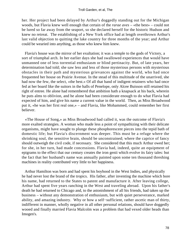her. Her project had been delayed by Arthur's doggedly standing out for the Michigan woods, but Flavia knew well enough that certain of the *rarae aves* – «the best» – could not be lured so far away from the seaport, so she declared herself for the historic Hudson and knew no retreat. The establishing of a New York office had at length overthrown Arthur's last valid objection to quitting the lake country for three months of the year; and Arthur could be wearied into anything, as those who knew him knew.

 Flavia's house was the mirror of her exultation; it was a temple to the gods of Victory, a sort of triumphal arch. In her earlier days she had swallowed experiences that would have unmanned one of less torrential enthusiasm or blind pertinacity. But, of late years, her determination had told; she saw less and less of those mysterious persons with mysterious obstacles in their path and mysterious grievances against the world, who had once frequented her house on Prairie Avenue. In the stead of this multitude of the unarrived, she had now the few, the select, «the best.» Of all that band of indigent retainers who had once fed at her board like the suitors in the halls of Penelope, only Alcee Buisson still retained his right of entree. He alone had remembered that ambition hath a knapsack at his back, wherein he puts alms to oblivion, and he alone had been considerate enough to do what Flavia had expected of him, and give his name a current value in the world. Then, as Miss Broadwood put it, «he was her first real one,» – and Flavia, like Mohammed, could remember her first believer.

 «The House of Song,» as Miss Broadwood had called it, was the outcome of Flavia's more exalted strategies. A woman who made less a point of sympathizing with their delicate organisms, might have sought to plunge these phosphorescent pieces into the tepid bath of domestic life; but Flavia's discernment was deeper. This must be a refuge where the shrinking soul, the sensitive brain, should be unconstrained; where the caprice of fancy should outweigh the civil code, if necessary. She considered that this much Arthur owed her; for she, in her turn, had made concessions. Flavia had, indeed, quite an equipment of epigrams to the effect that our century creates the iron genii which evolve its fairy tales: but the fact that her husband's name was annually painted upon some ten thousand threshing machines in reality contributed very little to her happiness.

 Arthur Hamilton was born and had spent his boyhood in the West Indies, and physically he had never lost the brand of the tropics. His father, after inventing the machine which bore his name, had returned to the States to patent and manufacture it. After leaving college, Arthur had spent five years ranching in the West and traveling abroad. Upon his father's death he had returned to Chicago and, to the astonishment of all his friends, had taken up the business – without any demonstration of enthusiasm, but with quiet perseverance, marked ability, and amazing industry. Why or how a self−sufficient, rather ascetic man of thirty, indifferent in manner, wholly negative in all other personal relations, should have doggedly wooed and finally married Flavia Malcolm was a problem that had vexed older heads than Imogen's.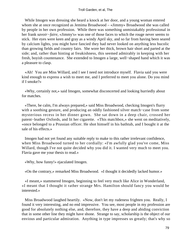While Imogen was dressing she heard a knock at her door, and a young woman entered whom she at once recognized as Jemima Broadwood – «Jimmy» Broadwood she was called by people in her own profession. While there was something unmistakably professional in her frank *savoir−faire*, «Jimmy's» was one of those faces to which the rouge never seems to stick. Her eyes were keen and gray as a windy April sky, and so far from having been seared by calcium lights, you might have fancied they had never looked on anything less bucolic than growing fields and country fairs. She wore her thick, brown hair short and parted at the side; and, rather than hinting at freakishness, this seemed admirably in keeping with her fresh, boyish countenance. She extended to Imogen a large, well−shaped hand which it was a pleasure to clasp.

 «Ah! You are Miss Willard, and I see I need not introduce myself. Flavia said you were kind enough to express a wish to meet me, and I preferred to meet you alone. Do you mind if I smoke?»

 «Why, certainly not,» said Imogen, somewhat disconcerted and looking hurriedly about for matches.

 «There, be calm, I'm always prepared,» said Miss Broadwood, checking Imogen's flurry with a soothing gesture, and producing an oddly fashioned silver match−case from some mysterious recess in her dinner gown. She sat down in a deep chair, crossed her patent−leather Oxfords, and lit her cigarette. «This matchbox,» she went on meditatively, «once belonged to a Prussian officer. He shot himself in his bathtub, and I bought it at the sale of his effects.»

 Imogen had not yet found any suitable reply to make to this rather irrelevant confidence, when Miss Broadwood turned to her cordially: «I'm awfully glad you've come, Miss Willard, though I've not quite decided why you did it. I wanted very much to meet you. Flavia gave me your thesis to read.»

«Why, how funny!» ejaculated Imogen.

«On the contrary,» remarked Miss Broadwood. «I thought it decidedly lacked humor.»

 «I meant,» stammered Imogen, beginning to feel very much like Alice in Wonderland, «I meant that I thought it rather strange Mrs. Hamilton should fancy you would be interested.»

 Miss Broadwood laughed heartily. «Now, don't let my rudeness frighten you. Really, I found it very interesting, and no end impressive. You see, most people in my profession are good for absolutely nothing else, and, therefore, they have a deep and abiding conviction that in some other line they might have shone. Strange to say, scholarship is the object of our envious and particular admiration. Anything in type impresses us greatly; that's why so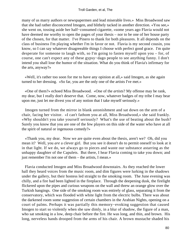many of us marry authors or newspapermen and lead miserable lives.» Miss Broadwood saw that she had rather disconcerted Imogen, and blithely tacked in another direction. «You see,» she went on, tossing aside her half−consumed cigarette, «some years ago Flavia would not have deemed me worthy to open the pages of your thesis – nor to be one of her house party of the chosen, for that matter. I've Pinero to thank for both pleasures. It all depends on the class of business I'm playing whether I'm in favor or not. Flavia is my second cousin, you know, so I can say whatever disagreeable things I choose with perfect good grace. I'm quite desperate for someone to laugh with, so I'm going to fasten myself upon you – for, of course, one can't expect any of these gypsy−dago people to see anything funny. I don't intend you shall lose the humor of the situation. What do you think of Flavia's infirmary for the arts, anyway?»

 «Well, it's rather too soon for me to have any opinion at all,» said Imogen, as she again turned to her dressing. «So far, you are the only one of the artists I've met.»

 «One of them?» echoed Miss Broadwood. «One of the *artists*? My offense may be rank, my dear, but I really don't deserve that. Come, now, whatever badges of my tribe I may bear upon me, just let me divest you of any notion that I take myself seriously.»

 Imogen turned from the mirror in blank astonishment and sat down on the arm of a chair, facing her visitor. «I can't fathom you at all, Miss Broadwood,» she said frankly. «Why shouldn't you take yourself seriously? What's the use of beating about the bush? Surely you know that you are one of the few players on this side of the water who have at all the spirit of natural or ingenuous comedy?»

 «Thank you, my dear. Now we are quite even about the thesis, aren't we? Oh, did you mean it? Well, you *are* a clever girl. But you see it doesn't do to permit oneself to look at it in that light. If we do, we always go to pieces and waste our substance astarring as the unhappy daughter of the Capulets. But there, I hear Flavia coming to take you down; and just remember I'm not one of them – the artists, I mean.»

 Flavia conducted Imogen and Miss Broadwood downstairs. As they reached the lower hall they heard voices from the music room, and dim figures were lurking in the shadows under the gallery, but their hostess led straight to the smoking room. The June evening was chilly, and a fire had been lighted in the fireplace. Through the deepening dusk, the firelight flickered upon the pipes and curious weapons on the wall and threw an orange glow over the Turkish hangings. One side of the smoking room was entirely of glass, separating it from the conservatory, which was flooded with white light from the electric bulbs. There was about the darkened room some suggestion of certain chambers in the Arabian Nights, opening on a court of palms. Perhaps it was partially this memory−evoking suggestion that caused Imogen to start so violently when she saw dimly, in a blur of shadow, the figure of a man, who sat smoking in a low, deep chair before the fire. He was long, and thin, and brown. His long, nerveless hands drooped from the arms of his chair. A brown mustache shaded his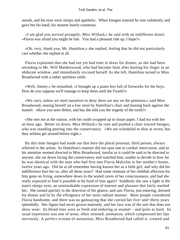mouth, and his eyes were sleepy and apathetic. When Imogen entered he rose indolently and gave her his hand, his manner barely courteous.

 «I am glad you arrived promptly, Miss Willard,» he said with an indifferent drawl. «Flavia was afraid you might be late. You had a pleasant ride up, I hope?»

 «Oh, very, thank you, Mr. Hamilton,» she replied, feeling that he did not particularly care whether she replied at all.

 Flavia explained that she had not yet had time to dress for dinner, as she had been attending to Mr. Will Maidenwood, who had become faint after hurting his finger in an obdurate window, and immediately excused herself As she left, Hamilton turned to Miss Broadwood with a rather spiritless smile.

 «Well, Jimmy,» he remarked, «I brought up a piano box full of fireworks for the boys. How do you suppose we'll manage to keep them until the Fourth?»

 «We can't, unless we steel ourselves to deny there are any on the premises,» said Miss Broadwood, seating herself on a low stool by Hamilton's chair and leaning back against the mantel. «Have you seen Helen, and has she told you the tragedy of the tooth?»

 «She met me at the station, with her tooth wrapped up in tissue paper. I had tea with her an hour ago. Better sit down, Miss Willard;» he rose and pushed a chair toward Imogen, who was standing peering into the conservatory. «We are scheduled to dine at seven, but they seldom get around before eight.»

 By this time Imogen had made out that here the plural pronoun, third person, always referred to the artists. As Hamilton's manner did not spur one to cordial intercourse, and as his attention seemed directed to Miss Broadwood, insofar as it could be said to be directed to anyone, she sat down facing the conservatory and watched him, unable to decide in how far he was identical with the man who had first met Flavia Malcolm in her mother's house, twelve years ago. Did he at all remember having known her as a little girl, and why did his indifference hurt her so, after all these years? Had some remnant of her childish affection for him gone on living, somewhere down in the sealed caves of her consciousness, and had she really expected to find it possible to be fond of him again? Suddenly she saw a light in the man's sleepy eyes, an unmistakable expression of interest and pleasure that fairly startled her. She turned quickly in the direction of his glance, and saw Flavia, just entering, dressed for dinner and lit by the effulgence of her most radiant manner. Most people considered Flavia handsome, and there was no gainsaying that she carried her five−and−thirty years splendidly. Her figure had never grown matronly, and her face was of the sort that does not show wear. Its blond tints were as fresh and enduring as enamel – and quite as hard. Its usual expression was one of tense, often strained, animation, which compressed her lips nervously. A perfect scream of animation, Miss Broadwood had called it, created and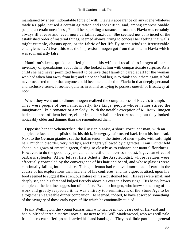maintained by sheer, indomitable force of will. Flavia's appearance on any scene whatever made a ripple, caused a certain agitation and recognition, and, among impressionable people, a certain uneasiness, For all her sparkling assurance of manner, Flavia was certainly always ill at ease and, even more certainly, anxious. She seemed not convinced of the established order of material things, seemed always trying to conceal her feeling that walls might crumble, chasms open, or the fabric of her life fly to the winds in irretrievable entanglement. At least this was the impression Imogen got from that note in Flavia which was so manifestly false.

 Hamilton's keen, quick, satisfied glance at his wife had recalled to Imogen all her inventory of speculations about them. She looked at him with compassionate surprise. As a child she had never permitted herself to believe that Hamilton cared at all for the woman who had taken him away from her; and since she had begun to think about them again, it had never occurred to her that anyone could become attached to Flavia in that deeply personal and exclusive sense. It seemed quite as irrational as trying to possess oneself of Broadway at noon.

 When they went out to dinner Imogen realized the completeness of Flavia's triumph. They were people of one name, mostly, like kings; people whose names stirred the imagination like a romance or a melody. With the notable exception of M. Roux, Imogen had seen most of them before, either in concert halls or lecture rooms; but they looked noticeably older and dimmer than she remembered them.

 Opposite her sat Schemetzkin, the Russian pianist, a short, corpulent man, with an apoplectic face and purplish skin, his thick, iron−gray hair tossed back from his forehead. Next to the German giantess sat the Italian tenor – the tiniest of men – pale, with soft, light hair, much in disorder, very red lips, and fingers yellowed by cigarettes. Frau Lichtenfeld shone in a gown of emerald green, fitting so closely as to enhance her natural floridness. However, to do the good lady justice, let her attire be never so modest, it gave an effect of barbaric splendor. At her left sat Herr Schotte, the Assyriologist, whose features were effectually concealed by the convergence of his hair and beard, and whose glasses were continually falling into his plate. This gentleman had removed more tons of earth in the course of his explorations than had any of his confreres, and his vigorous attack upon his food seemed to suggest the strenuous nature of his accustomed toil. His eyes were small and deeply set, and his forehead bulged fiercely above his eves in a bony ridge. His heavy brows completed the leonine suggestion of his face. Even to Imogen, who knew something of his work and greatly respected it, he was entirely too reminiscent of the Stone Age to be altogether an agreeable dinner companion. He seemed, indeed, to have absorbed something of the savagery of those early types of life which he continually studied.

 Frank Wellington, the young Kansas man who had been two years out of Harvard and had published three historical novels, sat next to Mr. Will Maidenwood, who was still pale from his recent sufferings and carried his hand bandaged. They took little part in the general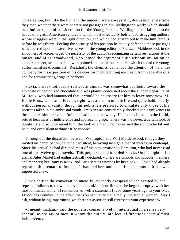conversation, but, like the lion and the unicorn, were always at it, discussing, every time they met, whether there were or were not passages in Mr. Wellington's works which should be eliminated, out of consideration for the Young Person. Wellington had fallen into the hands of a great American syndicate which most effectually befriended struggling authors whose struggles were in the right direction, and which had guaranteed to make him famous before he was thirty. Feeling the security of his position he stoutly defended those passages which jarred upon the sensitive nerves of the young editor of *Woman*. Maidenwood, in the smoothest of voices, urged the necessity of the author's recognizing certain restrictions at the outset, and Miss Broadwood, who joined the argument quite without invitation or encouragement, seconded him with pointed and malicious remarks which caused the young editor manifest discomfort. Restzhoff, the chemist, demanded the attention of the entire company for his exposition of his devices for manufacturing ice cream from vegetable oils and for administering drugs in bonbons.

 Flavia, always noticeably restless at dinner, was somewhat apathetic toward the advocate of peptonized chocolate and was plainly concerned about the sudden departure of M. Roux, who had announced that it would be necessary for him to leave tomorrow. M. Emile Roux, who sat at Flavia's right, was a man in middle life and quite bald, clearly without personal vanity, though his publishers preferred to circulate only those of his portraits taken in his ambrosial youth. Imogen was considerably shocked at his unlikeness to the slender, black−stocked Rolla he had looked at twenty. He had declined into the florid, settled heaviness of indifference and approaching age. There was, however, a certain look of durability and solidity about him; the look of a man who has earned the right to be fat and bald, and even silent at dinner if he chooses.

 Throughout the discussion between Wellington and Will Maidenwood, though they invited his participation, he remained silent, betraying no sign either of interest or contempt. Since his arrival he had directed most of his conversation to Hamilton, who had never read one of his twelve great novels. This perplexed and troubled Flavia. On the night of his arrival Jules Martel had enthusiastically declared, «There are schools and schools, manners and manners; but Roux is Roux, and Paris sets its watches by his clock.» Flavia bad already repeated this remark to Imogen. It haunted her, and each time she quoted it she was impressed anew.

 Flavia shifted the conversation uneasily, evidently exasperated and excited by her repeated failures to draw the novelist out. «Monsieur Roux,» she began abruptly, with her most animated smile, «I remember so well a statement I read some years ago in your 'Mes Etudes des Femmes' to the effect that you had never met a really intellectual woman. May I ask, without being impertinent, whether that assertion still represents your experience?»

 «I meant, madam,» said the novelist conservatively, «intellectual in a sense very special, as we say of men in whom the purely intellectual functions seem almost independent.»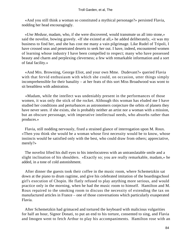«And you still think a woman so constituted a mythical personage?» persisted Flavia, nodding her head encouragingly.

 «*Une Meduse*, madam, who, if she were discovered, would transmute us all into stone,» said the novelist, bowing gravely. «If she existed at all,» he added deliberately, «it was my business to find her, and she has cost me many a vain pilgrimage. Like Rudel of Tripoli, I have crossed seas and penetrated deserts to seek her out. I have, indeed, encountered women of learning whose industry I have been compelled to respect; many who have possessed beauty and charm and perplexing cleverness; a few with remarkable information and a sort of fatal facility.»

 «And Mrs. Browning, George Eliot, and your own Mme. Dudevant?» queried Flavia with that fervid enthusiasm with which she could, on occasion, utter things simply incomprehensible for their banality – at her feats of this sort Miss Broadwood was wont to sit breathless with admiration.

 «Madam, while the intellect was undeniably present in the performances of those women, it was only the stick of the rocket. Although this woman has eluded me I have studied her conditions and perturbances as astronomers conjecture the orbits of planets they have never seen. if she exists, she is probably neither an artist nor a woman with a mission, but an obscure personage, with imperative intellectual needs, who absorbs rather than produces.»

 Flavia, still nodding nervously, fixed a strained glance of interrogation upon M. Roux. «Then you think she would be a woman whose first necessity would be to know, whose instincts would be satisfied only with the best, who could draw from others; appreciative, merely?»

 The novelist lifted his dull eyes to his interlocutress with an untranslatable smile and a slight inclination of his shoulders. «Exactly so; you are really remarkable, madam,» he added, in a tone of cold astonishment.

 After dinner the guests took their coffee in the music room, where Schemetzkin sat down at the piano to drum ragtime, and give his celebrated imitation of the boardingschool girl's execution of Chopin. He flatly refused to play anything more serious, and would practice only in the morning, when he had the music room to himself. Hamilton and M. Roux repaired to the smoking room to discuss the necessity of extending the tax on manufactured articles in France – one of those conversations which particularly exasperated Flavia.

 After Schemetzkin had grimaced and tortured the keyboard with malicious vulgarities for half an hour, Signor Donati, to put an end to his torture, consented to sing, and Flavia and Imogen went to fetch Arthur to play his accompaniments. Hamilton rose with an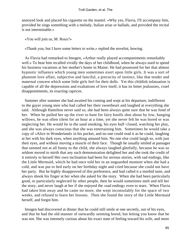annoyed look and placed his cigarette on the mantel. «Why yes, Flavia, I'll accompany him, provided he sings something with a melody, Italian arias or ballads, and provided the recital is not interminable.»

«You will join us, M. Roux?»

«Thank you, but I have some letters to write,» replied the novelist, bowing.

 As Flavia had remarked to Imogen, «Arthur really played accompaniments remarkably well.» To hear him recalled vividly the days of her childhood, when he always used to spend his business vacations at her mother's home in Maine. He had possessed for her that almost hypnotic influence which young men sometimes exert upon little girls. It was a sort of phantom love affair, subjective and fanciful, a precocity of instinct, like that tender and maternal concern which some little girls feel for their dolls. Yet this childish infatuation is capable of all the depressions and exaltations of love itself, it has its bitter jealousies, cruel disappointments, its exacting caprices.

 Summer after summer she had awaited his coming and wept at his departure, indifferent to the gayer young men who had called her their sweetheart and laughed at everything she said. Although Hamilton never said so, she had been always quite sure that he was fond of her. When he pulled her up the river to hunt for fairy knolls shut about by low, hanging willows, he was often silent for an hour at a time, yet she never felt he was bored or was neglecting her. He would lie in the sand smoking, his eyes half−closed, watching her play, and she was always conscious that she was entertaining him. Sometimes he would take a copy of «Alice in Wonderland» in his pocket, and no one could read it as he could, laughing at her with his dark eyes, when anything amused him. No one else could laugh so, with just their eyes, and without moving a muscle of their face. Though he usually smiled at passages that seemed not at all funny to the child, she always laughed gleefully, because he was so seldom moved to mirth that any such demonstration delighted her and she took the credit of it entirely to herself Her own inclination had been for serious stories, with sad endings, like the Little Mermaid, which he had once told her in an unguarded moment when she had a cold, and was put to bed early on her birthday night and cried because she could not have her party. But he highly disapproved of this preference, and had called it a morbid taste, and always shook his finger at her when she asked for the story. When she had been particularly good, or particularly neglected by other people, then he would sometimes melt and tell her the story, and never laugh at her if she enjoyed the «sad ending» even to tears. When Flavia had taken him away and he came no more, she wept inconsolably for the space of two weeks, and refused to learn her lessons. Then she found the story of the Little Mermaid herself, and forgot him.

 Imogen had discovered at dinner that he could still smile at one secretly, out of his eyes, and that he had the old manner of outwardly seeming bored, but letting you know that he was not. She was intensely curious about his exact state of feeling toward his wife, and more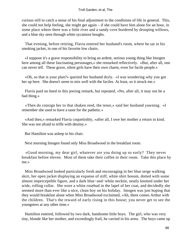curious still to catch a sense of his final adjustment to the conditions of life in general. This, she could not help feeling, she might get again – if she could have him alone for an hour, in some place where there was a little river and a sandy cove bordered by drooping willows, and a blue sky seen through white sycamore boughs.

 That evening, before retiring, Flavia entered her husband's room, where be sat in his smoking jacket, in one of his favorite low chairs.

 «I suppose it's a grave responsibility to bring an ardent, serious young thing like Imogen here among all these fascinating personages,» she remarked reflectively. «But, after all, one can never tell. These grave, silent girls have their own charm, even for facile people.»

 «Oh, so that is your plan?» queried her husband dryly. «I was wondering why you got her up here. She doesn't seem to mix well with the faciles. At least, so it struck me.»

 Flavia paid no heed to this jeering remark, but repeated, «No, after all, it may not be a bad thing.»

 «Then do consign her to that shaken reed, the tenor,» said her husband yawning. «I remember she used to have a taste for the pathetic.»

 «And then,» remarked Flavia coquettishly, «after all, I owe her mother a return in kind. She was not afraid to trifle with destiny.»

But Hamilton was asleep in his chair.

Next morning Imogen found only Miss Broadwood in the breakfast room.

 «Good morning, my dear girl, whatever are you doing up so early? They never breakfast before eleven. Most of them take their coffee in their room. Take this place by me.»

 Miss Broadwood looked particularly fresh and encouraging in her blue serge walking skirt, her open jacket displaying an expanse of stiff, white shirt bosom, dotted with some almost imperceptible figure, and a dark blue−and−white necktie, neatly knotted under her wide, rolling collar. She wore a white rosebud in the lapel of her coat, and decidedly she seemed more than ever like a nice, clean boy on his holiday. Imogen was just hoping that they would breakfast alone when Miss Broadwood exclaimed, «Ah, there comes Arthur with the children. That's the reward of early rising in this house; you never get to see the youngsters at any other time.»

 Hamilton entered, followed by two dark, handsome little boys. The girl, who was very tiny, blonde like her mother, and exceedingly frail, he carried in his arms. The boys came up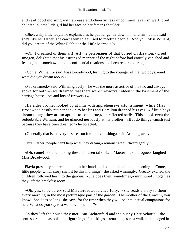and said good morning with an ease and cheerfulness uncommon, even in well−bred children, but the little girl hid her face on her father's shoulder.

 «She's a shy little lady,» he explained as he put her gently down in her chair. «I'm afraid she's like her father; she can't seem to get used to meeting people. And you, Miss Willard, did you dream of the White Rabbit or the Little Mermaid?»

 «Oh, I dreamed of them all! All the personages of that buried civilization,» cried Imogen, delighted that his estranged manner of the night before had entirely vanished and feeling that, somehow, the old confidential relations had been restored during the night.

 «Come, William,» said Miss Broadwood, turning to the younger of the two boys, «and what did you dream about?»

 «We dreamed,» said William gravely – he was the more assertive of the two and always spoke for both – «we dreamed that there were fireworks hidden in the basement of the carriage house; lots and lots of fireworks.»

 His elder brother looked up at him with apprehensive astonishment, while Miss Broadwood hastily put her napkin to her lips and Hamilton dropped his eyes. «If little boys dream things, they are so apt not to come true,» he reflected sadly. This shook even the redoubtable William, and he glanced nervously at his brother. «But do things vanish just because they have been dreamed?» he objected.

«Generally that is the very best reason for their vanishing,» said Arthur gravely.

«But, Father, people can't help what they dream,» remonstrated Edward gently.

 «Oh, come! You're making these children talk like a Maeterlinck dialogue,» laughed Miss Broadwood.

 Flavia presently entered, a book in her hand, and bade them all good morning. «Come, little people, which story shall it be this morning?» she asked winningly. Greatly excited, the children followed her into the garden. «She does then, sometimes,» murmured Imogen as they left the breakfast room.

 «Oh, yes, to be sure,» said Miss Broadwood cheerfully. «She reads a story to them every morning in the most picturesque part of the garden. The mother of the Gracchi, you know. She does so long, she says, for the time when they will be intellectual companions for her. What do you say to a walk over the hills?»

 As they left the house they met Frau Lichtenfeld and the bushy Herr Schotte – the professor cut an astonishing figure in golf stockings – returning from a walk and engaged in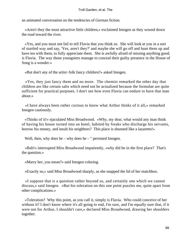an animated conversation on the tendencies of German fiction.

 «Aren't they the most attractive little children,» exclaimed Imogen as they wound down the road toward the river.

 «Yes, and you must not fail to tell Flavia that you think so. She will look at you in a sort of startled way and say, 'Yes, aren't they?' and maybe she will go off and hunt them up and have tea with them, to fully appreciate them. She is awfully afraid of missing anything good, is Flavia. The way those youngsters manage to conceal their guilty presence in the House of Song is a wonder.»

«But don't any of the artist−folk fancy children?» asked Imogen.

 «Yes, they just fancy them and no more. The chemist remarked the other day that children are like certain salts which need not be actualized because the formulae are quite sufficient for practical purposes. I don't see how even Flavia can endure to have that man about.»

 «I have always been rather curious to know what Arthur thinks of it all,» remarked Imogen cautiously.

 «Thinks of it!» ejaculated Miss Broadwood. «Why, my dear, what would any man think of having his house turned into an hotel, habited by freaks who discharge his servants, borrow his money, and insult his neighbors? This place is shunned like a lazaretto!»

Well, then, why does he – why does he – " persisted Imogen.

 «Bah!» interrupted Miss Broadwood impatiently, «why did he in the first place? That's the question.»

«Marry her, you mean?» said Imogen coloring.

«Exactly so,» said Miss Broadwood sharply, as she snapped the lid of her matchbox.

 «I suppose that is a question rather beyond us, and certainly one which we cannot discuss,» said Imogen. «But his toleration on this one point puzzles me, quite apart from other complications.»

 «Toleration? Why this point, as you call it, simply is Flavia. Who could conceive of her without it? I don't know where it's all going to end, I'm sure, and I'm equally sure that, if it were not for Arthur, I shouldn't care,» declared Miss Broadwood, drawing her shoulders together.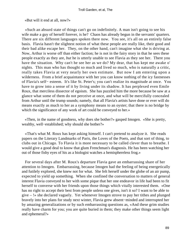«But will it end at all, now?»

 «Such an absurd state of things can't go on indefinitely. A man isn't going to see his wife make a guy of herself forever, is he? Chaos has already begun in the servants' quarters. There are six different languages spoken there now. You see, it's all on an entirely false basis. Flavia hasn't the slightest notion of what these people are really like, their good and their bad alike escape her. They, on the other hand, can't imagine what she is driving at. Now, Arthur is worse off than either faction; he is not in the fairy story in that he sees these people exactly as they are, *but* he is utterly unable to see Flavia as they see her. There you have the situation. Why can't he see her as we do? My dear, that has kept me awake o' nights. This man who has thought so much and lived so much, who is naturally a critic, really takes Flavia at very nearly her own estimate. But now I am entering upon a wilderness. From a brief acquaintance with her you can know nothing of the icy fastnesses of Flavia's self− esteem. It's like St. Peter's; you can't realize its magnitude at once. You have to grow into a sense of it by living under its shadow. It has perplexed even Emile Roux, that merciless dissector of egoism. She has puzzled him the more because be saw at a glance what some of them do not perceive at once, and what will be mercifully concealed from Arthur until the trump sounds; namely, that all Flavia's artists have done or ever will do means exactly as much to her as a symphony means to an oyster; that there is no bridge by which the significance of any work of art could be conveyed to her.»

 «Then, in the name of goodness, why does she bother?» gasped Imogen. «She is pretty, wealthy, well−established; why should she bother?»

 «That's what M. Roux has kept asking himself. I can't pretend to analyze it. She reads papers on the Literary Landmarks of Paris, the Loves of the Poets, and that sort of thing, to clubs out in Chicago. To Flavia it is more necessary to be called clever than to breathe. I would give a good deal to know that glum Frenchman's diagnosis. He has been watching her out of those fishy eyes of his as a biologist watches a hemisphereless frog.»

 For several days after M. Roux's departure Flavia gave an embarrassing share of her attention to Imogen. Embarrassing, because Imogen had the feeling of being energetically and futilely explored, she knew not for what. She felt herself under the globe of an air pump, expected to yield up something. When she confined the conversation to matters of general interest Flavia conveyed to her with some pique that her one endeavor in life had been to fit herself to converse with her friends upon those things which vitally interested them. «One has no right to accept their best from people unless one gives, isn't it so? I want to be able to give – !» she declared vaguely. Yet whenever Imogen strove to pay her tithes and plunged bravely into her plans for study next winter, Flavia grew absent−minded and interrupted her by amazing generalizations or by such embarrassing questions as, «And these grim studies really have charm for you; you are quite buried in them; they make other things seem light and ephemeral?»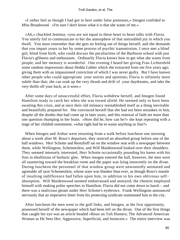«I rather feel as though I had got in here under false pretenses,» Imogen confided to Miss Broadwood. «I'm sure I don't know what it is that she wants of me.»

 «Ah,» chuckled Jemima, «you are not equal to these heart to heart talks with Flavia. You utterly fail to communicate to her the atmosphere of that untroubled joy in which you dwell. You must remember that she gets no feeling out of things herself, and she demands that you impart yours to her by some process of psychic transmission. I once met a blind girl, blind from birth, who could discuss the peculiarities of the Barbizon school with just Flavia's glibness and enthusiasm. Ordinarily Flavia knows how to get what she wants from people, and her memory is wonderful. One evening I heard her giving Frau Lichtenfeld some random impressions about Hedda Gabler which she extracted from me five years ago; giving them with an impassioned conviction of which I was never guilty. But I have known other people who could appropriate your stories and opinions; Flavia is infinitely more subtle than that; she can soak up the very thrash and drift of your daydreams, and take the very thrills off your back, as it were.»

 After some days of unsuccessful effort, Flavia withdrew herself, and Imogen found Hamilton ready to catch her when she was tossed afield. He seemed only to have been awaiting this crisis, and at once their old intimacy reestablished itself as a thing inevitable and beautifully prepared for. She convinced herself that she had not been mistaken in him, despite all the doubts that had come up in later years, and this renewal of faith set more than one question thumping in her brain. «How did he, how can he?» she kept repeating with a tinge of her childish resentment, «what right had he to waste anything so fine?»

 When Imogen and Arthur were returning from a walk before luncheon one morning about a week after M. Roux's departure, they noticed an absorbed group before one of the hall windows. Herr Schotte and Restzhoff sat on the window seat with a newspaper between them, while Wellington, Schemetzkin, and Will Maidenwood looked over their shoulders. They seemed intensely interested, Herr Schotte occasionally pounding his knees with his fists in ebullitions of barbaric glee. When imogen entered the hall, however, the men were all sauntering toward the breakfast room and the paper was lying innocently on the divan. During luncheon the personnel of that window group were unwontedly animated and agreeable all save Schemetzkin, whose stare was blanker than ever, as though Roux's mantle of insulting indifference had fallen upon him, in addition to his own oblivious self− absorption. Will Maidenwood seemed embarrassed and annoyed; the chemist employed himself with making polite speeches to Hamilton. Flavia did not come down to lunch – and there was a malicious gleam under Herr Schotte's eyebrows. Frank Wellington announced nervously that an imperative letter from his protecting syndicate summoned him to the city.

 After luncheon the men went to the golf links, and Imogen, at the first opportunity, possessed herself of the newspaper which had been left on the divan. One of the first things that caught her eye was an article headed «Roux on Tuft Hunters; The Advanced American Woman as He Sees Her; Aggressive, Superficial, and Insincere.» The entire interview was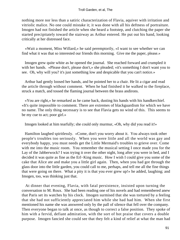nothing more nor less than a satiric characterization of Flavia, aquiver with irritation and vitriolic malice. No one could mistake it; it was done with all his deftness of portraiture. Imogen had not finished the article when she heard a footstep, and clutching the paper she started precipitately toward the stairway as Arthur entered. He put out his hand, looking critically at her distressed face.

 «Wait a moment, Miss Willard,» he said peremptorily, «I want to see whether we can find what it was that so interested our friends this morning. Give me the paper, please.»

 Imogen grew quite white as he opened the journal. She reached forward and crumpled it with her hands. «Please don't, please don't,» she pleaded; «it's something I don't want you to see. Oh, why will you? it's just something low and despicable that you can't notice.»

 Arthur had gently loosed her hands, and he pointed her to a chair. He lit a cigar and read the article through without comment. When he had finished it he walked to the fireplace, struck a match, and tossed the flaming journal between the brass andirons.

 «You are right,» he remarked as he came back, dusting his hands with his handkerchief. «It's quite impossible to comment. There are extremes of blackguardism for which we have no name. The only thing necessary is to see that Flavia gets no wind of this. This seems to be my cue to act; poor girl.»

Imogen looked at him tearfully; she could only murmur, «Oh, why did you read it!»

 Hamilton laughed spiritlessly. «Come, don't you worry about it. You always took other people's troubles too seriously. When you were little and all the world was gay and everybody happy, you must needs get the Little Mermaid's troubles to grieve over. Come with me into the music room. You remember the musical setting I once made you for the Lay of the Jabberwock? I was trying it over the other night, long after you were in bed, and I decided it was quite as fine as the Erl−King music. How I wish I could give you some of the cake that Alice ate and make you a little girl again. Then, when you had got through the glass door into the little garden, you could call to me, perhaps, and tell me all the fine things that were going on there. What a pity it is that you ever grew up!» he added, laughing; and Imogen, too, was thinking just that.

 At dinner that evening, Flavia, with fatal persistence, insisted upon turning the conversation to M. Roux. She had been reading one of his novels and had remembered anew that Paris set its watches by his clock. Imogen surmised that she was tortured by a feeling that she had not sufficiently appreciated him while she had had him. When she first mentioned his name she was answered only by the pall of silence that fell over the company. Then everyone began to talk at once, as though to correct a false position. They spoke of him with a fervid, defiant admiration, with the sort of hot praise that covers a double purpose. Imogen fancied she could see that they felt a kind of relief at what the man had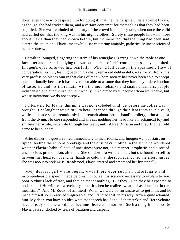done, even those who despised him for doing it; that they felt a spiteful hate against Flavia, as though she had tricked them, and a certain contempt for themselves that they had been beguiled. She was reminded of the fury of the crowd in the fairy tale, when once the child had called out that the king was in his night clothes. Surely these people knew no more about Flavia than they had known before, but the mere fact that the thing had been said altered the situation. Flavia, meanwhile, sat chattering amiably, pathetically unconscious of her nakedness.

 Hamilton lounged, fingering the stem of his wineglass, gazing down the table at one face after another and studying the various degrees of self−consciousness they exhibited. Imogen's eyes followed his, fearfully. When a lull came in the spasmodic flow of conversation, Arthur, leaning back in his chair, remarked deliberately, «As for M. Roux, his very profession places him in that class of men whom society has never been able to accept unconditionally because it has never been able to assume that they have any ordered notion of taste. He and his ilk remain, with the mountebanks and snake charmers, people indispensable to our civilization, but wholly unreclaimed by it; people whom we receive, but whose invitations we do not accept.»

 Fortunately for Flavia, this mine was not exploded until just before the coffee was brought. Her laughter was pitiful to hear; it echoed through the silent room as in a vault, while she made some tremulously light remark about her husband's drollery, grim as a jest from the dying. No one responded and she sat nodding her head like a mechanical toy and smiling her white, set smile through her teeth, until Alcee Buisson and Frau Lichtenfeld came to her support.

 After dinner the guests retired immediately to their rooms, and Imogen went upstairs on tiptoe, feeling the echo of breakage and the dust of crumbling in the air. She wondered whether Flavia's habitual note of uneasiness were not, in a manner, prophetic, and a sort of unconscious premonition, after all. She sat down to write a letter, but she found herself so nervous, her head so hot and her hands so cold, that she soon abandoned the effort. just as she was about to seek Miss Broadwood, Flavia entered and embraced her hysterically.

 «My dearest girl,» she began, «was there ever such an unfortunate and incomprehensible speech made before? Of course it is scarcely necessary to explain to you poor Arthur's lack of tact, and that he meant nothing. But they! Can they be expected to understand? He will feel wretchedly about it when he realizes what he has done, but in the meantime? And M. Roux, of all men! When we were so fortunate as to get him, and he made himself so unreservedly agreeable, and I fancied that, in his way, Arthur quite admired him. My dear, you have no idea what that speech has done. Schemetzkin and Herr Schotte have already sent me word that they must leave us tomorrow. Such a thing from a host!» Flavia paused, choked by tears of vexation and despair.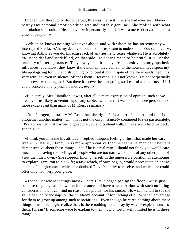Imogen was thoroughly disconcerted; this was the first time she had ever seen Flavia betray any personal emotion which was indubitably genuine. She replied with what consolation she could. «Need they take it personally at all? It was a mere observation upon a class of people  $-\infty$ 

 «Which he knows nothing whatever about, and with whom he has no sympathy,» interrupted Flavia. «Ah, my dear, you could not be *expected* to understand. You can't realize, knowing Arthur as you do, his entire lack of any aesthetic sense whatever. He is absolutely *nil*, stone deaf and stark blind, on that side. He doesn't mean to be brutal, it is just the brutality of utter ignorance. They always feel it – they are so sensitive to unsympathetic influences, you know; they know it the moment they come into the house. I have spent my life apologizing for him and struggling to conceal it; but in spite of me, he wounds them; his very attitude, even in silence, offends them. Heavens! Do I not know? Is it not perpetually and forever wounding me? But there has never been anything so dreadful as this – never! If I could conceive of any possible motive, even!»

 «But, surely, Mrs. Hamilton, it was, after all, a mere expression of opinion, such as we are any of us likely to venture upon any subject whatever. It was neither more personal nor more extravagant than many of M. Roux's remarks.»

 «But, Imogen, certainly M. Roux has the right. It is a part of his art, and that is altogether another matter. Oh, this is not the only instance!» continued Flavia passionately, «I've always had that narrow, bigoted prejudice to contend with. It has always held me back. But this  $-$ !»

 «I think you mistake his attitude,» replied Imogen, feeling a flush that made her ears tingle. «That is, I fancy he is more appreciative than he seems. A man can't be very demonstrative about those things – not if he is a real man. I should not think you would care much about saving the feelings of people who are too narrow to admit of any other point of view than their own.» She stopped, finding herself in the impossible position of attempting to explain Hamilton to his wife; a task which, if once begun, would necessitate an entire course of enlightenment which she doubted Flavia's ability to receive, and which she could offer only with very poor grace.

«That's just where it stings most» – here Flavia began pacing the floor  $-\text{ }$  «it is just because they have all shown such tolerance and have treated Arthur with such unfailing consideration that I can find no reasonable pretext for his rancor. How can he fail to see the value of such friendships on the children's account, if for nothing else! What an advantage for them to grow up among such associations! Even though he cares nothing about these things himself he might realize that. Is there nothing I could say by way of explanation? To them, I mean? If someone were to explain to them how unfortunately limited he is in these things  $-$  »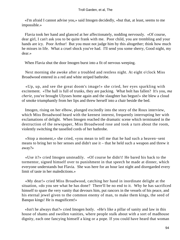«I'm afraid I cannot advise you,» said Imogen decidedly, «but that, at least, seems to me impossible.»

 Flavia took her hand and glanced at her affectionately, nodding nervously. «Of course, dear girl, I can't ask you to be quite frank with me. Poor child, you are trembling and your hands are icy. Poor Arthur! But you must not judge him by this altogether; think how much he misses in life. What a cruel shock you've had. I'll send you some sherry, Good night, my dear.»

When Flavia shut the door Imogen burst into a fit of nervous weeping.

 Next morning she awoke after a troubled and restless night. At eight o'clock Miss Broadwood entered in a red and white striped bathrobe.

 «Up, up, and see the great doom's image!» she cried, her eyes sparkling with excitement. «The hall is full of trunks, they are packing. What bolt has fallen? It's you, *ma cherie*, you've brought Ulysses home again and the slaughter has begun!» she blew a cloud of smoke triumphantly from her lips and threw herself into a chair beside the bed.

 Imogen, rising on her elbow, plunged excitedly into the story of the Roux interview, which Miss Broadwood heard with the keenest interest, frequently interrupting her with exclamations of delight. When Imogen reached the dramatic scene which terminated in the destruction of the newspaper, Miss Broadwood rose and took a turn about the room, violently switching the tasselled cords of her bathrobe.

 «Stop a moment,» she cried, «you mean to tell me that he had such a heaven−sent means to bring her to her senses and didn't use it – that he held such a weapon and threw it away?»

 «Use it?» cried Imogen unsteadily. «Of course he didn't! He bared his back to the tormentor, signed himself over to punishment in that speech he made at dinner, which everyone understands but Flavia. She was here for an hour last night and disregarded every limit of taste in her maledictions.»

 «My dear!» cried Miss Broadwood, catching her hand in inordinate delight at the situation, «do you see what he has done? There'll be no end to it. Why he has sacrificed himself to spare the very vanity that devours him, put rancors in the vessels of his peace, and his eternal jewel given to the common enemy of man, to make them kings, the seed of Banquo kings! He is magnificent!»

 «Isn't he always that?» cried Imogen hotly. «He's like a pillar of sanity and law in this house of shams and swollen vanities, where people stalk about with a sort of madhouse dignity, each one fancying himself a king or a pope. If you could have heard that woman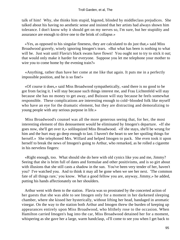talk of him! Why, she thinks him stupid, bigoted, blinded by middleclass prejudices. She talked about his having no aesthetic sense and insisted that her artists had always shown him tolerance. I don't know why it should get on my nerves so, I'm sure, but her stupidity and assurance are enough to drive one to the brink of collapse.»

 «Yes, as opposed to his singular fineness, they are calculated to do just that,» said Miss Broadwood gravely, wisely ignoring Imogen's tears. «But what has been is nothing to what will be. Just wait until Flavia's black swans have flown! You ought not to try to stick it out; that would only make it harder for everyone. Suppose you let me telephone your mother to wire you to come home by the evening train?»

 «Anything, rather than have her come at me like that again. It puts me in a perfectly impossible position, and he *is* so fine!»

 «Of course it does,» said Miss Broadwood sympathetically, «and there is no good to be got from facing it. I will stay because such things interest me, and Frau Lichtenfeld will stay because she has no money to get away, and Buisson will stay because he feels somewhat responsible. These complications are interesting enough to cold−blooded folk like myself who have an eye for the dramatic element, but they are distracting and demoralizing to young people with any serious purpose in life.»

 Miss Broadwood's counsel was all the more generous seeing that, for her, the most interesting element of this denouement would be eliminated by Imogen's departure. «If she goes now, she'll get over it,» soliloquized Miss Broadwood. «If she stays, she'll be wrung for him and the hurt may go deep enough to last. I haven't the heart to see her spoiling things for herself.» She telephoned Mrs. Willard and helped Imogen to pack. She even took it upon herself to break the news of Imogen's going to Arthur, who remarked, as he rolled a cigarette in his nerveless fingers:

 «Right enough, too. What should she do here with old cynics like you and me, Jimmy? Seeing that she is brim full of dates and formulae and other positivisms, and is so girt about with illusions that she still casts a shadow in the sun. You've been very tender of her, haven't you? I've watched you. And to think it may all be gone when we see her next. 'The common fate of all things rare,' you know. What a good fellow you are, anyway, Jimmy,» he added, putting his hands affectionately on her shoulders.

 Arthur went with them to the station. Flavia was so prostrated by the concerted action of her guests that she was able to see Imogen only for a moment in her darkened sleeping chamber, where she kissed her hysterically, without lifting her head, bandaged in aromatic vinegar. On the way to the station both Arthur and Imogen threw the burden of keeping up appearances entirely upon Miss Broadwood, who blithely rose to the occasion. When Hamilton carried Imogen's bag into the car, Miss Broadwood detained her for a moment, whispering as she gave her a large, warm handclasp, «I'll come to see you when I get back to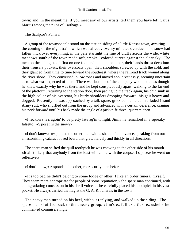town; and, in the meantime, if you meet any of our artists, tell them you have left Caius Marius among the ruins of Carthage.»

The Sculptor's Funeral

 A group of the townspeople stood on the station siding of a little Kansas town, awaiting the coming of the night train, which was already twenty minutes overdue. The snow had fallen thick over everything; in the pale starlight the line of bluffs across the wide, white meadows south of the town made soft, smoke− colored curves against the clear sky. The men on the siding stood first on one foot and then on the other, their hands thrust deep into their trousers pockets, their overcoats open, their shoulders screwed up with the cold; and they glanced from time to time toward the southeast, where the railroad track wound along the river shore. They conversed in low tones and moved about restlessly, seeming uncertain as to what was expected of them. There was but one of the company who looked as though he knew exactly why he was there; and he kept conspicuously apart; walking to the far end of the platform, returning to the station door, then pacing up the track again, his chin sunk in the high collar of his overcoat, his burly shoulders drooping forward, his gait heavy and dogged. Presently he was approached by a tall, spare, grizzled man clad in a faded Grand Army suit, who shuffled out from the group and advanced with a certain deference, craning his neck forward until his back made the angle of a jackknife three−quarters open.

 «I reckon she's agoin' to be pretty late ag'in tonight, Jim,» he remarked in a squeaky falsetto. «S'pose it's the snow?»

 «I don't know,» responded the other man with a shade of annoyance, speaking from out an astonishing cataract of red beard that grew fiercely and thickly in all directions.

 The spare man shifted the quill toothpick he was chewing to the other side of his mouth. «It ain't likely that anybody from the East will come with the corpse, I s'pose,» he went on reflectively.

«I don't know,» responded the other, more curtly than before.

 «It's too bad he didn't belong to some lodge or other. I like an order funeral myself. They seem more appropriate for people of some reputation,» the spare man continued, with an ingratiating concession in his shrill voice, as he carefully placed his toothpick in his vest pocket. He always carried the flag at the G. A. R. funerals in the town.

 The heavy man turned on his heel, without replying, and walked up the siding. The spare man shuffled back to the uneasy group. «Jim's ez full ez a tick, ez ushel,» he commented commiseratingly.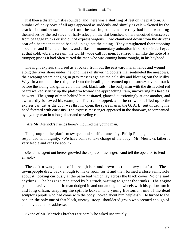Just then a distant whistle sounded, and there was a shuffling of feet on the platform. A number of lanky boys of all ages appeared as suddenly and slimily as eels wakened by the crack of thunder; some came from the waiting room, where they had been warming themselves by the red stove, or half−asleep on the slat benches; others uncoiled themselves from baggage trucks or slid out of express wagons. Two clambered down from the driver's seat of a hearse that stood backed up against the siding. They straightened their stooping shoulders and lifted their heads, and a flash of momentary animation kindled their dull eyes at that cold, vibrant scream, the world−wide call for men. It stirred them like the note of a trumpet; just as it had often stirred the man who was coming home tonight, in his boyhood.

 The night express shot, red as a rocket, from out the eastward marsh lands and wound along the river shore under the long lines of shivering poplars that sentineled the meadows, the escaping steam hanging in gray masses against the pale sky and blotting out the Milky Way. In a moment the red glare from the headlight streamed up the snow−covered track before the siding and glittered on the wet, black rails. The burly man with the disheveled red beard walked swiftly up the platform toward the approaching train, uncovering his head as he went. The group of men behind him hesitated, glanced questioningly at one another, and awkwardly followed his example. The train stopped, and the crowd shuffled up to the express car just as the door was thrown open, the spare man in the G. A. B. suit thrusting his head forward with curiosity. The express messenger appeared in the doorway, accompanied by a young man in a long ulster and traveling cap.

«Are Mr. Merrick's friends here?» inquired the young man.

 The group on the platform swayed and shuffled uneasily. Philip Phelps, the banker, responded with dignity: «We have come to take charge of the body. Mr. Merrick's father is very feeble and can't be about.»

 «Send the agent out here,» growled the express messenger, «and tell the operator to lend a hand.»

 The coffin was got out of its rough box and down on the snowy platform. The townspeople drew back enough to make room for it and then formed a close semicircle about it, looking curiously at the palm leaf which lay across the black cover. No one said anything. The baggage man stood by his truck, waiting to get at the trunks. The engine panted heavily, and the fireman dodged in and out among the wheels with his yellow torch and long oilcan, snapping the spindle boxes. The young Bostonian, one of the dead sculptor's pupils who had come with the body, looked about him helplessly. He turned to the banker, the only one of that black, uneasy, stoop−shouldered group who seemed enough of an individual to be addressed.

«None of Mr. Merrick's brothers are here?» he asked uncertainly.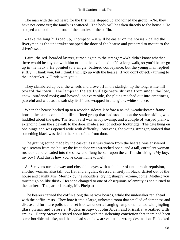The man with the red heard for the first time stepped up and joined the group. «No, they have not come yet; the family is scattered. The body will be taken directly to the house.» He stooped and took hold of one of the handles of the coffin.

 «Take the long hill road up, Thompson – it will be easier on the horses,» called the liveryman as the undertaker snapped the door of the hearse and prepared to mount to the driver's seat.

 Laird, the red−bearded lawyer, turned again to the stranger: «We didn't know whether there would be anyone with him or not,» he explained. «It's a long walk, so you'd better go up in the hack.» He pointed to a single, battered conveyance, but the young man replied stiffly: «Thank you, but I think I will go up with the hearse. If you don't object,» turning to the undertaker, «I'll ride with you.»

 They clambered up over the wheels and drove off in the starlight tip the long, white hill toward the town. The lamps in the still village were shining from under the low, snow–burdened roofs; and beyond, on every side, the plains reached out into emptiness, peaceful and wide as the soft sky itself, and wrapped in a tangible, white silence.

 When the hearse backed up to a wooden sidewalk before a naked, weatherbeaten frame house, the same composite, ill−defined group that had stood upon the station siding was huddled about the gate. The front yard was an icy swamp, and a couple of warped planks, extending from the sidewalk to the door, made a sort of rickety footbridge. The gate hung on one hinge and was opened wide with difficulty. Steavens, the young stranger, noticed that something black was tied to the knob of the front door.

 The grating sound made by the casket, as it was drawn from the hearse, was answered by a scream from the house; the front door was wrenched open, and a tall, corpulent woman rushed out bareheaded into the snow and flung herself upon the coffin, shrieking: «My boy, my boy! And this is how you've come home to me!»

 As Steavens turned away and closed his eyes with a shudder of unutterable repulsion, another woman, also tall, but flat and angular, dressed entirely in black, darted out of the house and caught Mrs. Merrick by the shoulders, crying sharply: «Come, come, Mother; you mustn't go on like this!» Her tone changed to one of obsequious solemnity as she turned to the banker: «The parlor is ready, Mr. Phelps.»

 The bearers carried the coffin along the narrow boards, while the undertaker ran ahead with the coffin−rests. They bore it into a large, unheated room that smelled of dampness and disuse and furniture polish, and set it down under a hanging lamp ornamented with jingling glass prisms and before a «Rogers group» of John Alden and Priscilla, wreathed with smilax. Henry Steavens stared about him with the sickening conviction that there had been some horrible mistake, and that he had somehow arrived at the wrong destination. He looked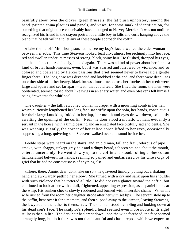painfully about over the clover−green Brussels, the fat plush upholstery, among the hand−painted china plaques and panels, and vases, for some mark of identification, for something that might once conceivably have belonged to Harvey Merrick. It was not until he recognized his friend in the crayon portrait of a little boy in kilts and curls hanging above the piano that he felt willing to let any of these people approach the coffin.

 «Take the lid off, Mr. Thompson; let me see my boy's face,» wailed the elder woman between her sobs. This time Steavens looked fearfully, almost beseechingly into her face, red and swollen under its masses of strong, black, shiny hair. He flushed, dropped his eyes, and then, almost incredulously, looked again. There was a kind of power about her face – a kind of brutal handsomeness, even, but it was scarred and furrowed by violence, and so colored and coarsened by fiercer passions that grief seemed never to have laid a gentle finger there. The long nose was distended and knobbed at the end, and there were deep lines on either side of it; her heavy, black brows almost met across her forehead; her teeth were large and square and set far apart – teeth that could tear. She filled the room; the men were obliterated, seemed tossed about like twigs in an angry water, and even Steavens felt himself being drawn into the whirlpool.

 The daughter – the tall, rawboned woman in crepe, with a mourning comb in her hair which curiously lengthened her long face sat stiffly upon the sofa, her hands, conspicuous for their large knuckles, folded in her lap, her mouth and eyes drawn down, solemnly awaiting the opening of the coffin. Near the door stood a mulatto woman, evidently a servant in the house, with a timid bearing and an emaciated face pitifully sad and gentle. She was weeping silently, the corner of her calico apron lifted to her eyes, occasionally suppressing a long, quivering sob. Steavens walked over and stood beside her.

 Feeble steps were heard on the stairs, and an old man, tall and frail, odorous of pipe smoke, with shaggy, unkept gray hair and a dingy beard, tobacco stained about the mouth, entered uncertainly. He went slowly up to the coffin and stood, rolling a blue cotton handkerchief between his hands, seeming so pained and embarrassed by his wife's orgy of grief that he had no consciousness of anything else.

 «There, there, Annie, dear, don't take on so,» he quavered timidly, putting out a shaking hand and awkwardly patting her elbow. She turned with a cry and sank upon his shoulder with such violence that he tottered a little. He did not even glance toward the coffin, but continued to look at her with a dull, frightened, appealing expression, as a spaniel looks at the whip. His sunken cheeks slowly reddened and burned with miserable shame. When his wife rushed from the room her daughter strode after her with set lips. The servant stole up to the coffin, bent over it for a moment, and then slipped away to the kitchen, leaving Steavens, the lawyer, and the father to themselves. The old man stood trembling and looking down at his dead son's face. The sculptor's splendid head seemed even more noble in its rigid stillness than in life. The dark hair had crept down upon the wide forehead; the face seemed strangely long, but in it there was not that beautiful and chaste repose which we expect to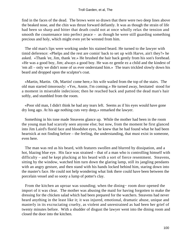find in the faces of the dead. The brows were so drawn that there were two deep lines above the beaked nose, and the chin was thrust forward defiantly. It was as though the strain of life had been so sharp and bitter that death could not at once wholly relax the tension and smooth the countenance into perfect peace – as though he were still guarding something precious and holy, which might even yet be wrested from him.

 The old man's lips were working under his stained beard. He turned to the lawyer with timid deference: «Phelps and the rest are comin' back to set up with Harve, ain't they?» he asked. «Thank 'ee, Jim, thank 'ee.» He brushed the hair back gently from his son's forehead. «He was a good boy, Jim; always a good boy. He was ez gentle ez a child and the kindest of 'em all – only we didn't none of us ever onderstand him.» The tears trickled slowly down his beard and dropped upon the sculptor's coat.

 «Martin, Martin. Oh, Martin! come here,» his wife wailed from the top of the stairs. The old man started timorously: «Yes, Annie, I'm coming.» He turned away, hesitated stood for a moment in miserable indecision; then he reached back and patted the dead man's hair softly, and stumbled from the room.

 «Poor old man, I didn't think he had any tears left. Seems as if his eyes would have gone dry long ago. At his age nothing cuts very deep,» remarked the lawyer.

 Something in his tone made Steavens glance up. While the mother had been in the room the young man had scarcely seen anyone else; but now, from the moment he first glanced into Jim Laird's florid face and bloodshot eyes, he knew that he had found what he had been heartsick at not finding before – the feeling, the understanding, that must exist in someone, even here.

 The man was red as his beard, with features swollen and blurred by dissipation, and a hot, blazing blue eye. His face was strained – that of a man who is controlling himself with difficulty – and he kept plucking at his beard with a sort of fierce resentment. Steavens, sitting by the window, watched him turn down the glaring lamp, still its jangling pendants with an angry gesture, and then stand with his hands locked behind him, staring down into the master's face. He could not help wondering what link there could have been between the porcelain vessel and so sooty a lump of potter's clay.

 From the kitchen an uproar was sounding; when the dining− room door opened the import of it was clear. The mother was abusing the maid for having forgotten to make the dressing for the chicken salad which had been prepared for the watchers. Steavens had never heard anything in the least like it; it was injured, emotional, dramatic abuse, unique and masterly in its excruciating cruelty, as violent and unrestrained as had been her grief of twenty minutes before. With a shudder of disgust the lawyer went into the dining room and closed the door into the kitchen.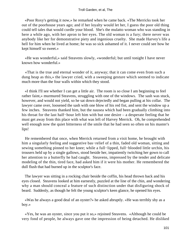«Poor Roxy's getting it now,» he remarked when he came back. «The Merricks took her out of the poorhouse years ago; and if her loyalty would let her, I guess the poor old thing could tell tales that would curdle your blood. She's the mulatto woman who was standing in here a while ago, with her apron to her eyes. The old woman is a fury; there never was anybody like her for demonstrative piety and ingenious cruelty. She made Harvey's life a hell for him when he lived at home; he was so sick ashamed of it. I never could see how he kept himself so sweet.»

 «He was wonderful,» said Steavens slowly, «wonderful; but until tonight I have never known how wonderful.»

 «That is the true and eternal wonder of it, anyway; that it can come even from such a dung heap as this,» the lawyer cried, with a sweeping gesture which seemed to indicate much more than the four walls within which they stood.

 «I think I'll see whether I can get a little air. The room is so close I am beginning to feel rather faint,» murmured Steavens, struggling with one of the windows. The sash was stuck, however, and would not yield, so he sat down dejectedly and began pulling at his collar. The lawyer came over, loosened the sash with one blow of his red fist, and sent the window up a few inches. Steavens thanked him, but the nausea which had been gradually climbing into his throat for the last half−hour left him with but one desire – a desperate feeling that he must get away from this place with what was left of Harvey Merrick. Oh, he comprehended well enough now the quiet bitterness of the smile that he had seen so often on his master's lips!

 He remembered that once, when Merrick returned from a visit home, he brought with him a singularly feeling and suggestive bas−relief of a thin, faded old woman, sitting and sewing something pinned to her knee; while a full−lipped, full−blooded little urchin, his trousers held up by a single gallows, stood beside her, impatiently twitching her gown to call her attention to a butterfly he had caught. Steavens, impressed by the tender and delicate modeling of the thin, tired face, had asked him if it were his mother. He remembered the dull flush that had burned up in the sculptor's face.

 The lawyer was sitting in a rocking chair beside the coffin, his head thrown back and his eyes closed. Steavens looked at him earnestly, puzzled at the line of the chin, and wondering why a man should conceal a feature of such distinction under that disfiguring shock of beard. Suddenly, as though he felt the young sculptor's keen glance, he opened his eyes.

 «Was he always a good deal of an oyster?» he asked abruptly. «He was terribly shy as a boy.»

 «Yes, he was an oyster, since you put it so,» rejoined Steavens. «Although he could be very fond of people, he always gave one the impression of being detached. He disliked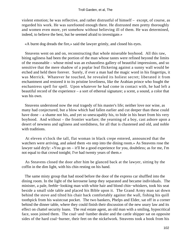violent emotion; he was reflective, and rather distrustful of himself – except, of course, as regarded his work. He was surefooted enough there. He distrusted men pretty thoroughly and women even more, yet somehow without believing ill of them. He was determined, indeed, to believe the best, but he seemed afraid to investigate.»

«A burnt dog dreads the fire,» said the lawyer grimly, and closed his eyes.

 Steavens went on and on, reconstructing that whole miserable boyhood. All this raw, biting ugliness had been the portion of the man whose tastes were refined beyond the limits of the reasonable – whose mind was an exhaustless gallery of beautiful impressions, and so sensitive that the mere shadow of a poplar leaf flickering against a sunny wall would be etched and held there forever. Surely, if ever a man had the magic word in his fingertips, it was Merrick. Whatever he touched, he revealed its holiest secret; liberated it from enchantment and restored it to its pristine loveliness, like the Arabian prince who fought the enchantress spell for spell. Upon whatever he had come in contact with, he had left a beautiful record of the experience – a sort of ethereal signature; a scent, a sound, a color that was his own.

 Steavens understood now the real tragedy of his master's life; neither love nor wine, as many had conjectured, but a blow which had fallen earlier and cut deeper than these could have done – a shame not his, and yet so unescapably his, to bide in his heart from his very boyhood. And without – the frontier warfare; the yearning of a boy, cast ashore upon a desert of newness and ugliness and sordidness, for all that is chastened and old, and noble with traditions.

 At eleven o'clock the tall, flat woman in black crepe entered, announced that the watchers were arriving, and asked them «to step into the dining room.» As Steavens rose the lawyer said dryly: «You go on – it'll be a good experience for you, doubtless; as for me, I'm not equal to that crowd tonight; I've had twenty years of them.»

 As Steavens closed the door after him be glanced back at the lawyer, sitting by the coffin in the dim light, with his chin resting on his hand.

 The same misty group that had stood before the door of the express car shuffled into the dining room. In the light of the kerosene lamp they separated and became individuals. The minister, a pale, feeble−looking man with white hair and blond chin−whiskers, took his seat beside a small side table and placed his Bible upon it. The Grand Army man sat down behind the stove and tilted his chair back comfortably against the wall, fishing his quill toothpick from his waistcoat pocket. The two bankers, Phelps and Elder, sat off in a corner behind the dinner table, where they could finish their discussion of the new usury law and its effect on chattel security loans. The real estate agent, an old man with a smiling, hypocritical face, soon joined them. The coal−and−lumber dealer and the cattle shipper sat on opposite sides of the hard coal−burner, their feet on the nickelwork. Steavens took a book from his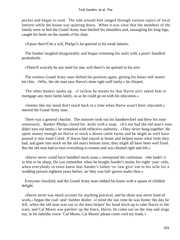pocket and began to read. The talk around him ranged through various topics of local interest while the house was quieting down. When it was clear that the members of the family were in bed the Grand Army man hitched his shoulders and, untangling his long legs, caught his heels on the rounds of his chair.

«S'pose there'll be a will, Phelps?» he queried in his weak falsetto.

 The banker laughed disagreeably and began trimming his nails with a pearl−handled pocketknife.

«There'll scarcely be any need for one, will there?» he queried in his turn.

 The restless Grand Army man shifted his position again, getting his knees still nearer his chin. «Why, the ole man says Harve's done right well lately,» he chirped.

 The other banker spoke up. «I reckon he means by that Harve ain't asked him to mortgage any more farms lately, so as he could go on with his education.»

 «Seems like my mind don't reach back to a time when Harve wasn't bein' edycated,» tittered the Grand Army man.

 There was a general chuckle. The minister took out his handkerchief and blew his nose sonorously. Banker Phelps closed his knife with a snap. «It's too bad the old man's sons didn't turn out better,» he remarked with reflective authority. «They never hung together. He spent money enough on Harve to stock a dozen cattle farms and he might as well have poured it into Sand Creek. If Harve had stayed at home and helped nurse what little they had, and gone into stock on the old man's bottom farm, they might all have been well fixed. But the old man had to trust everything to tenants and was cheated right and left.»

 «Harve never could have handled stock none,» interposed the cattleman. «He hadn't it in him to be sharp. Do you remember when he bought Sander's mules for eight−year−olds, when everybody in town knew that Sander's father−in−law give 'em to his wife for a wedding present eighteen years before, an' they was full−grown mules then.»

 Everyone chuckled, and the Grand Army man rubbed his knees with a spasm of childish delight.

 «Harve never was much account for anything practical, and he shore was never fond of work,» began the coal−and−lumber dealer. «I mind the last time he was home; the day he left, when the old man was out to the barn helpin' his hand hitch up to take Harve to the train, and Cal Moots was patchin' up the fence, Harve, he come out on the step and sings out, in his ladylike voice: 'Cal Moots, Cal Moots! please come cord my trunk.'»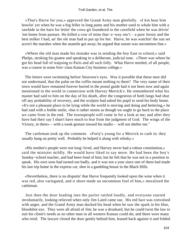«That's Harve for you,» approved the Grand Army man gleefully. «I kin hear him howlin' yet when he was a big feller in long pants and his mother used to whale him with a rawhide in the barn for lettin' the cows git foundered in the cornfield when he was drivin' 'em home from pasture. He killed a cow of mine that−a−way onc't – a pure Jersey and the best milker I had, an' the ole man had to put up for her. Harve, he was watchin' the sun set acros't the marshes when the anamile got away; he argued that sunset was oncommon fine.»

 «Where the old man made his mistake was in sending the boy East to school,» said Phelps, stroking his goatee and speaking in a deliberate, judicial tone. «There was where he got his head full of traipsing to Paris and all such folly. What Harve needed, of all people, was a course in some first−class Kansas City business college.»

 The letters were swimming before Steavens's eyes. Was it possible that these men did not understand, that the palm on the coffin meant nothing to them? The very name of their town would have remained forever buried in the postal guide had it not been now and again mentioned in the world in connection with Harvey Merrick's. He remembered what his master had said to him on the day of his death, after the congestion of both lungs had shut off any probability of recovery, and the sculptor had asked his pupil to send his body home. «It's not a pleasant place to be lying while the world is moving and doing and bettering,» he had said with a feeble smile, «but it rather seems as though we ought to go back to the place we came from in the end. The townspeople will come in for a look at me; and after they have had their say I shan't have much to fear from the judgment of God. The wings of the Victory, in there» – with a weak gesture toward his studio – will not shelter me."

 The cattleman took up the comment. «Forty's young for a Merrick to cash in; they usually hang on pretty well. Probably he helped it along with whisky.»

 «His mother's people were not long−lived, and Harvey never had a robust constitution,» said the minister mildly. He would have liked to say more. He had been the boy's Sunday−school teacher, and had been fond of him; but he felt that he was not in a position to speak. His own sons had turned out badly, and it was not a year since one of them had made his last trip home in the express car, shot in a gambling house in the Black Hills.

 «Nevertheless, there is no disputin' that Harve frequently looked upon the wine when it was red, also variegated, and it shore made an oncommon fool of him,» moralized the cattleman.

 Just then the door leading into the parlor rattled loudly, and everyone started involuntarily, looking relieved when only Jim Laird came out. His red face was convulsed with anger, and the Grand Army man ducked his head when he saw the spark in his blue, bloodshot eye. They were all afraid of Jim; he was a drunkard, but he could twist the law to suit his client's needs as no other man in all western Kansas could do; and there were many who tried. The lawyer closed the door gently behind him, leaned back against it and folded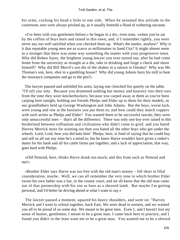his arms, cocking his head a little to one side. When he assumed this attitude in the courtroom, ears were always pricked up, as it usually foretold a flood of withering sarcasm.

 «I've been with you gentlemen before,» he began in a dry, even tone, «when you've sat by the coffins of boys born and raised in this town; and, if I remember rightly, you were never any too well satisfied when you checked them up. What's the matter, anyhow? Why is it that reputable young men are as scarce as millionaires in Sand City? It might almost seem to a stranger that there was some way something the matter with your progressive town. Why did Ruben Sayer, the brightest young lawyer you ever turned out, after he had come home from the university as straight as a die, take to drinking and forge a check and shoot himself? Why did Bill Merrit's son die of the shakes in a saloon in Omaha? Why was Mr. Thomas's son, here, shot in a gambling house? Why did young Adams burn his mill to beat the insurance companies and go to the pen?»

 The lawyer paused and unfolded his arms, laying one clenched fist quietly on the table. "I'll tell you why. Because you drummed nothing but money and knavery into their ears from the time they wore knickerbockers; because you carped away at them as you've been carping here tonight, holding our friends Phelps and Elder up to them for their models, as our grandfathers held up George Washington and John Adams. But the boys, worse luck, were young and raw at the business you put them to; and how could they match coppers with such artists as Phelps and Elder? You wanted them to be successful rascals; they were only unsuccessful ones – that's all the difference. There was only one boy ever raised in this borderland between ruffianism and civilization who didn't come to grief, and you hated Harvey Merrick more for winning out than you hated all the other boys who got under the wheels. Lord, Lord, how you did hate him! Phelps, here, is fond of saying that he could buy and sell us all out any time he's a mind to; but he knew Harve wouldn't have given a tinker's damn for his bank and all his cattle farms put together; and a lack of appreciation, that way, goes hard with Phelps.

 «Old Nimrod, here, thinks Harve drank too much; and this from such as Nimrod and me!»

 «Brother Elder says Harve was too free with the old man's money – fell short in filial consideration, maybe. Well, we can all remember the very tone in which brother Elder swore his own father was a liar, in the county court; and we all know that the old man came out of that partnership with his son as bare as a sheared lamb. But maybe I'm getting personal, and I'd better be driving ahead at what I want to say.»

 The lawyer paused a moment, squared his heavy shoulders, and went on: "Harvey Merrick and I went to school together, back East. We were dead in earnest, and we wanted you all to be proud of us some day. We meant to be great men. Even 1, and I haven't lost my sense of humor, gentlemen, I meant to be a great man. I came back here to practice, and I found you didn't in the least want me to be a great man. You wanted me to be a shrewd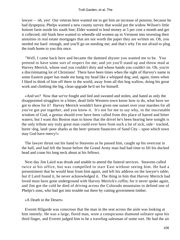lawyer – oh, yes! Our veteran here wanted me to get him an increase of pension, because he had dyspepsia; Phelps wanted a new county survey that would put the widow Wilson's little bottom farm inside his south line; Elder wanted to lend money at 5 per cent a month and get it collected; old Stark here wanted to wheedle old women up in Vermont into investing their annuities in real estate mortgages that are not worth the paper they are written on. Oh, you needed me hard enough, and you'll go on needing me; and that's why I'm not afraid to plug the truth home to you this once.

 "Well, I came back here and became the damned shyster you wanted me to be. You pretend to have some sort of respect for me; and yet you'll stand up and throw mud at Harvey Merrick, whose soul you couldn't dirty and whose hands you couldn't tie. Oh, you're a discriminating lot of Christians! There have been times when the sight of Harvey's name in some Eastern paper has made me hang my head like a whipped dog; and, again, times when I liked to think of him off there in the world, away from all this hog wallow, doing his great work and climbing the big, clean upgrade he'd set for himself.

 «And we? Now that we've fought and lied and sweated and stolen, and hated as only the disappointed strugglers in a bitter, dead little Western town know how to do, what have we got to show for it? Harvey Merrick wouldn't have given one sunset over your marshes for all you've got put together, and you know it. It's not for me to say why, in the inscrutable wisdom of God, a genius should ever have been called from this place of hatred and bitter waters; but I want this Boston man to know that the drivel he's been hearing here tonight is the only tribute any truly great man could ever have from such a lot of sick, side− tracked, burnt−dog, land−poor sharks as the here−present financiers of Sand City – upon which town may God have mercy!»

 The lawyer thrust out his hand to Steavens as he passed him, caught up his overcoat in the hall, and had left the house before the Grand Army man had had time to lift his ducked head and crane his long neck about at his fellows.

 Next day Jim Laird was drunk and unable to attend the funeral services. Steavens called twice at his office, but was compelled to start East without seeing him. He had a presentiment that he would hear from him again, and left his address on the lawyer's table; but if Laird found it, he never acknowledged it. The thing in him that Harvey Merrick had loved must have gone underground with Harvey Merrick's coffin; for it never spoke again, and Jim got the cold he died of driving across the Colorado mountains to defend one of Phelps's sons, who had got into trouble out there by cutting government timber.

# «A Death in the Desert»

 Everett Hilgarde was conscious that the man in the seat across the aisle was looking at him intently. He was a large, florid man, wore a conspicuous diamond solitaire upon his third finger, and Everett judged him to be a traveling salesman of some sort. He had the air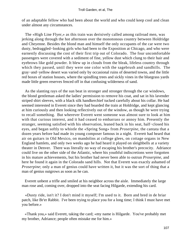of an adaptable fellow who had been about the world and who could keep cool and clean under almost any circumstances.

 The «High Line Flyer,» as this train was derisively called among railroad men, was jerking along through the hot afternoon over the monotonous country between Holdridge and Cheyenne. Besides the blond man and himself the only occupants of the car were two dusty, bedraggled−looking girls who had been to the Exposition at Chicago, and who were earnestly discussing the cost of their first trip out of Colorado. The four uncomfortable passengers were covered with a sediment of fine, yellow dust which clung to their hair and eyebrows like gold powder. It blew up in clouds from the bleak, lifeless country through which they passed, until they were one color with the sagebrush and sandhills. The gray−and−yellow desert was varied only by occasional ruins of deserted towns, and the little red boxes of station houses, where the spindling trees and sickly vines in the bluegrass yards made little green reserves fenced off in that confusing wilderness of sand.

 As the slanting rays of the sun beat in stronger and stronger through the car windows, the blond gentleman asked the ladies' permission to remove his coat, and sat in his lavender striped shirt sleeves, with a black silk handkerchief tucked carefully about his collar. He had seemed interested in Everett since they had boarded the train at Holdridge, and kept glancing at him curiously and then looking reflectively out of the window, as though he were trying to recall something. But wherever Everett went someone was almost sure to look at him with that curious interest, and it had ceased to embarrass or annoy him. Presently the stranger, seeming satisfied with his observation, leaned back in his seat, half−closed his eyes, and began softly to whistle the «Spring Song» from *Proserpine*, the cantata that a dozen years before had made its young composer famous in a night. Everett had heard that air on guitars in Old Mexico, on mandolins at college glees, on cottage organs in New England hamlets, and only two weeks ago he had heard it played on sleighbells at a variety theater in Denver. There was literally no way of escaping his brother's precocity. Adriance could live on the other side of the Atlantic, where his youthful indiscretions were forgotten in his mature achievements, but his brother had never been able to outrun *Proserpine*, and here he found it again in the Colorado sand hills. Not that Everett was exactly ashamed of *Proserpine*; only a man of genius could have written it, but it was the sort of thing that a man of genius outgrows as soon as he can.

 Everett unbent a trifle and smiled at his neighbor across the aisle. Immediately the large man rose and, coming over, dropped into the seat facing Hilgarde, extending his card.

 «Dusty ride, isn't it? I don't mind it myself; I'm used to it. Born and bred in de briar patch, like Br'er Rabbit. I've been trying to place you for a long time; I think I must have met you before.»

 «Thank you,» said Everett, taking the card; «my name is Hilgarde. You've probably met my brother, Adriance; people often mistake me for him.»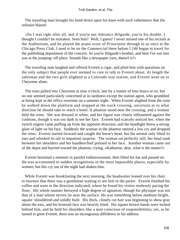The traveling man brought his hand down upon his knee with such vehemence that the solitaire blazed.

 «So I was right after all, and if you're not Adriance Hilgarde, you're his double. I thought I couldn't be mistaken. Seen him? Well, I guess! I never missed one of his recitals at the Auditorium, and he played the piano score of *Proserpine* through to us once at the Chicago Press Club. I used to be on the *Commercial* there before I *146* began to travel for the publishing department of the concern. So you're Hilgarde's brother, and here I've run into you at the jumping−off place. Sounds like a newspaper yarn, doesn't it?»

 The traveling man laughed and offered Everett a cigar, and plied him with questions on the only subject that people ever seemed to care to talk to Everett about. At length the salesman and the two girls alighted at a Colorado way station, and Everett went on to Cheyenne alone.

 The train pulled into Cheyenne at nine o'clock, late by a matter of four hours or so; but no one seemed particularly concerned at its tardiness except the station agent, who grumbled at being kept in the office overtime on a summer night. When Everett alighted from the train he walked down the platform and stopped at the track crossing, uncertain as to what direction he should take to reach a hotel. A phaeton stood near the crossing, and a woman held the reins. She was dressed in white, and her figure was clearly silhouetted against the cushions, though it was too dark to see her face. Everett had scarcely noticed her, when the switch engine came puffing up from the opposite direction, and the headlight threw a strong glare of light on his face. Suddenly the woman in the phaeton uttered a low cry and dropped the reins. Everett started forward and caught the horse's head, but the animal only lifted its ears and whisked its tail in impatient surprise. The woman sat perfectly still, her head sunk between her shoulders and her handkerchief pressed to her face. Another woman came out of the depot and hurried toward the phaeton, crying, «Katharine, dear, what is the matter?»

 Everett hesitated a moment in painful embarrassment, then lifted his hat and passed on. He was accustomed to sudden recognitions in the most impossible places, especially by women, but this cry out of the night had shaken him.

 While Everett was breakfasting the next morning, the headwaiter leaned over his chair to murmur that there was a gentleman waiting to see him in the parlor. Everett finished his coffee and went in the direction indicated, where he found his visitor restlessly pacing the floor. His whole manner betrayed a high degree of agitation, though his physique was not that of a man whose nerves lie near the surface. He was something below medium height, square−shouldered and solidly built. His thick, closely cut hair was beginning to show gray about the ears, and his bronzed face was heavily lined. His square brown hands were locked behind him, and he held his shoulders like a man conscious of responsibilities; yet, as he turned to greet Everett, there was an incongruous diffidence in his address.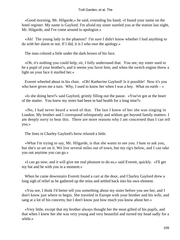«Good morning, Mr. Hilgarde,» he said, extending his hand; «I found your name on the hotel register. My name is Gaylord. I'm afraid my sister startled you at the station last night, Mr. Hilgarde, and I've come around to apologize.»

 «Ah! The young lady in the phaeton? I'm sure I didn't know whether I had anything to do with her alarm or not. If I did, it is I who owe the apology.»

The man colored a little under the dark brown of his face.

 «Oh, it's nothing you could help, sir, I fully understand that. You see, my sister used to be a pupil of your brother's, and it seems you favor him; and when the switch engine threw a light on your face it startled her.»

 Everett wheeled about in his chair. «Oh! *Katharine* Gaylord! Is it possible! Now it's you who have given me a turn. Why, I used to know her when I was a boy. What on earth  $-\infty$ 

 «Is she doing here?» said Gaylord, grimly filling out the pause. «You've got at the heart of the matter. You knew my sister had been in bad health for a long time?»

 «No, I had never heard a word of that. The last I knew of her she was singing in London. My brother and I correspond infrequently and seldom get beyond family matters. I am deeply sorry to hear this. There are more reasons why I am concerned than I can tell you.»

The lines in Charley Gaylord's brow relaxed a little.

 «What I'm trying to say, Mr. Hilgarde, is that she wants to see you. I hate to ask you, but she's so set on it. We live several miles out of town, but my rig's below, and I can take you out anytime you can go.»

 «I can go now, and it will give me real pleasure to do so,» said Everett, quickly. «I'll get my hat and be with you in a moment.»

 When he came downstairs Everett found a cart at the door, and Charley Gaylord drew a long sigh of relief as he gathered up the reins and settled back into his own element.

 «You see, I think I'd better tell you something about my sister before you see her, and I don't know just where to begin. She traveled in Europe with your brother and his wife, and sang at a lot of his concerts; but I don't know just how much you know about her.»

 «Very little, except that my brother always thought her the most gifted of his pupils, and that when I knew her she was very young and very beautiful and turned my head sadly for a while.»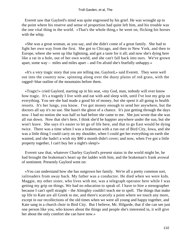Everett saw that Gaylord's mind was quite engrossed by his grief. He was wrought up to the point where his reserve and sense of proportion had quite left him, and his trouble was the one vital thing in the world. «That's the whole thing,» he went on, flicking his horses with the whip.

 «She was a great woman, as you say, and she didn't come of a great family. She had to fight her own way from the first. She got to Chicago, and then to New York, and then to Europe, where she went up like lightning, and got a taste for it all; and now she's dying here like a rat in a hole, out of her own world, and she can't fall back into ours. We've grown apart, some way – miles and miles apart – and I'm afraid she's fearfully unhappy.»

 «It's a very tragic story that you are telling me, Gaylord,» said Everett. They were well out into the country now, spinning along over the dusty plains of red grass, with the ragged−blue outline of the mountains before them.

 «Tragic!» cried Gaylord, starting up in his seat, «my God, man, nobody will ever know how tragic. It's a tragedy I live with and eat with and sleep with, until I've lost my grip on everything. You see she had made a good bit of money, but she spent it all going to health resorts. It's her lungs, you know. I've got money enough to send her anywhere, but the doctors all say it's no use. She hasn't the ghost of a chance. It's just getting through the days now. I had no notion she was half so bad before she came to me. She just wrote that she was all run down. Now that she's here, I think she'd be happier anywhere under the sun, but she won't leave. She says it's easier to let go of life here, and that to go East would be dying twice. There was a time when I was a brakeman with a run out of Bird City, Iowa, and she was a little thing I could carry on my shoulder, when I could get her everything on earth she wanted, and she hadn't a wish my \$80 a month didn't cover; and now, when I've got a little property together, I can't buy her a night's sleep!»

 Everett saw that, whatever Charley Gaylord's present status in the world might be, he had brought the brakeman's heart up the ladder with him, and the brakeman's frank avowal of sentiment. Presently Gaylord went on:

 «You can understand how she has outgrown her family. We're all a pretty common sort, railroaders from away back. My father was a conductor. He died when we were kids. Maggie, my other sister, who lives with me, was a telegraph operator here while I was getting my grip on things. We had no education to speak of. I have to hire a stenographer because I can't spell straight – the Almighty couldn't teach me to spell. The things that make up life to Kate are all Greek to me, and there's scarcely a point where we touch any more, except in our recollections of the old times when we were all young and happy together, and Kate sang in a church choir in Bird City. But I believe, Mr. Hilgarde, that if she can see just one person like you, who knows about the things and people she's interested in, it will give her about the only comfort she can have now.»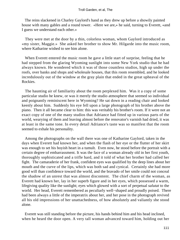The reins slackened in Charley Gaylord's hand as they drew up before a showily painted house with many gables and a round tower. «Here we are,» he said, turning to Everett, «and I guess we understand each other.»

 They were met at the door by a thin, colorless woman, whom Gaylord introduced as «my sister, Maggie.» She asked her brother to show Mr. Hilgarde into the music room, where Katharine wished to see him alone.

 When Everett entered the music room he gave a little start of surprise, feeling that he had stepped from the glaring Wyoming sunlight into some New York studio that he had always known. He wondered which it was of those countless studios, high up under the roofs, over banks and shops and wholesale houses, that this room resembled, and he looked incredulously out of the window at the gray plain that ended in the great upheaval of the Rockies.

 The haunting air of familiarity about the room perplexed him. Was it a copy of some particular studio he knew, or was it merely the studio atmosphere that seemed so individual and poignantly reminiscent here in Wyoming? He sat down in a reading chair and looked keenly about him. Suddenly his eye fell upon a large photograph of his brother above the piano. Then it all became clear to him: this was veritably his brother's room. If it were not an exact copy of one of the many studios that Adriance had fitted up in various parts of the world, wearying of them and leaving almost before the renovator's varnish had dried, it was at least in the same tone. In every detail Adriance's taste was so manifest that the room seemed to exhale his personality.

 Among the photographs on the wall there was one of Katharine Gaylord, taken in the days when Everett had known her, and when the flash of her eye or the flutter of her skirt was enough to set his boyish heart in a tumult. Even now, he stood before the portrait with a certain degree of embarrassment. It was the face of a woman already old in her first youth, thoroughly sophisticated and a trifle hard, and it told of what her brother had called her fight. The camaraderie of her frank, confident eyes was qualified by the deep lines about her mouth and the curve of the lips, which was both sad and cynical. Certainly she had more good will than confidence toward the world, and the bravado of her smile could not conceal the shadow of an unrest that was almost discontent. The chief charm of the woman, as Everett had known her, lay in her superb figure and in her eyes, which possessed a warm, lifegiving quality like the sunlight; eyes which glowed with a sort of perpetual *salutat* to the world. Her head, Everett remembered as peculiarly well−shaped and proudly poised. There had been always a little of the imperatrix about her, and her pose in the photograph revived all his old impressions of her unattachedness, of how absolutely and valiantly she stood alone.

 Everett was still standing before the picture, his hands behind him and his head inclined, when he heard the door open. A very tall woman advanced toward him, holding out her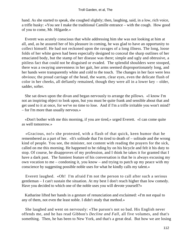hand. As she started to speak, she coughed slightly; then, laughing, said, in a low, rich voice, a trifle husky: «You see I make the traditional Camille entrance – with the cough. How good of you to come, Mr. Hilgarde.»

 Everett was acutely conscious that while addressing him she was not looking at him at all, and, as he assured her of his pleasure in coming, he was glad to have an opportunity to collect himself. He had not reckoned upon the ravages of a long illness. The long, loose folds of her white gown had been especially designed to conceal the sharp outlines of her emaciated body, but the stamp of her disease was there; simple and ugly and obtrusive, a pitiless fact that could not be disguised or evaded. The splendid shoulders were stooped, there was a swaying unevenness in her gait, her arms seemed disproportionately long, and her hands were transparently white and cold to the touch. The changes in her face were less obvious; the proud carriage of the head, the warm, clear eyes, even the delicate flush of color in her cheeks, all defiantly remained, though they were all in a lower key – older, sadder, softer.

 She sat down upon the divan and began nervously to arrange the pillows. «I know I'm not an inspiring object to look upon, but you must be quite frank and sensible about that and get used to it at once, for we've no time to lose. And if I'm a trifle irritable you won't mind? – for I'm more than usually nervous.»

 «Don't bother with me this morning, if you are tired,» urged Everett. «I can come quite as well tomorrow.»

 «Gracious, no!» she protested, with a flash of that quick, keen humor that he remembered as a part of her. «It's solitude that I'm tired to death of – solitude and the wrong kind of people. You see, the minister, not content with reading the prayers for the sick, called on me this morning. He happened to be riding by on his bicycle and felt it his duty to stop. Of course, he disapproves of my profession, and I think he takes it for granted that I have a dark past. The funniest feature of his conversation is that he is always excusing my own vocation to me – condoning it, you know – and trying to patch up my peace with my conscience by suggesting possible noble uses for what he kindly calls my talent.»

 Everett laughed. «Oh! I'm afraid I'm not the person to call after such a serious gentleman – I can't sustain the situation. At my best I don't reach higher than low comedy. Have you decided to which one of the noble uses you will devote yourself?»

 Katharine lifted her hands in a gesture of renunciation and exclaimed: «I'm not equal to any of them, not even the least noble. I didn't study that method.»

 She laughed and went on nervously: «The parson's not so bad. His English never offends me, and he has read Gibbon's *Decline and Fall*, all five volumes, and that's something. Then, he has been to New York, and that's a great deal. But how we are losing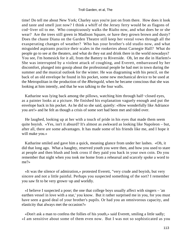time! Do tell me about New York; Charley says you're just on from there. How does it look and taste and smell just now? I think a whiff of the Jersey ferry would be as flagons of cod−liver oil to me. Who conspicuously walks the Rialto now, and what does he or she wear? Are the trees still green in Madison Square, or have they grown brown and dusty? Does the chaste Diana on the Garden Theatre still keep her vestal vows through all the exasperating changes of weather? Who has your brother's old studio now, and what misguided aspirants practice their scales in the rookeries about Carnegie Hall? What do people go to see at the theaters, and what do they eat and drink there in the world nowadays? You see, I'm homesick for it all, from the Battery to Riverside. Oh, let me die in Harlem!» She was interrupted by a violent attack of coughing, and Everett, embarrassed by her discomfort, plunged into gossip about the professional people he had met in town during the summer and the musical outlook for the winter. He was diagraming with his pencil, on the back of an old envelope he found in his pocket, some new mechanical device to be used at the Metropolitan in the production of the *Rheingold*, when he became conscious that she was looking at him intently, and that he was talking to the four walls.

 Katharine was lying back among the pillows, watching him through half−closed eyes, as a painter looks at a picture. He finished his explanation vaguely enough and put the envelope back in his pocket. As he did so she said, quietly: «How wonderfully like Adriance you are!» and he felt as though a crisis of some sort had been met and tided over.

 He laughed, looking up at her with a touch of pride in his eyes that made them seem quite boyish. «Yes, isn't it absurd? It's almost as awkward as looking like Napoleon – but, after all, there are some advantages. It has made some of his friends like me, and I hope it will make you.»

 Katharine smiled and gave him a quick, meaning glance from under her lashes. «Oh, it did that long ago. What a haughty, reserved youth you were then, and how you used to stare at people and then blush and look cross if they paid you back in your own coin. Do you remember that night when you took me home from a rehearsal and scarcely spoke a word to me?»

 «It was the silence of admiration,» protested Everett, "very crude and boyish, but very sincere and not a little painful. Perhaps you suspected something of the sort? I remember you saw fit to be very grown−up and worldly.

 «I believe I suspected a pose; the one that college boys usually affect with singers – 'an earthen vessel in love with a star,' you know. But it rather surprised me in you, for you must have seen a good deal of your brother's pupils. Or had you an omnivorous capacity, and elasticity that always met the occasion?»

 «Don't ask a man to confess the follies of his youth,» said Everett, smiling a little sadly; «I am sensitive about some of them even now. But I was not so sophisticated as you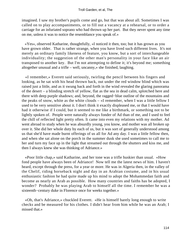imagined. I saw my brother's pupils come and go, but that was about all. Sometimes I was called on to play accompaniments, or to fill out a vacancy at a rehearsal, or to order a carriage for an infuriated soprano who had thrown up her part. But they never spent any time on me, unless it was to notice the resemblance you speak of.»

 «Yes», observed Katharine, thoughtfully, «I noticed it then, too; but it has grown as you have grown older. That is rather strange, when you have lived such different lives. It's not merely an ordinary family likeness of feature, you know, but a sort of interchangeable individuality; the suggestion of the other man's personality in your face like an air transposed to another key. But I'm not attempting to define it; it's beyond me; something altogether unusual and a trifle – well, uncanny,» she finished, laughing.

 «I remember,» Everett said seriously, twirling the pencil between his fingers and looking, as he sat with his head thrown back, out under the red window blind which was raised just a little, and as it swung back and forth in the wind revealed the glaring panorama of the desert – a blinding stretch of yellow, flat as the sea in dead calm, splotched here and there with deep purple shadows; and, beyond, the ragged−blue outline of the mountains and the peaks of snow, white as the white clouds – «I remember, when I was a little fellow I used to be very sensitive about it. I don't think it exactly displeased me, or that I would have had it otherwise if I could, but it seemed to me like a birthmark, or something not to be lightly spoken of. People were naturally always fonder of Ad than of me, and I used to feel the chill of reflected light pretty often. It came into even my relations with my mother. Ad went abroad to study when he was absurdly young, you know, and mother was all broken up over it. She did her whole duty by each of us, but it was sort of generally understood among us that she'd have made burnt offerings of us all for Ad any day. I was a little fellow then, and when she sat alone on the porch in the summer dusk she used sometimes to call me to her and turn my face up in the light that streamed out through the shutters and kiss me, and then I always knew she was thinking of Adriance.»

 «Poor little chap,» said Katharine, and her tone was a trifle huskier than usual. «How fond people have always been of Adriance! Now tell me the latest news of him. I haven't heard, except through the press, for a year or more. He was in Algeria then, in the valley of the Chelif, riding horseback night and day in an Arabian costume, and in his usual enthusiastic fashion he had quite made up his mind to adopt the Mohammedan faith and become as nearly an Arab as possible. How many countries and faiths has be adopted, I wonder? Probably he was playing Arab to himself all the time. I remember he was a sixteenth−century duke in Florence once for weeks together.»

 «Oh, that's Adriance,» chuckled Everett. «He is himself barely long enough to write checks and be measured for his clothes. I didn't hear from him while he was an Arab; I missed that.»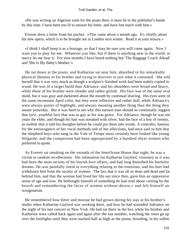«He was writing an Algerian suite for the piano then; it must be in the publisher's hands by this time. I have been too ill to answer his letter, and have lost touch with him.»

 Everett drew a letter from his pocket. «This came about a month ago. It's chiefly about his new opera, which is to be brought out in London next winter. Read it at your leisure.»

 «I think I shall keep it as a hostage, so that I may be sure you will come again. Now I want you to play for me. Whatever you like; but if there is anything new in the world, in mercy let me hear it. For nine months I have heard nothing but 'The Baggage Coach Ahead' and 'She Is My Baby's Mother.'»

 He sat down at the piano, and Katharine sat near him, absorbed in his remarkable physical likeness to his brother and trying to discover in just what it consisted. She told herself that it was very much as though a sculptor's finished work had been rudely copied in wood. He was of a larger build than Adriance, and his shoulders were broad and heavy, while those of his brother were slender and rather girlish. His face was of the same oval mold, but it was gray and darkened about the mouth by continual shaving. His eyes were of the same inconstant April color, but they were reflective and rather dull; while Adriance's were always points of highlight, and always meaning another thing than the thing they meant yesterday. But it was hard to see why this earnest man should so continually suggest that lyric, youthful face that was as gay as his was grave. For Adriance, though he was ten years the elder, and though his hair was streaked with silver, had the face of a boy of twenty, so mobile that it told his thoughts before he could put them into words. A contralto, famous for the extravagance of her vocal methods and of her affections, had once said to him that the shepherd boys who sang in the Vale of Tempe must certainly have looked like young Hilgarde; and the comparison had been appropriated by a hundred shyer women who preferred to quote.

 As Everett sat smoking on the veranda of the InterOcean House that night, he was a victim to random recollections. His infatuation for Katharine Gaylord, visionary as it was, had been the most serious of his boyish love affairs, and had long disturbed his bachelor dreams. He was painfully timid in everything relating to the emotions, and his hurt had withdrawn him from the society of women. The fact that it was all so done and dead and far behind him, and that the woman had lived her life out since then, gave him an oppressive sense of age and loss. He bethought himself of something he had read about «sitting by the hearth and remembering the faces of women without desire,» and felt himself an octogenarian.

 He remembered how bitter and morose he had grown during his stay at his brother's studio when Katharine Gaylord was working there, and how he had wounded Adriance on the night of his last concert in New York. He had sat there in the box while his brother and Katharine were called back again and again after the last number, watching the roses go up over the footlights until they were stacked half as high as the piano, brooding, in his sullen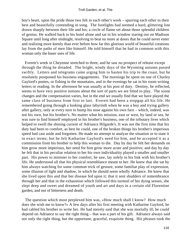boy's heart, upon the pride those two felt in each other's work – spurring each other to their best and beautifully contending in song. The footlights had seemed a hard, glittering line drawn sharply between their life and his; a circle of flame set about those splendid children of genius. He walked back to his hotel alone and sat in his window staring out on Madison Square until long after midnight, resolving to beat no more at doors that he could never enter and realizing more keenly than ever before how far this glorious world of beautiful creations lay from the paths of men like himself. He told himself that he had in common with this woman only the baser uses of life.

 Everett's week in Cheyenne stretched to three, and he saw no prospect of release except through the thing he dreaded. The bright, windy days of the Wyoming autumn passed swiftly. Letters and telegrams came urging him to hasten his trip to the coast, but he resolutely postponed his business engagements. The mornings he spent on one of Charley Gaylord's ponies, or fishing in the mountains, and in the evenings he sat in his room writing letters or reading. In the afternoon he was usually at his post of duty. Destiny, he reflected, seems to have very positive notions about the sort of parts we are fitted to play. The scene changes and the compensation varies, but in the end we usually find that we have played the same class of business from first to last. Everett had been a stopgap all his life. He remembered going through a looking glass labyrinth when he was a boy and trying gallery after gallery, only at every turn to bump his nose against his own face – which, indeed, was not his own, but his brother's. No matter what his mission, east or west, by land or sea, he was sure to find himself employed in his brother's business, one of the tributary lives which helped to swell the shining current of Adriance Hilgarde's. It was not the first time that his duty had been to comfort, as best he could, one of the broken things his brother's imperious speed had cast aside and forgotten. He made no attempt to analyze the situation or to state it in exact terms; but he felt Katharine Gaylord's need for him, and he accepted it as a commission from his brother to help this woman to die. Day by day he felt her demands on him grow more imperious, her need for him grow more acute and positive; and day by day he felt that in his peculiar relation to her his own individuality played a smaller and smaller part. His power to minister to her comfort, he saw, lay solely in his link with his brother's life. He understood all that his physical resemblance meant to her. He knew that she sat by him always watching for some common trick of gesture, some familiar play of expression, some illusion of light and shadow, in which he should seem wholly Adriance. He knew that she lived upon this and that her disease fed upon it; that it sent shudders of remembrance through her and that in the exhaustion which followed this turmoil of her dying senses, she slept deep and sweet and dreamed of youth and art and days in a certain old Florentine garden, and not of bitterness and death.

 The question which most perplexed him was, «How much shall I know? How much does she wish me to know?» A few days after his first meeting with Katharine Gaylord, he had cabled his brother to write her. He had merely said that she was mortally ill; he could depend on Adriance to say the right thing – that was a part of his gift. Adriance always said not only the right thing, but the opportune, graceful, exquisite thing. His phrases took the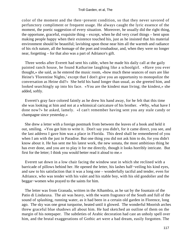color of the moment and the then−present condition, so that they never savored of perfunctory compliment or frequent usage. He always caught the lyric essence of the moment, the poetic suggestion of every situation. Moreover, he usually did the right thing, the opportune, graceful, exquisite thing – except, when he did very cruel things – bent upon making people happy when their existence touched his, just as he insisted that his material environment should be beautiful; lavishing upon those near him all the warmth and radiance of his rich nature, all the homage of the poet and troubadour, and, when they were no longer near, forgetting – for that also was a part of Adriance's gift.

 Three weeks after Everett had sent his cable, when he made his daily call at the gaily painted ranch house, he found Katharine laughing like a schoolgirl. «Have you ever thought,» she said, as he entered the music room, «how much these seances of ours are like Heine's 'Florentine Nights,' except that I don't give you an opportunity to monopolize the conversation as Heine did?» She held his hand longer than usual, as she greeted him, and looked searchingly up into his face. «You are the kindest man living; the kindest,» she added, softly.

 Everett's gray face colored faintly as he drew his hand away, for he felt that this time she was looking at him and not at a whimsical caricature of his brother. «Why, what have I done now?» he asked, lamely. «I can't remember having sent you any stale candy or champagne since yesterday.»

 She drew a letter with a foreign postmark from between the leaves of a book and held it out, smiling. «You got him to write it. Don't say you didn't, for it came direct, you see, and the last address I gave him was a place in Florida. This deed shall be remembered of you when I am with the just in Paradise. But one thing you did not ask him to do, for you didn't know about it. He has sent me his latest work, the new sonata, the most ambitious thing he has ever done, and you are to play it for me directly, though it looks horribly intricate. But first for the letter; I think you would better read it aloud to me.»

 Everett sat down in a low chair facing the window seat in which she reclined with a barricade of pillows behind her. He opened the letter, his lashes half−veiling his kind eyes, and saw to his satisfaction that it was a long one – wonderfully tactful and tender, even for Adriance, who was tender with his valet and his stable boy, with his old gondolier and the beggar−women who prayed to the saints for him.

 The letter was from Granada, written in the Alhambra, as he sat by the fountain of the Patio di Lindaraxa. The air was heavy, with the warm fragrance of the South and full of the sound of splashing, running water, as it had been in a certain old garden in Florence, long ago. The sky was one great turquoise, heated until it glowed. The wonderful Moorish arches threw graceful blue shadows all about him. He had sketched an outline of them on the margin of his notepaper. The subtleties of Arabic decoration had cast an unholy spell over him, and the brutal exaggerations of Gothic art were a bad dream, easily forgotten. The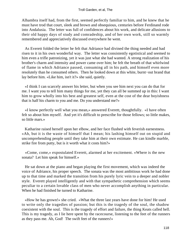Alhambra itself had, from the first, seemed perfectly familiar to him, and he knew that he must have trod that court, sleek and brown and obsequious, centuries before Ferdinand rode into Andalusia. The letter was full of confidences about his work, and delicate allusions to their old happy days of study and comradeship, and of her own work, still so warmly remembered and appreciatively discussed everywhere he went.

 As Everett folded the letter he felt that Adriance had divined the thing needed and had risen to it in his own wonderful way. The letter was consistently egotistical and seemed to him even a trifle patronizing, yet it was just what she had wanted. A strong realization of his brother's charm and intensity and power came over him; he felt the breath of that whirlwind of flame in which Adriance passed, consuming all in his path, and himself even more resolutely than he consumed others. Then he looked down at this white, burnt−out brand that lay before him. «Like him, isn't it?» she said, quietly.

 «I think I can scarcely answer his letter, but when you see him next you can do that for me. I want you to tell him many things for me, yet they can all be summed up in this: I want him to grow wholly into his best and greatest self, even at the cost of the dear boyishness that is half his charm to you and me. Do you understand me?»

 «I know perfectly well what you mean,» answered Everett, thoughtfully. «I have often felt so about him myself. And yet it's difficult to prescribe for those fellows; so little makes, so little mars.»

 Katharine raised herself upon her elbow, and her face flushed with feverish earnestness. «Ah, but it is the waste of himself that I mean; his lashing himself out on stupid and uncomprehending people until they take him at their own estimate. He can kindle marble, strike fire from putty, but is it worth what it costs him?»

 «Come, come,» expostulated Everett, alarmed at her excitement. «Where is the new sonata? Let him speak for himself.»

 He sat down at the piano and began playing the first movement, which was indeed the voice of Adriance, his proper speech. The sonata was the most ambitious work he had done up to that time and marked the transition from his purely lyric vein to a deeper and nobler style. Everett played intelligently and with that sympathetic comprehension which seems peculiar to a certain lovable class of men who never accomplish anything in particular. When he had finished he turned to Katharine.

 «How he has grown!» she cried. «What the three last years have done for him! He used to write only the tragedies of passion; but this is the tragedy of the soul, the shadow coexistent with the soul. This is the tragedy of effort and failure, the thing Keats called hell. This is my tragedy, as I lie here spent by the racecourse, listening to the feet of the runners as they pass me. Ah, God! The swift feet of the runners!»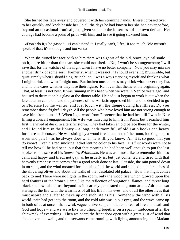She turned her face away and covered it with her straining hands. Everett crossed over to her quickly and knelt beside her. In all the days he had known her she had never before, beyond an occasional ironical jest, given voice to the bitterness of her own defeat. Her courage had become a point of pride with him, and to see it going sickened him.

 «Don't do it,» he gasped. «I can't stand it, I really can't, I feel it too much. We mustn't speak of that; it's too tragic and too vast.»

 When she turned her face back to him there was a ghost of the old, brave, cynical smile on it, more bitter than the tears she could not shed. «No, I won't be so ungenerous; I will save that for the watches of the night when I have no better company. Now you may mix me another drink of some sort. Formerly, when it was not *if* I should ever sing Brunnhilde, but quite simply when I *should* sing Brunnhilde, I was always starving myself and thinking what I might drink and what I might not. But broken music boxes may drink whatsoever they list, and no one cares whether they lose their figure. Run over that theme at the beginning again. That, at least, is not new. It was running in his head when we were in Venice years ago, and he used to drum it on his glass at the dinner table. He had just begun to work it out when the late autumn came on, and the paleness of the Adriatic oppressed him, and he decided to go to Florence for the winter, and lost touch with the theme during his illness. Do you remember those frightful days? All the people who have loved him are not strong enough to save him from himself! When I got word from Florence that he had been ill I was in Nice filling a concert engagement. His wife was hurrying to him from Paris, but I reached him first. I arrived at dusk, in a terrific storm. They had taken an old palace there for the winter, and I found him in the library – a long, dark room full of old Latin books and heavy furniture and bronzes. He was sitting by a wood fire at one end of the room, looking, oh, so worn and pale! – as he always does when he is ill, you know. Ah, it is so good that you *do* know! Even his red smoking jacket lent no color to his face. His first words were not to tell me how ill he had been, but that that morning he had been well enough to put the last strokes to the score of his *Souvenirs d'Automne*. He was as I most like to remember him: so calm and happy and tired; not gay, as he usually is, but just contented and tired with that heavenly tiredness that comes after a good work done at last. Outside, the rain poured down in torrents, and the wind moaned for the pain of all the world and sobbed in the branches of the shivering olives and about the walls of that desolated old palace. How that night comes back to me! There were no lights in the room, only the wood fire which glowed upon the hard features of the bronze Dante, like the reflection of purgatorial flames, and threw long black shadows about us; beyond us it scarcely penetrated the gloom at all, Adriance sat staring at the fire with the weariness of all his life in his eves, and of all the other lives that must aspire and suffer to make up one such life as his. Somehow the wind with all its world−pain had got into the room, and the cold rain was in our eyes, and the wave came up in both of us at once – that awful, vague, universal pain, that cold fear of life and death and God and hope – and we were like two clinging together on a spar in midocean after the shipwreck of everything. Then we heard the front door open with a great gust of wind that shook even the walls, and the servants came running with lights, announcing that Madam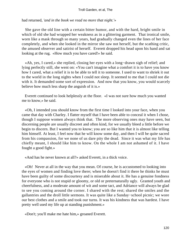## Troll Garden, et al, The

had returned, *'and in the book we read no more that night.'*»

 She gave the old line with a certain bitter humor, and with the hard, bright smile in which of old she had wrapped her weakness as in a glittering garment. That ironical smile, worn like a mask through so many years, had gradually changed even the lines of her face completely, and when she looked in the mirror she saw not herself, but the scathing critic, the amused observer and satirist of herself. Everett dropped his head upon his hand and sat looking at the rug. «How much you have cared!» he said.

 «Ah, yes, I cared,» she replied, closing her eyes with a long−drawn sigh of relief; and lying perfectly still, she went on: «You can't imagine what a comfort it is to have you know how I cared, what a relief it is to be able to tell it to someone. I used to want to shriek it out to the world in the long nights when I could not sleep. It seemed to me that I could not die with it. It demanded some sort of expression. And now that you know, you would scarcely believe how much less sharp the anguish of it is.»

 Everett continued to look helplessly at the floor. «I was not sure how much you wanted me to know,» he said.

 «Oh, I intended you should know from the first time I looked into your face, when you came that day with Charley. I flatter myself that I have been able to conceal it when I chose, though I suppose women always think that. The more observing ones may have seen, but discerning people are usually discreet and often kind, for we usually bleed a little before we begin to discern. But I wanted you to know; you are so like him that it is almost like telling him himself. At least, I feel now that he will know some day, and then I will be quite sacred from his compassion, for we none of us dare pity the dead. Since it was what my life has chiefly meant, I should like him to know. On the whole I am not ashamed of it. I have fought a good fight.»

«And has he never known at all?» asked Everett, in a thick voice.

 «Oh! Never at all in the way that you mean. Of course, he is accustomed to looking into the eyes of women and finding love there; when he doesn't find it there he thinks he must have been guilty of some discourtesy and is miserable about it. He has a genuine fondness for everyone who is not stupid or gloomy, or old or preternaturally ugly. Granted youth and cheerfulness, and a moderate amount of wit and some tact, and Adriance will always be glad to see you coming around the corner. I shared with the rest; shared the smiles and the gallantries and the droll little sermons. It was quite like a Sunday−school picnic; we wore our best clothes and a smile and took our turns. It was his kindness that was hardest. I have pretty well used my life up at standing punishment.»

«Don't; you'll make me hate him,» groaned Everett.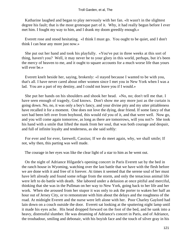Katharine laughed and began to play nervously with her fan. «It wasn't in the slightest degree his fault; that is the most grotesque part of it. Why, it had really begun before I ever met him. I fought my way to him, and I drank my doom greedily enough.»

 Everett rose and stood hesitating. «I think I must go. You ought to be quiet, and I don't think I can hear any more just now.»

 She put out her hand and took his playfully. «You've put in three weeks at this sort of thing, haven't you? Well, it may never be to your glory in this world, perhaps, but it's been the mercy of heaven to me, and it ought to square accounts for a much worse life than yours will ever be.»

 Everett knelt beside her, saying, brokenly: «I stayed because I wanted to be with you, that's all. I have never cared about other women since I met you in New York when I was a lad. You are a part of my destiny, and I could not leave you if I would.»

 She put her hands on his shoulders and shook her head. «No, no; don't tell me that. I have seen enough of tragedy, God knows. Don't show me any more just as the curtain is going down. No, no, it was only a boy's fancy, and your divine pity and my utter pitiableness have recalled it for a moment. One does not love the dying, dear friend. If some fancy of that sort had been left over from boyhood, this would rid you of it, and that were well. Now go, and you will come again tomorrow, as long as there are tomorrows, will you not?» She took his hand with a smile that lifted the mask from her soul, that was both courage and despair, and full of infinite loyalty and tenderness, as she said softly:

 For ever and for ever, farewell, Cassius; If we do meet again, why, we shall smile; If not, why then, this parting was well made.

The courage in her eyes was like the clear light of a star to him as he went out.

 On the night of Adriance Hilgarde's opening concert in Paris Everett sat by the bed in the ranch house in Wyoming, watching over the last battle that we have with the flesh before we are done with it and free of it forever. At times it seemed that the serene soul of her must have left already and found some refuge from the storm, and only the tenacious animal life were left to do battle with death. She labored under a delusion at once pitiful and merciful, thinking that she was in the Pullman on her way to New York, going back to her life and her work. When she aroused from her stupor it was only to ask the porter to waken her half an hour out of Jersey City, or to remonstrate with him about the delays and the roughness of the road. At midnight Everett and the nurse were left alone with her. Poor Charley Gaylord had lain down on a couch outside the door. Everett sat looking at the sputtering night lamp until it made his eyes ache. His head dropped forward on the foot of the bed, and he sank into a heavy, distressful slumber. He was dreaming of Adriance's concert in Paris, and of Adriance, the troubadour, smiling and debonair, with his boyish face and the touch of silver gray in his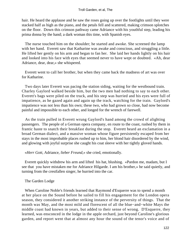## Troll Garden, et al, The

hair. He heard the applause and he saw the roses going up over the footlights until they were stacked half as high as the piano, and the petals fell and scattered, making crimson splotches on the floor. Down this crimson pathway came Adriance with his youthful step, leading his prima donna by the hand; a dark woman this time, with Spanish eyes.

 The nurse touched him on the shoulder; he started and awoke. She screened the lamp with her hand. Everett saw that Katharine was awake and conscious, and struggling a little. He lifted her gently on his arm and began to fan her. She laid her hands lightly on his hair and looked into his face with eyes that seemed never to have wept or doubted. «Ah, dear Adriance, dear, dear,» she whispered.

 Everett went to call her brother, but when they came back the madness of art was over for Katharine.

 Two days later Everett was pacing the station siding, waiting for the westbound train. Charley Gaylord walked beside him, but the two men had nothing to say to each other. Everett's bags were piled on the truck, and his step was hurried and his eyes were full of impatience, as he gazed again and again up the track, watching for the train. Gaylord's impatience was not less than his own; these two, who had grown so close, had now become painful and impossible to each other, and longed for the wrench of farewell.

 As the train pulled in Everett wrung Gaylord's hand among the crowd of alighting passengers. The people of a German opera company, en route to the coast, rushed by them in frantic haste to snatch their breakfast during the stop. Everett heard an exclamation in a broad German dialect, and a massive woman whose figure persistently escaped from her stays in the most improbable places rushed up to him, her blond hair disordered by the wind, and glowing with joyful surprise she caught his coat sleeve with her tightly gloved hands.

«*Herr Gott*, Adriance, *lieber Freund*,» she cried, emotionally.

 Everett quickly withdrew his arm and lifted his hat, blushing. «Pardon me, madam, but I see that you have mistaken me for Adriance Hilgarde. I am his brother,» he said quietly, and turning from the crestfallen singer, he hurried into the car.

# The Garden Lodge

 When Caroline Noble's friends learned that Raymond d'Esquerre was to spend a month at her place on the Sound before he sailed to fill his engagement for the London opera season, they considered it another striking instance of the perversity of things. That the month was May, and the most mild and florescent of all the blue−and−white Mays the middle coast had known in years, but added to their sense of wrong. D'Esquerre, they learned, was ensconced in the lodge in the apple orchard, just beyond Caroline's glorious garden, and report went that at almost any hour the sound of the tenor's voice and of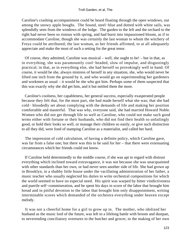Caroline's crashing accompaniment could be heard floating through the open windows, out among the snowy apple boughs. The Sound, steel−blue and dotted with white sails, was splendidly seen from the windows of the lodge. The garden to the left and the orchard to the right had never been so riotous with spring, and had burst into impassioned bloom, as if to accommodate Caroline, though she was certainly the last woman to whom the witchery of Freya could be attributed; the last woman, as her friends affirmed, to at all adequately appreciate and make the most of such a setting for the great tenor.

 Of course, they admitted, Caroline was musical – well, she ought to be! – but in that, as in everything, she was paramountly cool−headed, slow of impulse, and disgustingly practical; in that, as in everything else, she had herself so provokingly well in hand. Of course, it would be she, always mistress of herself in any situation, she, who would never be lifted one inch from the ground by it, and who would go on superintending her gardeners and workmen as usual – it would be she who got him. Perhaps some of them suspected that this was exactly why she did get him, and it but nettled them the more.

 Caroline's coolness, her capableness, her general success, especially exasperated people because they felt that, for the most part, she had made herself what she was; that she had cold− bloodedly set about complying with the demands of life and making her position comfortable and masterful. That was why, everyone said, she had married Howard Noble. Women who did not get through life so well as Caroline, who could not make such good terms either with fortune or their husbands, who did not find their health so unfailingly good, or hold their looks so well, or manage their children so easily, or give such distinction to all they did, were fond of stamping Caroline as a materialist, and called her hard.

 The impression of cold calculation, of having a definite policy, which Caroline gave, was far from a false one; but there was this to be said for her – that there were extenuating circumstances which her friends could not know.

 If Caroline held determinedly to the middle course, if she was apt to regard with distrust everything which inclined toward extravagance, it was not because she was unacquainted with other standards than her own, or had never seen another side of life. She had grown up in Brooklyn, in a shabby little house under the vacillating administration of her father, a music teacher who usually neglected his duties to write orchestral compositions for which the world seemed to have no especial need. His spirit was warped by bitter vindictiveness and puerile self−commiseration, and he spent his days in scorn of the labor that brought him bread and in pitiful devotion to the labor that brought him only disappointment, writing interminable scores which demanded of the orchestra everything under heaven except melody.

 It was not a cheerful home for a girl to grow up in. The mother, who idolized her husband as the music lord of the future, was left to a lifelong battle with broom and dustpan, to neverending conciliatory overtures to the butcher and grocer, to the making of her own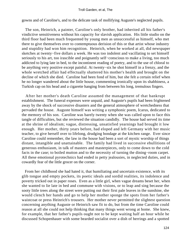gowns and of Caroline's, and to the delicate task of mollifying Auguste's neglected pupils.

 The son, Heinrich, a painter, Caroline's only brother, had inherited all his father's vindictive sensitiveness without his capacity for slavish application. His little studio on the third floor had been much frequented by young men as unsuccessful as himself, who met there to give themselves over to contemptuous derision of this or that artist whose industry and stupidity had won him recognition. Heinrich, when he worked at all, did newspaper sketches at twenty−five dollars a week. He was too indolent and vacillating to set himself seriously to his art, too irascible and poignantly self−conscious to make a living, too much addicted to lying late in bed, to the incontinent reading of poetry, and to the use of chloral to be anything very positive except painful. At twenty−six he shot himself in a frenzy, and the whole wretched affair had effectually shattered his mother's health and brought on the decline of which she died. Caroline had been fond of him, but she felt a certain relief when he no longer wandered about the little house, commenting ironically upon its shabbiness, a Turkish cap on his head and a cigarette hanging from between his long, tremulous fingers.

 After her mother's death Caroline assumed the management of that bankrupt establishment. The funeral expenses were unpaid, and Auguste's pupils had been frightened away by the shock of successive disasters and the general atmosphere of wretchedness that pervaded the house. Auguste himself was writing a symphonic poem, Icarus, dedicated to the memory of his son. Caroline was barely twenty when she was called upon to face this tangle of difficulties, but she reviewed the situation candidly. The house had served its time at the shrine of idealism; vague, distressing, unsatisfied yearnings had brought it low enough. Her mother, thirty years before, had eloped and left Germany with her music teacher, to give herself over to lifelong, drudging bondage at the kitchen range. Ever since Caroline could remember, the law in the house had been a sort of mystic worship of things distant, intangible and unattainable. The family had lived in successive ebullitions of generous enthusiasm, in talk of masters and masterpieces, only to come down to the cold facts in the case; to boiled mutton and to the necessity of turning the dining−room carpet. All these emotional pyrotechnics had ended in petty jealousies, in neglected duties, and in cowardly fear of the little grocer on the corner.

 From her childhood she had hated it, that humiliating and uncertain existence, with its glib tongue and empty pockets, its poetic ideals and sordid realities, its indolence and poverty tricked out in paper roses. Even as a little girl, when vague dreams beset her, when she wanted to lie late in bed and commune with visions, or to leap and sing because the sooty little trees along the street were putting out their first pale leaves in the sunshine, she would clench her hands and go to help her mother sponge the spots from her father's waistcoat or press Heinrich's trousers. Her mother never permitted the slightest question concerning anything Auguste or Heinrich saw fit to do, but from the time Caroline could reason at all she could not help thinking that many things went wrong at home. She knew, for example, that her father's pupils ought not to be kept waiting half an hour while he discussed Schopenhauer with some bearded socialist over a dish of herrings and a spotted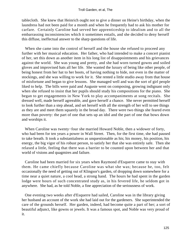tablecloth. She knew that Heinrich ought not to give a dinner on Heine's birthday, when the laundress had not been paid for a month and when he frequently had to ask his mother for carfare. Certainly Caroline had served her apprenticeship to idealism and to all the embarrassing inconsistencies which it sometimes entails, and she decided to deny herself this diffuse, ineffectual answer to the sharp questions of life.

 When she came into the control of herself and the house she refused to proceed any further with her musical education. Her father, who had intended to make a concert pianist of her, set this down as another item in his long list of disappointments and his grievances against the world. She was young and pretty, and she had worn turned gowns and soiled gloves and improvised hats all her life. She wanted the luxury of being like other people, of being honest from her hat to her boots, of having nothing to hide, not even in the matter of stockings, and she was willing to work for it. She rented a little studio away from that house of misfortune and began to give lessons. She managed well and was the sort of girl people liked to help. The bills were paid and Auguste went on composing, growing indignant only when she refused to insist that her pupils should study his compositions for the piano. She began to get engagements in New York to play accompaniments at song recitals. She dressed well, made herself agreeable, and gave herself a chance. She never permitted herself to look further than a step ahead, and set herself with all the strength of her will to see things as they are and meet them squarely in the broad day. There were two things she feared even more than poverty: the part of one that sets up an idol and the part of one that bows down and worships it.

 When Caroline was twenty−four she married Howard Noble, then a widower of forty, who had been for ten years a power in Wall Street. Then, for the first time, she had paused to take breath. It took a substantialness as unquestionable as his; his money, his position, his energy, the big vigor of his robust person, to satisfy her that she was entirely safe. Then she relaxed a little, feeling that there was a barrier to be counted upon between her and that world of visions and quagmires and failure.

 Caroline had been married for six years when Raymond d'Esquerre came to stay with them. He came chiefly because Caroline was what she was; because he, too, felt occasionally the need of getting out of Klingsor's garden, of dropping down somewhere for a time near a quiet nature, a cool head, a strong hand. The hours he had spent in the garden lodge were hours of such concentrated study as, in his fevered life, he seldom got in anywhere. She had, as he told Noble, a fine appreciation of the seriousness of work.

 One evening two weeks after d'Esquerre had sailed, Caroline was in the library giving her husband an account of the work she had laid out for the gardeners. She superintended the care of the grounds herself. Her garden, indeed, had become quite a part of her; a sort of beautiful adjunct, like gowns or jewels. It was a famous spot, and Noble was very proud of it.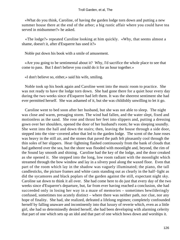«What do you think, Caroline, of having the garden lodge torn down and putting a new summer house there at the end of the arbor; a big rustic affair where you could have tea served in midsummer?» he asked.

 «The lodge?» repeated Caroline looking at him quickly. «Why, that seems almost a shame, doesn't it, after d'Esquerre has used it?»

Noble put down his book with a smile of amusement.

 «Are you going to be sentimental about it? Why, I'd sacrifice the whole place to see that come to pass. But I don't believe you could do it for an hour together.»

«I don't believe so, either,» said his wife, smiling.

 Noble took up his book again and Caroline went into the music room to practice. She was not ready to have the lodge torn down. She had gone there for a quiet hour every day during the two weeks since d'Esquerre had left them. It was the sheerest sentiment she had ever permitted herself. She was ashamed of it, but she was childishly unwilling to let it go.

 Caroline went to bed soon after her husband, but she was not able to sleep. The night was close and warm, presaging storm. The wind had fallen, and the water slept, fixed and motionless as the sand. She rose and thrust her feet into slippers and, putting a dressing gown over her shoulders, opened the door of her husband's room; he was sleeping soundly. She went into the hall and down the stairs; then, leaving the house through a side door, stepped into the vine−covered arbor that led to the garden lodge. The scent of the June roses was heavy in the still air, and the stones that paved the path felt pleasantly cool through the thin soles of her slippers. Heat−lightning flashed continuously from the bank of clouds that had gathered over the sea, but the shore was flooded with moonlight and, beyond, the rim of the Sound lay smooth and shining. Caroline had the key of the lodge, and the door creaked as she opened it. She stepped into the long, low room radiant with the moonlight which streamed through the bow window and lay in a silvery pool along the waxed floor. Even that part of the room which lay in the shadow was vaguely illuminated; the piano, the tall candlesticks, the picture frames and white casts standing out as clearly in the half−light as did the sycamores and black poplars of the garden against the still, expectant night sky. Caroline sat down to think it all over. She had come here to do just that every day of the two weeks since d'Esquerre's departure, but, far from ever having reached a conclusion, she had succeeded only in losing her way in a maze of memories – sometimes bewilderingly confused, sometimes too acutely distinct – where there was neither path, nor clue, nor any hope of finality. She had, she realized, defeated a lifelong regimen; completely confounded herself by falling unaware and incontinently into that luxury of reverie which, even as a little girl, she had so determinedly denied herself, she had been developing with alarming celerity that part of one which sets up an idol and that part of one which bows down and worships it.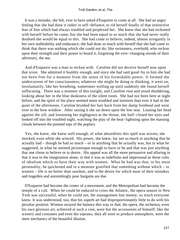It was a mistake, she felt, ever to have asked d'Esquerre to come at all. She had an angry feeling that she had done it rather in self−defiance, to rid herself finally of that instinctive fear of him which had always troubled and perplexed her. She knew that she had reckoned with herself before he came; but she had been equal to so much that she had never really doubted she would be equal to this. She had come to believe, indeed, almost arrogantly in her own malleability and endurance; she had done so much with herself that she had come to think that there was nothing which she could not do; like swimmers, overbold, who reckon upon their strength and their power to hoard it, forgetting the ever−changing moods of their adversary, the sea.

 And d'Esquerre was a man to reckon with. Caroline did not deceive herself now upon that score. She admitted it humbly enough, and since she had said good−by to him she had not been free for a moment from the sense of his formidable power. It formed the undercurrent of her consciousness; whatever she might be doing or thinking, it went on, involuntarily, like her breathing, sometimes welling up until suddenly she found herself suffocating. There was a moment of this tonight, and Caroline rose and stood shuddering, looking about her in the blue duskiness of the silent room. She had not been here at night before, and the spirit of the place seemed more troubled and insistent than ever it had in the quiet of the afternoons. Caroline brushed her hair back from her damp forehead and went over to the bow window. After raising it she sat down upon the low seat. Leaning her head against the sill, and loosening her nightgown at the throat, she half−closed her eyes and looked off into the troubled night, watching the play of the heat−lightning upon the massing clouds between the pointed tops of the poplars.

 Yes, she knew, she knew well enough, of what absurdities this spell was woven; she mocked, even while she winced. His power, she knew, lay not so much in anything that he actually had – though he had so much – or in anything that he actually was, but in what he suggested, in what he seemed picturesque enough to have or be and that was just anything that one chose to believe or to desire. His appeal was all the more persuasive and alluring in that it was to the imagination alone, in that it was as indefinite and impersonal as those cults of idealism which so have their way with women. What he had was that, in his mere personality, he quickened and in a measure gratified that something without which – to women – life is no better than sawdust, and to the desire for which most of their mistakes and tragedies and astonishingly poor bargains are due.

 D'Esquerre had become the center of a movement, and the Metropolitan had become the temple of a cult. When he could be induced to cross the Atlantic, the opera season in New York was successful; when he could not, the management lost money; so much everyone knew. It was understood, too, that his superb art had disproportionately little to do with his peculiar position. Women swayed the balance this way or that; the opera, the orchestra, even his own glorious art, achieved at such a cost, were but the accessories of himself; like the scenery and costumes and even the soprano, they all went to produce atmosphere, were the mere mechanics of the beautiful illusion.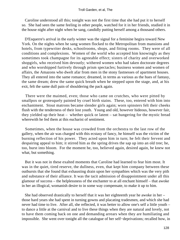Caroline understood all this; tonight was not the first time that she had put it to herself so. She had seen the same feeling in other people, watched for it in her friends, studied it in the house night after night when he sang, candidly putting herself among a thousand others.

 D'Esquerre's arrival in the early winter was the signal for a feminine hegira toward New York. On the nights when he sang women flocked to the Metropolitan from mansions and hotels, from typewriter desks, schoolrooms, shops, and fitting rooms. They were of all conditions and complexions. Women of the world who accepted him knowingly as they sometimes took champagne for its agreeable effect; sisters of charity and overworked shopgirls, who received him devoutly; withered women who had taken doctorate degrees and who worshipped furtively through prism spectacles; business women and women of affairs, the Amazons who dwelt afar from men in the stony fastnesses of apartment houses. They all entered into the same romance; dreamed, in terms as various as the hues of fantasy, the same dream; drew the same quick breath when he stepped upon the stage, and, at his exit, felt the same dull pain of shouldering the pack again.

 There were the maimed, even; those who came on crutches, who were pitted by smallpox or grotesquely painted by cruel birth stains. These, too, entered with him into enchantment. Stout matrons became slender girls again; worn spinsters felt their cheeks flush with the tenderness of their lost youth. Young and old, however hideous, however fair, they yielded up their heat – whether quick or latent – sat hungering for the mystic bread wherewith he fed them at this eucharist of sentiment.

 Sometimes, when the house was crowded from the orchestra to the last row of the gallery, when the air was charged with this ecstasy of fancy, he himself was the victim of the burning reflection of his power. They acted upon him in turn; he felt their fervent and despairing appeal to him; it stirred him as the spring drives the sap up into an old tree; he, too, burst into bloom. For the moment he, too, believed again, desired again, he knew not what, but something.

 But it was not in these exalted moments that Caroline had learned to fear him most. It was in the quiet, tired reserve, the dullness, even, that kept him company between these outbursts that she found that exhausting drain upon her sympathies which was the very pith and substance of their alliance. It was the tacit admission of disappointment under all this glamour of success – the helplessness of the enchanter to at all enchant himself – that awoke in her an illogical, womanish desire to in some way compensate, to make it up to him.

 She had observed drastically to herself that it was her eighteenth year he awoke in her – those hard years she had spent in turning gowns and placating tradesmen, and which she had never had time to live. After all, she reflected, it was better to allow one's self a little youth – to dance a little at the carnival and to live these things when they are natural and lovely, not to have them coming back on one and demanding arrears when they are humiliating and impossible. She went over tonight all the catalogue of her self−deprivations; recalled how, in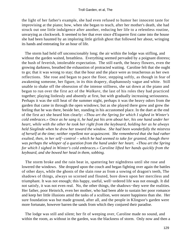the light of her father's example, she had even refused to humor her innocent taste for improvising at the piano; how, when she began to teach, after her mother's death, she had struck out one little indulgence after another, reducing her life to a relentless routine, unvarying as clockwork. It seemed to her that ever since d'Esquerre first came into the house she had been haunted by an imploring little girlish ghost that followed her about, wringing its hands and entreating for an hour of life.

 The storm had held off unconscionably long; the air within the lodge was stifling, and without the garden waited, breathless. Everything seemed pervaded by a poignant distress; the hush of feverish, intolerable expectation. The still earth, the heavy flowers, even the growing darkness, breathed the exhaustion of protracted waiting. Caroline felt that she ought to go; that it was wrong to stay; that the hour and the place were as treacherous as her own reflections. She rose and began to pace the floor, stepping softly, as though in fear of awakening someone, her figure, in its thin drapery, diaphanously vague and white. Still unable to shake off the obsession of the intense stillness, she sat down at the piano and began to run over the first act of the *Walkure*, the last of his roles they had practiced together; playing listlessly and absently at first, but with gradually increasing seriousness. Perhaps it was the still heat of the summer night, perhaps it was the heavy odors from the garden that came in through the open windows; but as she played there grew and grew the feeling that he was there, beside her, standing in his accustomed place. In the duet at the end of the first act she heard him clearly: *«Thou art the Spring for which I sighed in Winter's cold embraces.» Once as he sang it, he had put his arm about her, his one hand under her heart, while with the other he took her right from the keyboard, holding her as he always held Sieglinde when he drew her toward the window. She had been wonderfully the mistress of herself at the time; neither repellent nor acquiescent. She remembered that she had rather exulted, then, in her self−control – which he had seemed to take for granted, though there was perhaps the whisper of a question from the hand under her heart. «Thou art the Spring for which I sighed in Winter's cold embraces.» Caroline lifted her hands quickly from the keyboard, and she bowed her head in them, sobbing.* 

 The storm broke and the rain beat in, spattering her nightdress until she rose and lowered the windows. She dropped upon the couch and began fighting over again the battles of other days, while the ghosts of the slain rose as from a sowing of dragon's teeth, The shadows of things, always so scorned and flouted, bore down upon her merciless and triumphant. It was not enough; this happy, useful, well−ordered life was not enough. It did not satisfy, it was not even real. No, the other things, the shadows−they were the realities. Her father, poor Heinrich, even her mother, who had been able to sustain her poor romance and keep her little illusions amid the tasks of a scullion, were nearer happiness than she. Her sure foundation was but made ground, after all, and the people in Klingsor's garden were more fortunate, however barren the sands from which they conjured their paradise.

 The lodge was still and silent; her fit of weeping over, Caroline made no sound, and within the room, as without in the garden, was the blackness of storm. Only now and then a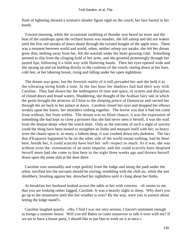flash of lightning showed a woman's slender figure rigid on the couch, her face buried in her hands.

 Toward morning, when the occasional rumbling of thunder was heard no more and the beat of the raindrops upon the orchard leaves was steadier, she fell asleep and did not waken until the first red streaks of dawn shone through the twisted boughs of the apple trees. There was a moment between world and world, when, neither asleep nor awake, she felt her dream grow thin, melting away from her, felt the warmth under her heart growing cold. Something seemed to slip from the clinging hold of her arms, and she groaned protestingly through her parted lips, following it a little way with fluttering hands. Then her eyes opened wide and she sprang up and sat holding dizzily to the cushions of the couch, staring down at her bare, cold feet, at her laboring breast, rising and falling under her open nightdress.

 The dream was gone, but the feverish reality of it still pervaded her and she held it as the vibrating string holds a tone. In the last hour the shadows had had their way with Caroline. They had shown her the nothingness of time and space, of system and discipline, of closed doors and broad waters. Shuddering, she thought of the Arabian fairy tale in which the genie brought the princess of China to the sleeping prince of Damascus and carried her through the air back to her palace at dawn. Caroline closed her eyes and dropped her elbows weakly upon her knees, her shoulders sinking together. The horror was that it had not come from without, but from within. The dream was no blind chance; it was the expression of something she had kept so close a prisoner that she had never seen it herself, it was the wail from the donjon deeps when the watch slept. Only as the outcome of such a night of sorcery could the thing have been loosed to straighten its limbs and measure itself with her; so heavy were the chains upon it, so many a fathom deep, it was crushed down into darkness. The fact that d'Esquerre happened to be on the other side of the world meant nothing; had he been here, beside her, it could scarcely have hurt her self−respect so much. As it was, she was without even the extenuation of an outer impulse, and she could scarcely have despised herself more had she come to him here in the night three weeks ago and thrown herself down upon the stone slab at the door there.

 Caroline rose unsteadily and crept guiltily from the lodge and along the path under the arbor, terrified lest the servants should be stirring, trembling with the chill air, while the wet shrubbery, brushing against her, drenched her nightdress until it clung about her limbs.

 At breakfast her husband looked across the table at her with concern. «It seems to me that you are looking rather fagged, Caroline. It was a beastly night to sleep. Why don't you go up to the mountains until this hot weather is over? By the way, were you in earnest about letting the lodge stand?»

 Caroline laughed quietly. «No, I find I was not very serious. I haven't sentiment enough to forego a summer house. Will you tell Baker to come tomorrow to talk it over with me? If we are to have a house party, I should like to put him to work on it at once.»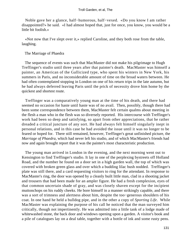Noble gave her a glance, half−humorous, half−vexed. «Do you know I am rather disappointed?» he said. «I had almost hoped that, just for once, you know, you would be a little bit foolish.»

 «Not now that I've slept over it,» replied Caroline, and they both rose from the table, laughing.

# The Marriage of Phaedra

 The sequence of events was such that MacMaster did not make his pilgrimage to Hugh Treffinger's studio until three years after that painter's death. MacMaster was himself a painter, an American of the Gallicized type, who spent his winters in New York, his summers in Paris, and no inconsiderable amount of time on the broad waters between. He had often contemplated stopping in London on one of his return trips in the late autumn, but he had always deferred leaving Paris until the prick of necessity drove him home by the quickest and shortest route.

 Treffinger was a comparatively young man at the time of his death, and there had seemed no occasion for haste until haste was of no avail. Then, possibly, though there had been some correspondence between them, MacMaster felt certain qualms about meeting in the flesh a man who in the flesh was so diversely reported. His intercourse with Treffinger's work had been so deep and satisfying, so apart from other appreciations, that he rather dreaded a critical juncture of any sort. He had always felt himself singularly inept in personal relations, and in this case he had avoided the issue until it was no longer to be feared or hoped for. There still remained, however, Treffinger's great unfinished picture, the *Marriage of Phaedra*, which had never left his studio, and of which MacMaster's friends had now and again brought report that it was the painter's most characteristic production.

 The young man arrived in London in the evening, and the next morning went out to Kensington to find Treffinger's studio. It lay in one of the perplexing bystreets off Holland Road, and the number he found on a door set in a high garden wall, the top of which was covered with broken green glass and over which a budding lilac bush nodded. Treffinger's plate was still there, and a card requesting visitors to ring for the attendant. In response to MacMaster's ring, the door was opened by a cleanly built little man, clad in a shooting jacket and trousers that had been made for an ampler figure. He had a fresh complexion, eyes of that common uncertain shade of gray, and was closely shaven except for the incipient muttonchops on his ruddy cheeks. He bore himself in a manner strikingly capable, and there was a sort of trimness and alertness about him, despite the too−generous shoulders of his coat. In one hand he held a bulldog pipe, and in the other a copy of *Sporting Life*. While MacMaster was explaining the purpose of his call he noticed that the man surveyed him critically, though not impertinently. He was admitted into a little tank of a lodge made of whitewashed stone, the back door and windows opening upon a garden. A visitor's book and a pile of catalogues lay on a deal table, together with a bottle of ink and some rusty pens.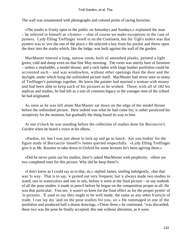The wall was ornamented with photographs and colored prints of racing favorites.

 «The studio is h'only open to the public on Saturdays and Sundays,» explained the man – he referred to himself as «Jymes» – «but of course we make exceptions in the case of pynters. Lydy Elling Treffinger 'erself is on the Continent, but Sir 'Ugh's orders was that pynters was to 'ave the run of the place.» He selected a key from his pocket and threw open the door into the studio which, like the lodge, was built against the wall of the garden.

 MacMaster entered a long, narrow room, built of smoothed planks, painted a light green; cold and damp even on that fine May morning. The room was utterly bare of furniture – unless a stepladder, a model throne, and a rack laden with large leather portfolios could be accounted such – and was windowless, without other openings than the door and the skylight, under which hung the unfinished picture itself. MacMaster had never seen so many of Treffinger's paintings together. He knew the painter had married a woman with money and had been able to keep such of his pictures as he wished. These, with all of *182* his replicas and studies, he had left as a sort of common legacy to the younger men of the school he had originated.

 As soon as he was left alone MacMaster sat down on the edge of the model throne before the unfinished picture. Here indeed was what he had come for; it rather paralyzed his receptivity for the moment, but gradually the thing found its way to him.

 At one o'clock he was standing before the collection of studies done for *Boccaccio's Garden* when he heard a voice at his elbow.

 «Pardon, sir, but I was just about to lock up and go to lunch. Are you lookin' for the figure study of Boccaccio 'imself?» James queried respectfully. «Lydy Elling Treffinger give it to Mr. Rossiter to take down to Oxford for some lectures he's been agiving there.»

 «Did he never paint out his studies, then?» asked MacMaster with perplexity. «Here are two completed ones for this picture. Why did he keep them?»

 «I don't know as I could say as to that, sir,» replied James, smiling indulgently, «but that was 'is way. That is to say, 'e pynted out very frequent, but 'e always made two studies to stand; one in watercolors and one in oils, before 'e went at the final picture – to say nothink of all the pose studies 'e made in pencil before he begun on the composition proper at all. He was that particular. You see, 'e wasn't so keen for the final effect as for the proper pyntin' of 'is pictures. 'E used to say they ought to be well made, the same as any other h'article of trade. I can lay my 'and on the pose studies for you, sir.» He rummaged in one of the portfolios and produced half a dozen drawings, «These three,» he continued, "was discarded; these two was the pose he finally accepted; this one without alteration, as it were.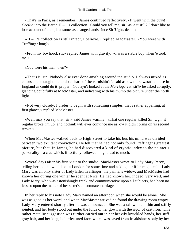#### Troll Garden, et al, The

 «That's in Paris, as I remember,» James continued reflectively. «It went with the *Saint Cecilia* into the Baron H – −'s collection. Could you tell me, sir, 'as 'e it still? I don't like to lose account of them, but some 'as changed 'ands since Sir 'Ugh's death.»

 «H – −'s collection is still intact, I believe,» replied MacMaster. «You were with Treffinger long?»

 «From my boyhood, sir,» replied James with gravity. «I was a stable boy when 'e took me.»

«You were his man, then?»

 «That's it, sir. Nobody else ever done anything around the studio. I always mixed 'is colors and 'e taught me to do a share of the varnishin'; 'e said as 'ow there wasn't a 'ouse in England as could do it proper. You ayn't looked at the *Marriage* yet, sir?» he asked abruptly, glancing doubtfully at MacMaster, and indicating with his thumb the picture under the north light.

 «Not very closely. I prefer to begin with something simpler; that's rather appalling, at first glance,» replied MacMaster.

 «Well may you say that, sir,» said James warmly. «That one regular killed Sir 'Ugh; it regular broke 'im up, and nothink will ever convince me as 'ow it didn't bring on 'is second stroke.»

 When MacMaster walked back to High Street to take his bus his mind was divided between two exultant convictions. He felt that he had not only found Treffinger's greatest picture, but that, in James, he had discovered a kind of cryptic index to the painter's personality – a clue which, if tactfully followed, might lead to much.

 Several days after his first visit to the studio, MacMaster wrote to Lady Mary Percy, telling her that he would be in London for some time and asking her if he might call. Lady Mary was an only sister of Lady Ellen Treffinger, the painter's widow, and MacMaster had known her during one winter he spent at Nice. He had known her, indeed, very well, and Lady Mary, who was astonishingly frank and communicative upon all subjects, had been no less so upon the matter of her sister's unfortunate marriage.

 In her reply to his note Lady Mary named an afternoon when she would be alone. She was as good as her word, and when MacMaster arrived he found the drawing room empty. Lady Mary entered shortly after he was announced. She was a tall woman, thin and stiffly jointed, and her body stood out under the folds of her gown with the rigor of cast iron. This rather metallic suggestion was further carried out in her heavily knuckled hands, her stiff gray hair, and her long, bold−featured face, which was saved from freakishness only by her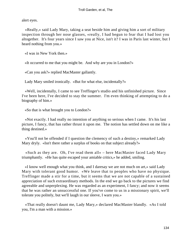alert eyes.

 «Really,» said Lady Mary, taking a seat beside him and giving him a sort of military inspection through her nose glasses, «really, I had begun to fear that I had lost you altogether. It's four years since I saw you at Nice, isn't it? I was in Paris last winter, but I heard nothing from you.»

«I was in New York then.»

«It occurred to me that you might be. And why are you in London?»

«Can you ask?» replied MacMaster gallantly.

Lady Mary smiled ironically. «But for what else, incidentally?»

 «Well, incidentally, I came to see Treffinger's studio and his unfinished picture. Since I've been here, I've decided to stay the summer. I'm even thinking of attempting to do a biography of him.»

«So that is what brought you to London?»

 «Not exactly. I had really no intention of anything so serious when I came. It's his last picture, I fancy, that has rather thrust it upon me. The notion has settled down on me like a thing destined.»

 «You'll not be offended if I question the clemency of such a destiny,» remarked Lady Mary dryly. «Isn't there rather a surplus of books on that subject already?»

 «Such as they are. Oh, I've read them all» – here MacMaster faced Lady Mary triumphantly. «He has quite escaped your amiable critics,» he added, smiling.

 «I know well enough what you think, and I daresay we are not much on art,» said Lady Mary with tolerant good humor. «We leave that to peoples who have no physique. Treffinger made a stir for a time, but it seems that we are not capable of a sustained appreciation of such extraordinary methods. In the end we go back to the pictures we find agreeable and unperplexing. He was regarded as an experiment, I fancy; and now it seems that he was rather an unsuccessful one. If you've come to us in a missionary spirit, we'll tolerate you politely, but we'll laugh in our sleeve, I warn you.»

 «That really doesn't daunt me, Lady Mary,» declared MacMaster blandly. «As I told you, I'm a man with a mission.»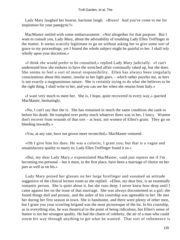Lady Mary laughed her hoarse, baritone laugh. «Bravo! And you've come to me for inspiration for your panegyric?»

 MacMaster smiled with some embarrassment. «Not altogether for that purpose. But I want to consult you, Lady Mary, about the advisability of troubling Lady Ellen Treffinger in the matter. It seems scarcely legitimate to go on without asking her to give some sort of grace to my proceedings, yet I feared the whole subject might be painful to her. I shall rely wholly upon your discretion.»

 «I think she would prefer to be consulted,» replied Lady Mary judicially. «I can't understand how she endures to have the wretched affair continually raked up, but she does. She seems to feel a sort of moral responsibility. Ellen has always been singularly conscientious about this matter, insofar as her light goes, – which rather puzzles me, as hers is not exactly a magnanimous nature. She is certainly trying to do what she believes to be the right thing. I shall write to her, and you can see her when she returns from Italy.»

 «I want very much to meet her. She is, I hope, quite recovered in every way,» queried MacMaster, hesitatingly.

 «No, I can't say that she is. She has remained in much the same condition she sank to before his death. He trampled over pretty much whatever there was in her, I fancy. Women don't recover from wounds of that sort – at least, not women of Ellen's grain. They go on bleeding inwardly.»

«You, at any rate, have not grown more reconciled,» MacMaster ventured.

 «Oh I give him his dues. He was a colorist, I grant you; but that is a vague and unsatisfactory quality to marry to; Lady Ellen Treffinger found it so.»

 «But, my dear Lady Mary,» expostulated MacMaster, «and just repress me if I'm becoming too personal – but it must, in the first place, have been a marriage of choice on her part as well as on his.»

 Lady Mary poised her glasses on her large forefinger and assumed an attitude suggestive of the clinical lecture room as she replied. «Ellen, my dear boy, is an essentially romantic person. She is quiet about it, but she runs deep. I never knew how deep until I came against her on the issue of that marriage. She was always discontented as a girl; she found things dull and prosaic, and the ardor of his courtship was agreeable to her. He met her during her first season in town. She is handsome, and there were plenty of other men, but I grant you your scowling brigand was the most picturesque of the lot. In his courtship, as in everything else, he was theatrical to the point of being ridiculous, but Ellen's sense of humor is not her strongest quality. He had the charm of celebrity, the air of a man who could storm his way through anything to get what he wanted. That sort of vehemence is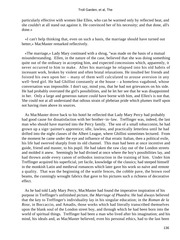particularly effective with women like Ellen, who can be warmed only by reflected heat, and she couldn't at all stand out against it. He convinced her of his necessity; and that done, all's done.»

 «I can't help thinking that, even on such a basis, the marriage should have turned out better,» MacMaster remarked reflectively.

 «The marriage,» Lady Mary continued with a shrug, "was made on the basis of a mutual misunderstanding. Ellen, in the nature of the case, believed that she was doing something quite out of the ordinary in accepting him, and expected concessions which, apparently, it never occurred to him to make. After his marriage he relapsed into his old habits of incessant work, broken by violent and often brutal relaxations. He insulted her friends and foisted his own upon her – many of them well calculated to arouse aversion in any well−bred girl. He had Ghillini constantly at the house – a homeless vagabond, whose conversation was impossible. I don't say, mind you, that he had not grievances on his side. He had probably overrated the girl's possibilities, and he let her see that he was disappointed in her. Only a large and generous nature could have borne with him, and Ellen's is not that. She could not at all understand that odious strain of plebeian pride which plumes itself upon not having risen above its sources.

 As MacMaster drove back to his hotel he reflected that Lady Mary Percy had probably had good cause for dissatisfaction with her brother−in−law. Treffinger was, indeed, the last man who should have married into the Percy family. The son of a small tobacconist, he had grown up a sign−painter's apprentice; idle, lawless, and practically letterless until he had drifted into the night classes of the Albert League, where Ghillini sometimes lectured. From the moment he came under the eye and influence of that erratic Italian, then a political exile, his life had swerved sharply from its old channel. This man had been at once incentive and guide, friend and master, to his pupil. He had taken the raw clay out of the London streets and molded it anew. Seemingly he had divined at once where the boy's possibilities lay, and had thrown aside every canon of orthodox instruction in the training of him. Under him Treffinger acquired his superficial, yet facile, knowledge of the classics; had steeped himself in the monkish Latin and medieval romances which later gave his work so naive and remote a quality. That was the beginning of the wattle fences, the cobble pave, the brown roof beams, the cunningly wrought fabrics that gave to his pictures such a richness of decorative effect.

 As he had told Lady Mary Percy, MacMaster had found the imperative inspiration of his purpose in Treffinger's unfinished picture, the *Marriage of Phaedra*. He had always believed that the key to Treffinger's individuality lay in his singular education; in the *Roman de la Rose*, in Boccaccio, and Amadis, those works which had literally transcribed themselves upon the blank soul of the London street boy, and through which he had been born into the world of spiritual things. Treffinger had been a man who lived after his imagination; and his mind, his ideals and, as MacMaster believed, even his personal ethics, had to the last been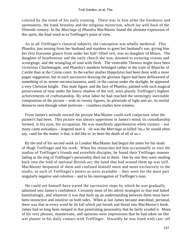colored by the trend of his early training. There was in him alike the freshness and spontaneity, the frank brutality and the religious mysticism, which lay well back of the fifteenth century. In the *Marriage of Phaedra* MacMaster found the ultimate expression of this spirit, the final word as to Treffinger's point of view.

 As in all Treffinger's classical subjects, the conception was wholly medieval. This Phaedra, just turning from her husband and maidens to greet her husband's son, giving him her first fearsome glance from under her half−lifted veil, was no daughter of Minos. The daughter of *heathenesse* and the early church she was; doomed to torturing visions and scourgings, and the wrangling of soul with flesh. The venerable Theseus might have been victorious Charlemagne, and Phaedra's maidens belonged rather in the train of Blanche of Castile than at the Cretan court. In the earlier studies Hippolytus had been done with a more pagan suggestion; but in each successive drawing the glorious figure bad been deflowered of something of its serene unconsciousness, until, in the canvas under the skylight, he appeared a very Christian knight. This male figure, and the face of Phaedra, painted with such magical preservation of tone under the heavy shadow of the veil, were plainly Treffinger's highest achievements of craftsmanship. By what labor he had reached the seemingly inevitable composition of the picture – with its twenty figures, its plenitude of light and air, its restful distances seen through white porticoes – countless studies bore witness.

 From James's attitude toward the picture MacMaster could well conjecture what the painter's had been. This picture was always uppermost in James's mind; its custodianship formed, in his eyes, his occupation. He was manifestly apprehensive when visitors – not many came nowadays – lingered near it. «It was the *Marriage* as killed 'im,» he would often say, «and for the matter 'o that, it did like to 'av been the death of all of us.»

 By the end of his second week in London MacMaster had begun the notes for his study of Hugh Treffinger and his work. When his researches led him occasionally to visit the studios of Treffinger's friends and erstwhile disciples, he found their Treffinger manner fading as the ring of Treffinger's personality died out in them. One by one they were stealing back into the fold of national British art; the hand that had wound them up was still. MacMaster despaired of them and confined himself more and more exclusively to the studio, to such of Treffinger's letters as were available – they were for the most part singularly negative and colorless – and to his interrogation of Treffinger's man.

 He could not himself have traced the successive steps by which he was gradually admitted into James's confidence. Certainly most of his adroit strategies to that end failed humiliatingly, and whatever it was that built up an understanding between them must have been instinctive and intuitive on both sides. When at last James became anecdotal, personal, there was that in every word he let fall which put breath and blood into MacMaster's book. James had so long been steeped in that penetrating personality that he fairly exuded it. Many of his very phrases, mannerisms, and opinions were impressions that he had taken on like wet plaster in his daily contact with Treffinger. Inwardly he was lined with cast−off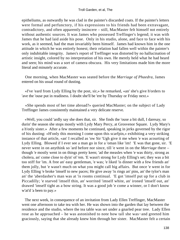epitheliums, as outwardly he was clad in the painter's discarded coats. If the painter's letters were formal and perfunctory, if his expressions to his friends had been extravagant, contradictory, and often apparently insincere – still, MacMaster felt himself not entirely without authentic sources. It was James who possessed Treffinger's legend; it was with James that he had laid aside his pose. Only in his studio, alone, and face to face with his work, as it seemed, had the man invariably been himself. James had known him in the one attitude in which he was entirely honest; their relation had fallen well within the painter's only indubitable integrity. James's report of Treffinger was distorted by no hallucination of artistic insight, colored by no interpretation of his own. He merely held what he had heard and seen; his mind was a sort of camera obscura. His very limitations made him the more literal and minutely accurate.

 One morning, when MacMaster was seated before the *Marriage of Phaedra*, James entered on his usual round of dusting.

 «I've 'eard from Lydy Elling by the post, sir,» he remarked, «an' she's give h'orders to 'ave the 'ouse put in readiness. I doubt she'll be 'ere by Thursday or Friday next.»

 «She spends most of her time abroad?» queried MacMaster; on the subject of Lady Treffinger James consistently maintained a very delicate reserve.

 «Well, you could 'ardly say she does that, sir. She finds the 'ouse a bit dull, I daresay, so durin' the season she stops mostly with Lydy Mary Percy, at Grosvenor Square. Lydy Mary's a h'only sister.» After a few moments he continued, speaking in jerks governed by the rigor of his dusting: «H'only this morning I come upon this scarfpin,» exhibiting a very striking instance of that article, «an' I recalled as 'ow Sir 'Ugh give it me when 'e was acourting of Lydy Elling. Blowed if I ever see a man go in for a 'oman like 'im! 'E was that gone, sir. 'E never went in on anythink so 'ard before nor since, till 'e went in on the *Marriage* there – though 'e mostly went in on things pretty keen; 'ad the measles when 'e was thirty, strong as cholera, an' come close to dyin' of 'em. 'E wasn't strong for Lydy Elling's set; they was a bit too stiff for 'im. A free an' easy gentleman, 'e was; 'e liked 'is dinner with a few friends an' them jolly, but 'e wasn't much on what you might call big affairs. But once 'e went in for Lydy Elling 'e broke 'imself to new paces; He give away 'is rings an' pins, an' the tylor's man an' the 'aberdasher's man was at 'is rooms continual. 'E got 'imself put up for a club in Piccadilly; 'e starved 'imself thin, an' worrited 'imself white, an' ironed 'imself out, an' drawed 'imself tight as a bow string. It was a good job 'e come a winner, or I don't know w'at'd 'a been to pay.»

 The next week, in consequence of an invitation from Lady Ellen Treffinger, MacMaster went one afternoon to take tea with her. He was shown into the garden that lay between the residence and the studio, where the tea table was set under a gnarled pear tree. Lady Ellen rose as he approached – he was astonished to note how tall she was−and greeted him graciously, saying that she already knew him through her sister. MacMaster felt a certain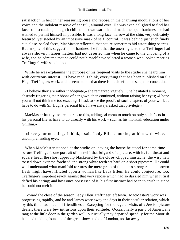satisfaction in her; in her reassuring poise and repose, in the charming modulations of her voice and the indolent reserve of her full, almond eyes. He was even delighted to find her face so inscrutable, though it chilled his own warmth and made the open frankness he had wished to permit himself impossible. It was a long face, narrow at the chin, very delicately featured, yet steeled by an impassive mask of self−control. It was behind just such finely cut, close−sealed faces, MacMaster reflected, that nature sometimes hid astonishing secrets. But in spite of this suggestion of hardness he felt that the unerring taste that Treffinger had always shown in larger matters had not deserted him when he came to the choosing of a wife, and he admitted that he could not himself have selected a woman who looked more as Treffinger's wife should look.

 While he was explaining the purpose of his frequent visits to the studio she heard him with courteous interest. «I have read, I think, everything that has been published on Sir Hugh Treffinger's work, and it seems to me that there is much left to be said,» he concluded.

 «I believe they are rather inadequate,» she remarked vaguely. She hesitated a moment, absently fingering the ribbons of her gown, then continued, without raising her eyes; «I hope you will not think me too exacting if I ask to see the proofs of such chapters of your work as have to do with Sir Hugh's personal life. I have always asked that privilege.»

 MacMaster hastily assured her as to this, adding, «I mean to touch on only such facts in his personal life as have to do directly with his work – such as his monkish education under Ghillini.»

 «I see your meaning, I think,» said Lady Ellen, looking at him with wide, uncomprehending eyes.

 When MacMaster stopped at the studio on leaving the house he stood for some time before Treffinger's one portrait of himself, that brigand of a picture, with its full throat and square head; the short upper lip blackened by the close−clipped mustache, the wiry hair tossed down over the forehead, the strong white teeth set hard on a short pipestem. He could well understand what manifold tortures the mere grain of the man's strong red and brown flesh might have inflicted upon a woman like Lady Ellen. He could conjecture, too, Treffinger's impotent revolt against that very repose which had so dazzled him when it first defied his daring; and how once possessed of it, his first instinct had been to crush it, since he could not melt it.

 Toward the close of the season Lady Ellen Treffinger left town. MacMaster's work was progressing rapidly, and he and James wore away the days in their peculiar relation, which by this time had much of friendliness. Excepting for the regular visits of a Jewish picture dealer, there were few intrusions upon their solitude. Occasionally a party of Americans rang at the little door in the garden wall, but usually they departed speedily for the Moorish hall and tinkling fountain of the great show studio of London, not far away.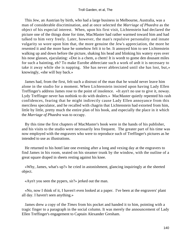This Jew, an Austrian by birth, who had a large business in Melbourne, Australia, was a man of considerable discrimination, and at once selected the *Marriage of Phaedra* as the object of his especial interest. When, upon his first visit, Lichtenstein had declared the picture one of the things done for time, MacMaster had rather warmed toward him and had talked to him very freely. Later, however, the man's repulsive personality and innate vulgarity so wore upon him that, the more genuine the Jew's appreciation, the more he resented it and the more base he somehow felt it to be. It annoyed him to see Lichtenstein walking up and down before the picture, shaking his head and blinking his watery eyes over his nose glasses, ejaculating: «Dot is a chem, a chem! It is wordt to gome den dousant miles for such a bainting, eh? To make Eurobe abbreciate such a work of ardt it is necessary to take it away while she is napping. She has never abbreciated until she has lost, but,» knowingly, «she will buy back.»

 James had, from the first, felt such a distrust of the man that he would never leave him alone in the studio for a moment. When Lichtenstein insisted upon having Lady Ellen Treffinger's address James rose to the point of insolence. «It ayn't no use to give it, noway. Lydy Treffinger never has nothink to do with dealers.» MacMaster quietly repented his rash confidences, fearing that he might indirectly cause Lady Ellen annoyance from this merciless speculator, and he recalled with chagrin that Lichtenstein had extorted from him, little by little, pretty much the entire plan of his book, and especially the place in it which the *Marriage of Phaedra* was to occupy.

 By this time the first chapters of MacMaster's book were in the hands of his publisher, and his visits to the studio were necessarily less frequent. The greater part of his time was now employed with the engravers who were to reproduce such of Treffinger's pictures as he intended to use as illustrations.

 He returned to his hotel late one evening after a long and vexing day at the engravers to find James in his room, seated on his steamer trunk by the window, with the outline of a great square draped in sheets resting against his knee.

 «Why, James, what's up?» he cried in astonishment, glancing inquiringly at the sheeted object.

«Ayn't you seen the pypers, sir?» jerked out the man.

 «No, now I think of it, I haven't even looked at a paper. I've been at the engravers' plant all day. I haven't seen anything.»

 James drew a copy of the *Times* from his pocket and handed it to him, pointing with a tragic finger to a paragraph in the social column. It was merely the announcement of Lady Ellen Treffinger's engagement to Captain Alexander Gresham.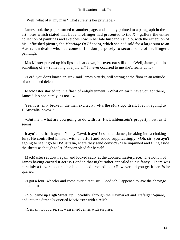«Well, what of it, my man? That surely is her privilege.»

 James took the paper, turned to another page, and silently pointed to a paragraph in the art notes which stated that Lady Treffinger had presented to the  $X -$  gallery the entire collection of paintings and sketches now in her late husband's studio, with the exception of his unfinished picture, the *Marriage Of Phaedra*, which she had sold for a large sum to an Australian dealer who had come to London purposely to secure some of Treffinger's paintings.

 MacMaster pursed up his lips and sat down, his overcoat still on. «Well, James, this is something of a – something of a jolt, eh? It never occurred to me she'd really do it.»

 «Lord, you don't know 'er, sir,» said James bitterly, still staring at the floor in an attitude of abandoned dejection.

 MacMaster started up in a flash of enlightenment, «What on earth have you got there, James? It's not−surely it's not – »

 Yes, it is, sir,« broke in the man excitedly. »It's the *Marriage* itself. It ayn't agoing to H'Australia, no'ow!"

 «But man, what are you going to do with it? It's Lichtenstein's property now, as it seems.»

 It ayn't, sir, that it ayn't. No, by Gawd, it ayn't!« shouted James, breaking into a choking fury. He controlled himself with an effort and added supplicatingly: »Oh, sir, you ayn't agoing to see it go to H'Australia, w'ere they send convic's?" He unpinned and flung aside the sheets as though to let *Phaedra* plead for herself.

 MacMaster sat down again and looked sadly at the doomed masterpiece. The notion of James having carried it across London that night rather appealed to his fancy. There was certainly a flavor about such a highhanded proceeding. «However did you get it here?» he queried.

 «I got a four−wheeler and come over direct, sir. Good job I 'appened to 'ave the chaynge about me.»

 «You came up High Street, up Piccadilly, through the Haymarket and Trafalgar Square, and into the Strand?» queried MacMaster with a relish.

«Yes, sir. Of course, sir, » assented James with surprise.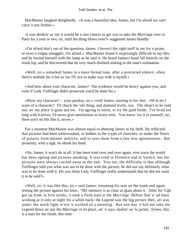MacMaster laughed delightedly. «It was a beautiful idea, James, but I'm afraid we can't carry it any further.»

 «I was thinkin' as 'ow it would be a rare chance to get you to take the *Marriage* over to Paris for a year or two, sir, until the thing blows over?» suggested James blandly.

 «I'm afraid that's out of the question, James. I haven't the right stuff in me for a pirate, or even a vulgar smuggler, I'm afraid.» MacMaster found it surprisingly difficult to say this, and he busied himself with the lamp as he said it. He heard James's hand fall heavily on the trunk top, and he discovered that he very much disliked sinking in the man's estimation.

 «Well, sir,» remarked James in a more formal tone, after a protracted silence; «then there's nothink for it but as 'ow I'll 'ave to make way with it myself.»

 «And how about your character, James? The evidence would be heavy against you, and even if Lady Treffinger didn't prosecute you'd be done for.»

 «Blow my character! – your pardon, sir,» cried James, starting to his feet. «W'at do I want of a character? I'll chuck the 'ole thing, and damned lively, too. The shop's to be sold out, an' my place is gone any'ow. I'm agoing to enlist, or try the gold fields. I've lived too long with h'artists; I'd never give satisfaction in livery now. You know 'ow it is yourself, sir; there ayn't no life like it, no'ow.»

 For a moment MacMaster was almost equal to abetting James in his theft. He reflected that pictures had been whitewashed, or hidden in the crypts of churches, or under the floors of palaces from meaner motives, and to save them from a fate less ignominious. But presently, with a sigh, he shook his head.

 «No, James, it won't do at all. It has been tried over and over again, ever since the world has been agoing and pictures amaking. It was tried in Florence and in Venice, but the pictures were always carried away in the end. You see, the difficulty is that although Treffinger told you what was not to be done with the picture, he did not say definitely what was to be done with it. Do you think Lady Treffinger really understands that he did not want it to be sold?»

 «Well, sir, it was like this, sir,» said James, resuming his seat on the trunk and again resting the picture against his knee. "My memory is as clear as glass about it. After Sir 'Ugh got up from 'is first stroke, 'e took a fresh start at the *Marriage*. Before that 'e 'ad been working at it only at night for a while back; the *Legend* was the big picture then, an' was under the north light w'ere 'e worked of a morning. But one day 'e bid me take the *Legend* down an' put the *Marriage* in its place, an' 'e says, dashin' on 'is jacket, 'Jymes, this is a start for the finish, this time.'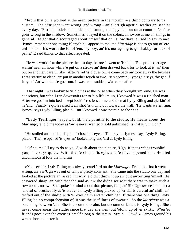"From that on 'e worked at the night picture in the mornin' – a thing contrary to 'is custom. The *Marriage* went wrong, and wrong – an' Sir 'Ugh agettin' seedier an' seedier every day. 'E tried models an' models, an' smudged an' pynted out on account of 'er face goin' wrong in the shadow. Sometimes 'e layed it on the colors, an' swore at me an' things in general. He got that discouraged about 'imself that on 'is low days 'e used to say to me: 'Jymes, remember one thing; if anythink 'appens to me, the *Marriage* is not to go out of 'ere unfinished. It's worth the lot of 'em, my boy, an' it's not agoing to go shabby for lack of pains.' 'E said things to that effect repeated.

 "He was workin' at the picture the last day, before 'e went to 'is club. 'E kept the carriage waitin' near an hour while 'e put on a stroke an' then drawed back for to look at it, an' then put on another, careful like. After 'e 'ad 'is gloves on, 'e come back an' took away the brushes I was startin' to clean, an' put in another touch or two. 'It's acomin', Jymes,' 'e says, 'by gad if it ayn't.' An' with that 'e goes out. It was cruel sudden, w'at come after.

 "That night I was lookin' to 'is clothes at the 'ouse when they brought 'im 'ome. He was conscious, but w'en I ran downstairs for to 'elp lift 'im up, I knowed 'e was a finished man. After we got 'im into bed 'e kept lookin' restless at me and then at Lydy Elling and ajerkin' of 'is 'and. Finally 'e quite raised it an' shot 'is thumb out toward the wall. 'He wants water; ring, Jymes,' says Lydy Elling, placid. But I knowed 'e was pointin' to the shop.

 "'Lydy Treffinger,' says I, bold, 'he's pointin' to the studio. He means about the *Marriage*; 'e told me today as 'ow 'e never wanted it sold unfinished. Is that it, Sir 'Ugh?'

 "He smiled an' nodded slight an' closed 'is eyes. 'Thank you, Jymes,' says Lydy Elling, placid. Then 'e opened 'is eyes an' looked long and 'ard at Lydy Elling.

 "'Of course I'll try to do as you'd wish about the picture, 'Ugh, if that's w'at's troublin' you,' she says quiet. With that 'e closed 'is eyes and 'e never opened 'em. He died unconscious at four that mornin'.

 «You see, sir, Lydy Elling was always cruel 'ard on the *Marriage*. From the first it went wrong, an' Sir 'Ugh was out of temper pretty constant. She came into the studio one day and looked at the picture an 'asked 'im why 'e didn't throw it up an' quit aworriting 'imself. He answered sharp, an' with that she said as 'ow she didn't see w'at there was to make such a row about, no'ow. She spoke 'er mind about that picture, free; an' Sir 'Ugh swore 'ot an' let a 'andful of brushes fly at 'is study, an' Lydy Elling picked up 'er skirts careful an' chill, an' drifted out of the studio with 'er eyes calm and 'er chin 'igh. If there was one thing Lydy Elling 'ad no comprehension of, it was the usefulness of swearin'. So the *Marriage* was a sore thing between 'em. She is uncommon calm, but uncommon bitter, is Lydy Elling. She's never come anear the studio since that day she went out 'oldin' up of 'er skirts. W'en 'er friends goes over she excuses 'erself along o' the strain. Strain – Gawd!» James ground his wrath short in his teeth.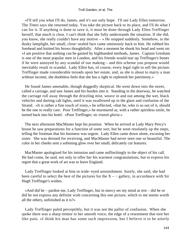«I'll tell you what I'll do, James, and it's our only hope. I'll see Lady Ellen tomorrow. The *Times* says she returned today. You take the picture back to its place, and I'll do what I can for it. If anything is done to save it, it must be done through Lady Ellen Treffinger herself, that much is clear. I can't think that she fully understands the situation. If she did, you know, she really couldn't have any motive – » He stopped suddenly. Somehow, in the dusky lamplight, her small, close−sealed face came ominously back to him. He rubbed his forehead and knitted his brows thoughtfully. After a moment he shook his head and went on: «I am positive that nothing can be gained by highhanded methods, James. Captain Gresham is one of the most popular men in London, and his friends would tear up Treffinger's bones if he were annoyed by any scandal of our making – and this scheme you propose would inevitably result in scandal. Lady Ellen has, of course, every legal right to sell the picture. Treffinger made considerable inroads upon her estate, and, as she is about to marry a man without income, she doubtless feels that she has a right to replenish her patrimony.»

 He found James amenable, though doggedly skeptical. He went down into the street, called a carriage, and saw James and his burden into it. Standing in the doorway, he watched the carriage roll away through the drizzling mist, weave in and out among the wet, black vehicles and darting cab lights, until it was swallowed up in the glare and confusion of the Strand. «It is rather a fine touch of irony,» he reflected, «that he, who is so out of it, should be the one to really care. Poor Treffinger,» he murmured as, with a rather spiritless smile, he turned back into his hotel. «Poor Treffinger; *sic transit gloria*.»

 The next afternoon MacMaster kept his promise. When he arrived at Lady Mary Percy's house he saw preparations for a function of some sort, but he went resolutely up the steps, telling the footman that his business was urgent. Lady Ellen came down alone, excusing her sister. She was dressed for receiving, and MacMaster had never seen one so beautiful. The color in her cheeks sent a softening glow over her small, delicately cut features.

 MacMaster apologized for his intrusion and came unflinchingly to the object of his call. He had come, he said, not only to offer her his warmest congratulations, but to express his regret that a great work of art was to leave England.

 Lady Treffinger looked at him in wide−eyed astonishment. Surely, she said, she had been careful to select the best of the pictures for the  $X - -$  gallery, in accordance with Sir Hugh Treffinger's wishes.

 «And did he – pardon me, Lady Treffinger, but in mercy set my mind at rest – did he or did he not express any definite wish concerning this one picture, which to me seems worth all the others, unfinished as it is?»

 Lady Treffinger paled perceptibly, but it was not the pallor of confusion. When she spoke there was a sharp tremor in her smooth voice, the edge of a resentment that tore her like pain. «I think his man has some such impression, but I believe it to be utterly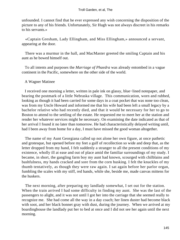unfounded. I cannot find that he ever expressed any wish concerning the disposition of the picture to any of his friends. Unfortunately, Sir Hugh was not always discreet in his remarks to his servants.»

 «Captain Gresham, Lady Ellingham, and Miss Ellingham,» announced a servant, appearing at the door.

 There was a murmur in the hall, and MacMaster greeted the smiling Captain and his aunt as he bowed himself out.

 To all intents and purposes the *Marriage of Phaedra* was already entombed in a vague continent in the Pacific, somewhere on the other side of the world.

## A Wagner Matinee

 I received one morning a letter, written in pale ink on glassy, blue−lined notepaper, and bearing the postmark of a little Nebraska village. This communication, worn and rubbed, looking as though it had been carried for some days in a coat pocket that was none too clean, was from my Uncle Howard and informed me that his wife had been left a small legacy by a bachelor relative who had recently died, and that it would be necessary for her to go to Boston to attend to the settling of the estate. He requested me to meet her at the station and render her whatever services might be necessary. On examining the date indicated as that of her arrival I found it no later than tomorrow. He had characteristically delayed writing until, had I been away from home for a day, I must have missed the good woman altogether.

 The name of my Aunt Georgiana called up not alone her own figure, at once pathetic and grotesque, but opened before my feet a gulf of recollection so wide and deep that, as the letter dropped from my hand, I felt suddenly a stranger to all the present conditions of my existence, wholly ill at ease and out of place amid the familiar surroundings of my study. I became, in short, the gangling farm boy my aunt had known, scourged with chilblains and bashfulness, my hands cracked and sore from the corn husking. I felt the knuckles of my thumb tentatively, as though they were raw again. I sat again before her parlor organ, fumbling the scales with my stiff, red hands, while she, beside me, made canvas mittens for the huskers.

 The next morning, after preparing my landlady somewhat, I set out for the station. When the train arrived I had some difficulty in finding my aunt. She was the last of the passengers to alight, and it was not until I got her into the carriage that she seemed really to recognize me. She had come all the way in a day coach; her linen duster had become black with soot, and her black bonnet gray with dust, during the journey. When we arrived at my boardinghouse the landlady put her to bed at once and I did not see her again until the next morning.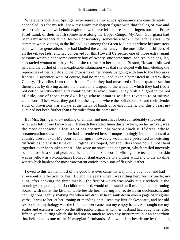Whatever shock Mrs. Springer experienced at my aunt's appearance she considerately concealed. As for myself, I saw my aunt's misshapen figure with that feeling of awe and respect with which we behold explorers who have left their ears and fingers north of Franz Josef Land, or their health somewhere along the Upper Congo. My Aunt Georgiana had been a music teacher at the Boston Conservatory, somewhere back in the latter sixties. One summer, while visiting in the little village among the Green Mountains where her ancestors had dwelt for generations, she had kindled the callow fancy of the most idle and shiftless of all the village lads, and had conceived for this Howard Carpenter one of those extravagant passions which a handsome country boy of twenty−one sometimes inspires in an angular, spectacled woman of thirty. When she returned to her duties in Boston, Howard followed her, and the upshot of this inexplicable infatuation was that she eloped with him, eluding the reproaches of her family and the criticisms of her friends by going with him to the Nebraska frontier. Carpenter, who, of course, had no money, had taken a homestead in Red Willow County, fifty miles from the railroad. There they had measured off their quarter section themselves by driving across the prairie in a wagon, to the wheel of which they had tied a red cotton handkerchief, and counting off its revolutions. They built a dugout in the red hillside, one of those cave dwellings whose inmates so often reverted to primitive conditions. Their water they got from the lagoons where the buffalo drank, and their slender stock of provisions was always at the mercy of bands of roving Indians. For thirty years my aunt had not been further than fifty miles from the homestead.

 But Mrs. Springer knew nothing of all this, and must have been considerably shocked at what was left of my kinswoman. Beneath the soiled linen duster which, on her arrival, was the most conspicuous feature of her costume, she wore a black stuff dress, whose ornamentation showed that she had surrendered herself unquestioningly into the hands of a country dressmaker. My poor aunt's figure, however, would have presented astonishing difficulties to any dressmaker. Originally stooped, her shoulders were now almost bent together over her sunken chest. She wore no stays, and her gown, which trailed unevenly behind, rose in a sort of peak over her abdomen. She wore ill−fitting false teeth, and her skin was as yellow as a Mongolian's from constant exposure to a pitiless wind and to the alkaline water which hardens the most transparent cuticle into a sort of flexible leather.

 I owed to this woman most of the good that ever came my way in my boyhood, and had a reverential affection for her. During the years when I was riding herd for my uncle, my aunt, after cooking the three meals – the first of which was ready at six o'clock in the morning−and putting the six children to bed, would often stand until midnight at her ironing board, with me at the kitchen table beside her, hearing me recite Latin declensions and conjugations, gently shaking me when my drowsy head sank down over a page of irregular verbs. It was to her, at her ironing or mending, that I read my first Shakespeare', and her old textbook on mythology was the first that ever came into my empty hands. She taught me my scales and exercises, too – on the little parlor organ, which her husband had bought her after fifteen years, during which she had not so much as seen any instrument, but an accordion that belonged to one of the Norwegian farmhands. She would sit beside me by the hour,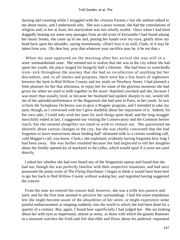darning and counting while I struggled with the «Joyous Farmer,» but she seldom talked to me about music, and I understood why. She was a pious woman; she had the consolations of religion and, to her at least, her martyrdom was not wholly sordid. Once when I had been doggedly beating out some easy passages from an old score of *Euryanthe* I had found among her music books, she came up to me and, putting her hands over my eyes, gently drew my head back upon her shoulder, saying tremulously, «Don't love it so well, Clark, or it may be taken from you. Oh, dear boy, pray that whatever your sacrifice may be, it be not that.»

 When my aunt appeared on the morning after her arrival she was still in a semi−somnambulant state. She seemed not to realize that she was in the city where she had spent her youth, the place longed for hungrily half a lifetime. She had been so wretchedly train−sick throughout the journey that she bad no recollection of anything but her discomfort, and, to all intents and purposes, there were but a few hours of nightmare between the farm in Red Willow County and my study on Newbury Street. I had planned a little pleasure for her that afternoon, to repay her for some of the glorious moments she had given me when we used to milk together in the straw−thatched cowshed and she, because I was more than usually tired, or because her husband had spoken sharply to me, would tell me of the splendid performance of the *Huguenots* she had seen in Paris, in her youth. At two o'clock the Symphony Orchestra was to give a Wagner program, and I intended to take my aunt; though, as I conversed with her I grew doubtful about her enjoyment of it. Indeed, for her own sake, I could only wish her taste for such things quite dead, and the long struggle mercifully ended at last. I suggested our visiting the Conservatory and the Common before lunch, but she seemed altogether too timid to wish to venture out. She questioned me absently about various changes in the city, but she was chiefly concerned that she had forgotten to leave instructions about feeding half−skimmed milk to a certain weakling calf, «old Maggie's calf, you know, Clark,» she explained, evidently having forgotten how long I had been away. She was further troubled because she had neglected to tell her daughter about the freshly opened kit of mackerel in the cellar, which would spoil if it were not used directly.

 I asked her whether she had ever heard any of the Wagnerian operas and found that she had not, though she was perfectly familiar with their respective situations, and had once possessed the piano score of *The Flying Dutchman*. I began to think it would have been best to get her back to Red Willow County without waking her, and regretted having suggested the concert.

 From the time we entered the concert hall, however, she was a trifle less passive and inert, and for the first time seemed to perceive her surroundings. I had felt some trepidation lest she might become aware of the absurdities of her attire, or might experience some painful embarrassment at stepping suddenly into the world to which she had been dead for a quarter of a century. But, again, I found how superficially I had judged her. She sat looking about her with eyes as impersonal, almost as stony, as those with which the granite Rameses in a museum watches the froth and fret that ebbs and flows about his pedestal−separated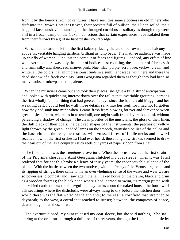from it by the lonely stretch of centuries. I have seen this same aloofness in old miners who drift into the Brown Hotel at Denver, their pockets full of bullion, their linen soiled, their haggard faces unshaven; standing in the thronged corridors as solitary as though they were still in a frozen camp on the Yukon, conscious that certain experiences have isolated them from their fellows by a gulf no haberdasher could bridge.

 We sat at the extreme left of the first balcony, facing the arc of our own and the balcony above us, veritable hanging gardens, brilliant as tulip beds. The matinee audience was made up chiefly of women. One lost the contour of faces and figures – indeed, any effect of line whatever−and there was only the color of bodices past counting, the shimmer of fabrics soft and firm, silky and sheer: red, mauve, pink, blue, lilac, purple, ecru, rose, yellow, cream, and white, all the colors that an impressionist finds in a sunlit landscape, with here and there the dead shadow of a frock coat. My Aunt Georgiana regarded them as though they had been so many daubs of tube−paint on a palette.

 When the musicians came out and took their places, she gave a little stir of anticipation and looked with quickening interest down over the rail at that invariable grouping, perhaps the first wholly familiar thing that had greeted her eye since she had left old Maggie and her weakling calf. I could feel how all those details sank into her soul, for I had not forgotten how they had sunk into mine when. I came fresh from plowing forever and forever between green aisles of corn, where, as in a treadmill, one might walk from daybreak to dusk without perceiving a shadow of change. The clean profiles of the musicians, the gloss of their linen, the dull black of their coats, the beloved shapes of the instruments, the patches of yellow light thrown by the green− shaded lamps on the smooth, varnished bellies of the cellos and the bass viols in the rear, the restless, wind−tossed forest of fiddle necks and bows−I recalled how, in the first orchestra I had ever heard, those long bow strokes seemed to draw the heart out of me, as a conjurer's stick reels out yards of paper ribbon from a hat.

 The first number was the *Tannhauser* overture. When the horns drew out the first strain of the Pilgrim's chorus my Aunt Georgiana clutched my coat sleeve. Then it was I first realized that for her this broke a silence of thirty years; the inconceivable silence of the plains. With the battle between the two motives, with the frenzy of the Venusberg theme and its ripping of strings, there came to me an overwhelming sense of the waste and wear we are so powerless to combat; and I saw again the tall, naked house on the prairie, black and grim as a wooden fortress; the black pond where I had learned to swim, its margin pitted with sun−dried cattle tracks; the rain−gullied clay banks about the naked house, the four dwarf ash seedlings where the dishcloths were always hung to dry before the kitchen door. The world there was the flat world of the ancients; to the east, a cornfield that stretched to daybreak; to the west, a corral that reached to sunset; between, the conquests of peace, dearer bought than those of war.

 The overture closed; my aunt released my coat sleeve, but she said nothing. She sat staring at the orchestra through a dullness of thirty years, through the films made little by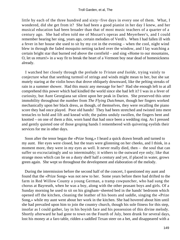little by each of the three hundred and sixty−five days in every one of them. What, I wondered, did she get from it? She had been a good pianist in her day I knew, and her musical education had been broader than that of most music teachers of a quarter of a century ago. She had often told me of Mozart's operas and Meyerbeer's, and I could remember hearing her sing, years ago, certain melodies of Verdi's. When I had fallen ill with a fever in her house she used to sit by my cot in the evening – when the cool, night wind blew in through the faded mosquito netting tacked over the window, and I lay watching a certain bright star that burned red above the cornfield – and sing «Home to our mountains, O, let us return!» in a way fit to break the heart of a Vermont boy near dead of homesickness already.

 I watched her closely through the prelude to *Tristan and Isolde*, trying vainly to conjecture what that seething turmoil of strings and winds might mean to her, but she sat mutely staring at the violin bows that drove obliquely downward, like the pelting streaks of rain in a summer shower. Had this music any message for her? Had she enough left to at all comprehend this power which had kindled the world since she had left it? I was in a fever of curiosity, but Aunt Georgiana sat silent upon her peak in Darien. She preserved this utter immobility throughout the number from *The Flying Dutchman*, though her fingers worked mechanically upon her black dress, as though, of themselves, they were recalling the piano score they had once played. Poor old hands! They had been stretched and twisted into mere tentacles to hold and lift and knead with; the palms unduly swollen, the fingers bent and knotted – on one of them a thin, worn band that had once been a wedding ring. As I pressed and gently quieted one of those groping hands I remembered with quivering eyelids their services for me in other days.

 Soon after the tenor began the «Prize Song,» I heard a quick drawn breath and turned to my aunt. Her eyes were closed, but the tears were glistening on her cheeks, and I think, in a moment more, they were in my eyes as well. It never really died, then – the soul that can suffer so excruciatingly and so interminably; it withers to the outward eye only; like that strange moss which can lie on a dusty shelf half a century and yet, if placed in water, grows green again. She wept so throughout the development and elaboration of the melody.

 During the intermission before the second half of the concert, I questioned my aunt and found that the «Prize Song» was not new to her. Some years before there had drifted to the farm in Red Willow County a young German, a tramp cowpuncher, who had sung the chorus at Bayreuth, when he was a boy, along with the other peasant boys and girls. Of a Sunday morning he used to sit on his gingham−sheeted bed in the hands' bedroom which opened off the kitchen, cleaning the leather of his boots and saddle, singing the «Prize Song,» while my aunt went about her work in the kitchen. She had hovered about him until she had prevailed upon him to join the country church, though his sole fitness for this step, insofar as I could gather, lay in his boyish face and his possession of this divine melody. Shortly afterward he had gone to town on the Fourth of July, been drunk for several days, lost his money at a faro table, ridden a saddled Texan steer on a bet, and disappeared with a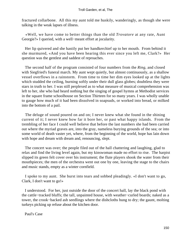fractured collarbone. All this my aunt told me huskily, wanderingly, as though she were talking in the weak lapses of illness.

 «Well, we have come to better things than the old *Trovatore* at any rate, Aunt Georgie?» I queried, with a well−meant effort at jocularity.

 Her lip quivered and she hastily put her handkerchief up to her mouth. From behind it she murmured, «And you have been hearing this ever since you left me, Clark?» Her question was the gentlest and saddest of reproaches.

 The second half of the program consisted of four numbers from the *Ring*, and closed with Siegfried's funeral march. My aunt wept quietly, but almost continuously, as a shallow vessel overflows in a rainstorm. From time to time her dim eyes looked up at the lights which studded the ceiling, burning softly under their dull glass globes; doubtless they were stars in truth to her. I was still perplexed as to what measure of musical comprehension was left to her, she who had heard nothing but the singing of gospel hymns at Methodist services in the square frame schoolhouse on Section Thirteen for so many years. I was wholly unable to gauge how much of it had been dissolved in soapsuds, or worked into bread, or milked into the bottom of a pail.

 The deluge of sound poured on and on; I never knew what she found in the shining current of it; I never knew how far it bore her, or past what happy islands. From the trembling of her face I could well believe that before the last numbers she had been carried out where the myriad graves are, into the gray, nameless burying grounds of the sea; or into some world of death vaster yet, where, from the beginning of the world, hope has lain down with hope and dream with dream and, renouncing, slept.

 The concert was over; the people filed out of the hall chattering and laughing, glad to relax and find the living level again, but my kinswoman made no effort to rise. The harpist slipped its green felt cover over his instrument; the flute players shook the water from their mouthpieces; the men of the orchestra went out one by one, leaving the stage to the chairs and music stands, empty as a winter cornfield.

 I spoke to my aunt. She burst into tears and sobbed pleadingly. «I don't want to go, Clark, I don't want to go!»

 I understood. For her, just outside the door of the concert hall, lay the black pond with the cattle−tracked bluffs; the tall, unpainted house, with weather−curled boards; naked as a tower, the crook−backed ash seedlings where the dishcloths hung to dry; the gaunt, molting turkeys picking up refuse about the kitchen door.

Paul's Case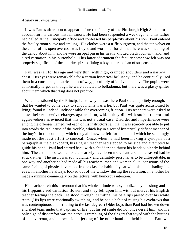## *A Study in Temperament*

 It was Paul's afternoon to appear before the faculty of the Pittsburgh High School to account for his various misdemeanors. He had been suspended a week ago, and his father had called at the Principal's office and confessed his perplexity about his son. Paul entered the faculty room suave and smiling. His clothes were a trifle outgrown, and the tan velvet on the collar of his open overcoat was frayed and worn; but for all that there was something of the dandy about him, and he wore an opal pin in his neatly knotted black four−in−hand, and a red carnation in his buttonhole. This latter adornment the faculty somehow felt was not properly significant of the contrite spirit befitting a boy under the ban of suspension.

 Paul was tall for his age and very thin, with high, cramped shoulders and a narrow chest. His eyes were remarkable for a certain hysterical brilliancy, and he continually used them in a conscious, theatrical sort of way, peculiarly offensive in a boy. The pupils were abnormally large, as though he were addicted to belladonna, but there was a glassy glitter about them which that drug does not produce.

 When questioned by the Principal as to why he was there Paul stated, politely enough, that he wanted to come back to school. This was a lie, but Paul was quite accustomed to lying; found it, indeed, indispensable for overcoming friction. His teachers were asked to state their respective charges against him, which they did with such a rancor and aggrievedness as evinced that this was not a usual case, Disorder and impertinence were among the offenses named, yet each of his instructors felt that it was scarcely possible to put into words the real cause of the trouble, which lay in a sort of hysterically defiant manner of the boy's; in the contempt which they all knew he felt for them, and which he seemingly made not the least effort to conceal. Once, when he had been making a synopsis of a paragraph at the blackboard, his English teacher had stepped to his side and attempted to guide his hand. Paul had started back with a shudder and thrust his hands violently behind him. The astonished woman could scarcely have been more hurt and embarrassed had he struck at her. The insult was so involuntary and definitely personal as to be unforgettable. in one way and another he had made all his teachers, men and women alike, conscious of the same feeling of physical aversion. In one class he habitually sat with his hand shading his eyes; in another he always looked out of the window during the recitation; in another he made a running commentary on the lecture, with humorous intention.

 His teachers felt this afternoon that his whole attitude was symbolized by his shrug and his flippantly red carnation flower, and they fell upon him without mercy, his English teacher leading the pack. He stood through it smiling, his pale lips parted over his white teeth. (His lips were continually twitching, and be had a habit of raising his eyebrows that was contemptuous and irritating to the last degree.) Older boys than Paul had broken down and shed tears under that baptism of fire, but his set smile did not once desert him, and his only sign of discomfort was the nervous trembling of the fingers that toyed with the buttons of his overcoat, and an occasional jerking of the other hand that held his hat. Paul was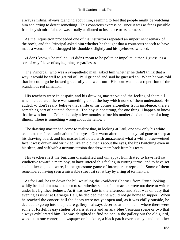always smiling, always glancing about him, seeming to feel that people might be watching him and trying to detect something. This conscious expression, since it was as far as possible from boyish mirthfulness, was usually attributed to insolence or «smartness.»

 As the inquisition proceeded one of his instructors repeated an impertinent remark of the boy's, and the Principal asked him whether he thought that a courteous speech to have made a woman. Paul shrugged his shoulders slightly and his eyebrows twitched.

 «I don't know,» he replied. «I didn't mean to be polite or impolite, either. I guess it's a sort of way I have of saying things regardless.»

 The Principal, who was a sympathetic man, asked him whether he didn't think that a way it would be well to get rid of. Paul grinned and said he guessed so. When he was told that he could go he bowed gracefully and went out. His bow was but a repetition of the scandalous red carnation.

 His teachers were in despair, and his drawing master voiced the feeling of them all when he declared there was something about the boy which none of them understood. He added: «I don't really believe that smile of his comes altogether from insolence; there's something sort of haunted about it. The boy is not strong, for one thing. I happen to know that he was born in Colorado, only a few months before his mother died out there of a long illness. There is something wrong about the fellow.»

 The drawing master had come to realize that, in looking at Paul, one saw only his white teeth and the forced animation of his eyes. One warm afternoon the boy had gone to sleep at his drawing board, and his master had noted with amazement what a white, blue−veined face it was; drawn and wrinkled like an old man's about the eyes, the lips twitching even in his sleep, and stiff with a nervous tension that drew them back from his teeth.

 His teachers left the building dissatisfied and unhappy; humiliated to have felt so vindictive toward a mere boy, to have uttered this feeling in cutting terms, and to have set each other on, as it were, in the gruesome game of intemperate reproach. Some of them remembered having seen a miserable street cat set at bay by a ring of tormentors.

 As for Paul, he ran down the hill whistling the «Soldiers' Chorus» from *Faust*, looking wildly behind him now and then to see whether some of his teachers were not there to writhe under his lightheartedness. As it was now late in the afternoon and Paul was on duty that evening as usher at Carnegie Hall, he decided that he would not go home to supper. When he reached the concert hall the doors were not yet open and, as it was chilly outside, he decided to go up into the picture gallery – always deserted at this hour – where there were some of Raffelli's gay studies of Paris streets and an airy blue Venetian scene or two that always exhilarated him. He was delighted to find no one in the gallery but the old guard, who sat in one corner, a newspaper on his knee, a black patch over one eye and the other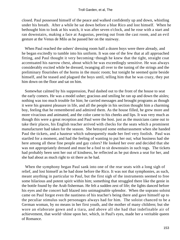closed. Paul possessed himself of the peace and walked confidently up and down, whistling under his breath. After a while he sat down before a blue Rico and lost himself. When he bethought him to look at his watch, it was after seven o'clock, and he rose with a start and ran downstairs, making a face at Augustus, peering out from the cast room, and an evil gesture at the Venus de Milo as he passed her on the stairway.

 When Paul reached the ushers' dressing room half a dozen boys were there already, and he began excitedly to tumble into his uniform. It was one of the few that at all approached fitting, and Paul thought it very becoming−though he knew that the tight, straight coat accentuated his narrow chest, about which he was exceedingly sensitive. He was always considerably excited while be dressed, twanging all over to the tuning of the strings and the preliminary flourishes of the horns in the music room; but tonight he seemed quite beside himself, and he teased and plagued the boys until, telling him that he was crazy, they put him down on the floor and sat on him.

 Somewhat calmed by his suppression, Paul dashed out to the front of the house to seat the early comers. He was a model usher; gracious and smiling he ran up and down the aisles; nothing was too much trouble for him; he carried messages and brought programs as though it were his greatest pleasure in life, and all the people in his section thought him a charming boy, feeling that he remembered and admired them. As the house filled, he grew more and more vivacious and animated, and the color came to his cheeks and lips. It was very much as though this were a great reception and Paul were the host. just as the musicians came out to take their places, his English teacher arrived with checks for the seats which a prominent manufacturer had taken for the season. She betrayed some embarrassment when she handed Paul the tickets, and a hauteur which subsequently made her feel very foolish. Paul was startled for a moment, and had the feeling of wanting to put her out; what business had she here among all these fine people and gay colors? He looked her over and decided that she was not appropriately dressed and must be a fool to sit downstairs in such togs. The tickets had probably been sent her out of kindness, he reflected as he put down a seat for her, and she had about as much right to sit there as he had.

 When the symphony began Paul sank into one of the rear seats with a long sigh of relief, and lost himself as he had done before the Rico. It was not that symphonies, as such, meant anything in particular to Paul, but the first sigh of the instruments seemed to free some hilarious and potent spirit within him; something that struggled there like the genie in the bottle found by the Arab fisherman. He felt a sudden zest of life; the lights danced before his eyes and the concert hall blazed into unimaginable splendor. When the soprano soloist came on Paul forgot even the nastiness of his teacher's being there and gave himself up to the peculiar stimulus such personages always had for him. The soloist chanced to be a German woman, by no means in her first youth, and the mother of many children; but she wore an elaborate gown and a tiara, and above all she had that indefinable air of achievement, that world−shine upon her, which, in Paul's eyes, made her a veritable queen of Romance.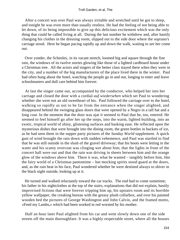After a concert was over Paul was always irritable and wretched until he got to sleep, and tonight he was even more than usually restless. He had the feeling of not being able to let down, of its being impossible to give up this delicious excitement which was the only thing that could be called living at all. During the last number he withdrew and, after hastily changing his clothes in the dressing room, slipped out to the side door where the soprano's carriage stood. Here he began pacing rapidly up and down the walk, waiting to see her come out.

 Over yonder, the Schenley, in its vacant stretch, loomed big and square through the fine rain, the windows of its twelve stories glowing like those of a lighted cardboard house under a Christmas tree. All the actors and singers of the better class stayed there when they were in the city, and a number of the big manufacturers of the place lived there in the winter. Paul had often hung about the hotel, watching the people go in and out, longing to enter and leave schoolmasters and dull care behind him forever.

 At last the singer came out, accompanied by the conductor, who helped her into her carriage and closed the door with a cordial *auf wiedersehen* which set Paul to wondering whether she were not an old sweetheart of his. Paul followed the carriage over to the hotel, walking so rapidly as not to be far from the entrance when the singer alighted, and disappeared behind the swinging glass doors that were opened by a Negro in a tall hat and a long coat. In the moment that the door was ajar it seemed to Paul that he, too, entered. He seemed to feel himself go after her up the steps, into the warm, lighted building, into an exotic, tropical world of shiny, glistening surfaces and basking ease. He reflected upon the mysterious dishes that were brought into the dining room, the green bottles in buckets of ice, as he had seen them in the supper party pictures of the *Sunday World* supplement. A quick gust of wind brought the rain down with sudden vehemence, and Paul was startled to find that he was still outside in the slush of the gravel driveway; that his boots were letting in the water and his scanty overcoat was clinging wet about him; that the lights in front of the concert hall were out and that the rain was driving in sheets between him and the orange glow of the windows above him. There it was, what be wanted – tangibly before him, like the fairy world of a Christmas pantomime – but mocking spirits stood guard at the doors, and, as the rain beat in his face, Paul wondered whether he were destined always to shiver in the black night outside, looking up at it.

 He turned and walked reluctantly toward the car tracks. The end had to come sometime; his father in his nightclothes at the top of the stairs, explanations that did not explain, hastily improvised fictions that were forever tripping him up, his upstairs room and its horrible yellow wallpaper, the creaking bureau with the greasy plush collarbox, and over his painted wooden bed the pictures of George Washington and John Calvin, and the framed motto, «Feed my Lambs,» which had been worked in red worsted by his mother.

 Half an hour later Paul alighted from his car and went slowly down one of the side streets off the main thoroughfare. It was a highly respectable street, where all the houses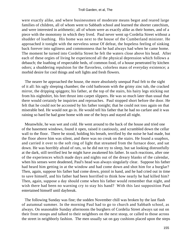were exactly alike, and where businessmen of moderate means begot and reared large families of children, all of whom went to Sabbath school and learned the shorter catechism, and were interested in arithmetic; all of whom were as exactly alike as their homes, and of a piece with the monotony in which they lived. Paul never went up Cordelia Street without a shudder of loathing. His home was next to the house of the Cumberland minister. He approached it tonight with the nerveless sense Of defeat, the hopeless feeling of sinking back forever into ugliness and commonness that he had always had when he came home. The moment he turned into Cordelia Street he felt the waters close above his head. After each of these orgies of living he experienced all the physical depression which follows a debauch; the loathing of respectable beds, of common food, of a house penetrated by kitchen odors; a shuddering repulsion for the flavorless, colorless mass of everyday existence; a morbid desire for cool things and soft lights and fresh flowers.

 The nearer he approached the house, the more absolutely unequal Paul felt to the sight of it all: his ugly sleeping chamber; the cold bathroom with the grimy zinc tub, the cracked mirror, the dripping spiggots; his father, at the top of the stairs, his hairy legs sticking out from his nightshirt, his feet thrust into carpet slippers. He was so much later than usual that there would certainly be inquiries and reproaches. Paul stopped short before the door. He felt that he could not be accosted by his father tonight; that he could not toss again on that miserable bed. He would not go in. He would tell his father that he had no carfare and it was raining so hard he had gone home with one of the boys and stayed all night.

 Meanwhile, he was wet and cold. He went around to the back of the house and tried one of the basement windows, found it open, raised it cautiously, and scrambled down the cellar wall to the floor. There he stood, holding his breath, terrified by the noise he had made, but the floor above him was silent, and there was no creak on the stairs. He found a soapbox, and carried it over to the soft ring of light that streamed from the furnace door, and sat down. He was horribly afraid of rats, so he did not try to sleep, but sat looking distrustfully at the dark, still terrified lest he might have awakened his father. In such reactions, after one of the experiences which made days and nights out of the dreary blanks of the calendar, when his senses were deadened, Paul's head was always singularly clear. Suppose his father had heard him getting in at the window and had come down and shot him for a burglar? Then, again, suppose his father had come down, pistol in hand, and he had cried out in time to save himself, and his father had been horrified to think how nearly he had killed him? Then, again, suppose a day should come when his father would remember that night, and wish there had been no warning cry to stay his hand? With this last supposition Paul entertained himself until daybreak.

 The following Sunday was fine; the sodden November chill was broken by the last flash of autumnal summer. In the morning Paul had to go to church and Sabbath school, as always. On seasonable Sunday afternoons the burghers of Cordelia Street always sat out on their front stoops and talked to their neighbors on the next stoop, or called to those across the street in neighborly fashion. The men usually sat on gay cushions placed upon the steps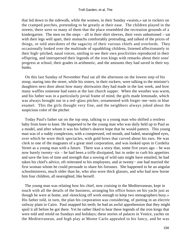that led down to the sidewalk, while the women, in their Sunday «waists,» sat in rockers on the cramped porches, pretending to be greatly at their ease. The children played in the streets; there were so many of them that the place resembled the recreation grounds of a kindergarten. The men on the steps – all in their shirt sleeves, their vests unbuttoned – sat with their legs well apart, their stomachs comfortably protruding, and talked of the prices of things, or told anecdotes of the sagacity of their various chiefs and overlords. They occasionally looked over the multitude of squabbling children, listened affectionately to their high−pitched, nasal voices, smiling to see their own proclivities reproduced in their offspring, and interspersed their legends of the iron kings with remarks about their sons' progress at school, their grades in arithmetic, and the amounts they had saved in their toy banks.

 On this last Sunday of November Paul sat all the afternoon on the lowest step of his stoop, staring into the street, while his sisters, in their rockers, were talking to the minister's daughters next door about how many shirtwaists they had made in the last week, and bow many waffles someone had eaten at the last church supper. When the weather was warm, and his father was in a particularly jovial frame of mind, the girls made lemonade, which was always brought out in a red−glass pitcher, ornamented with forget−me−nots in blue enamel. This the girls thought very fine, and the neighbors always joked about the suspicious color of the pitcher.

 Today Paul's father sat on the top step, talking to a young man who shifted a restless baby from knee to knee. He happened to be the young man who was daily held up to Paul as a model, and after whom it was his father's dearest hope that he would pattern. This young man was of a ruddy complexion, with a compressed, red mouth, and faded, nearsighted eyes, over which he wore thick spectacles, with gold bows that curved about his ears. He was clerk to one of the magnates of a great steel corporation, and was looked upon in Cordelia Street as a young man with a future. There was a story that, some five years ago – he was now barely twenty−six – he had been a trifle dissipated, but in order to curb his appetites and save the loss of time and strength that a sowing of wild oats might have entailed, he had taken his chief's advice, oft reiterated to his employees, and at twenty− one had married the first woman whom he could persuade to share his fortunes. She happened to be an angular schoolmistress, much older than he, who also wore thick glasses, and who had now borne him four children, all nearsighted, like herself.

 The young man was relating how his chief, now cruising in the Mediterranean, kept in touch with all the details of the business, arranging his office hours on his yacht just as though he were at home, and «knocking off work enough to keep two stenographers busy.» His father told, in turn, the plan his corporation was considering, of putting in an electric railway plant in Cairo. Paul snapped his teeth; he had an awful apprehension that they might spoil it all before he got there. Yet he rather liked to hear these legends of the iron kings that were told and retold on Sundays and holidays; these stories of palaces in Venice, yachts on the Mediterranean, and high play at Monte Carlo appealed to his fancy, and he was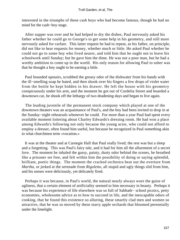interested in the triumphs of these cash boys who had become famous, though he had no mind for the cash−boy stage.

 After supper was over and he had helped to dry the dishes, Paul nervously asked his father whether he could go to George's to get some help in his geometry, and still more nervously asked for carfare. This latter request he had to repeat, as his father, on principle, did not like to hear requests for money, whether much or little. He asked Paul whether he could not go to some boy who lived nearer, and told him that he ought not to leave his schoolwork until Sunday; but he gave him the dime. He was not a poor man, but he had a worthy ambition to come up in the world. His only reason for allowing Paul to usher was that he thought a boy ought to be earning a little.

 Paul bounded upstairs, scrubbed the greasy odor of the dishwater from his hands with the ill−smelling soap he hated, and then shook over his fingers a few drops of violet water from the bottle he kept hidden in his drawer. He left the house with his geometry conspicuously under his arm, and the moment he got out of Cordelia Street and boarded a downtown car, he shook off the lethargy of two deadening days and began to live again.

 The leading juvenile of the permanent stock company which played at one of the downtown theaters was an acquaintance of Paul's, and the boy had been invited to drop in at the Sunday−night rehearsals whenever he could. For more than a year Paul had spent every available moment loitering about Charley Edwards's dressing room. He had won a place among Edwards's following not only because the young actor, who could not afford to employ a dresser, often found him useful, but because he recognized in Paul something akin to what churchmen term «vocation.»

 It was at the theater and at Carnegie Hall that Paul really lived; the rest was but a sleep and a forgetting. This was Paul's fairy tale, and it had for him all the allurement of a secret love. The moment he inhaled the gassy, painty, dusty odor behind the scenes, he breathed like a prisoner set free, and felt within him the possibility of doing or saying splendid, brilliant, poetic things. The moment the cracked orchestra beat out the overture from *Martha*, or jerked at the serenade from *Rigoletto*, all stupid and ugly things slid from him, and his senses were deliciously, yet delicately fired.

 Perhaps it was because, in Paul's world, the natural nearly always wore the guise of ugliness, that a certain element of artificiality seemed to him necessary in beauty. Perhaps it was because his experience of life elsewhere was so full of Sabbath− school picnics, petty economies, wholesome advice as to how to succeed in life, and the inescapable odors of cooking, that he found this existence so alluring, these smartly clad men and women so attractive, that he was so moved by these starry apple orchards that bloomed perennially under the limelight.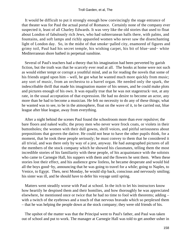It would be difficult to put it strongly enough how convincingly the stage entrance of that theater was for Paul the actual portal of Romance. Certainly none of the company ever suspected it, least of all Charley Edwards. It was very like the old stories that used to float about London of fabulously rich Jews, who had subterranean halls there, with palms, and fountains, and soft lamps and richly appareled women who never saw the disenchanting light of London day. So, in the midst of that smoke−palled city, enamored of figures and grimy toil, Paul had his secret temple, his wishing carpet, his bit of blue−and− white Mediterranean shore bathed in perpetual sunshine.

 Several of Paul's teachers had a theory that his imagination had been perverted by garish fiction, but the truth was that he scarcely ever read at all. The books at home were not such as would either tempt or corrupt a youthful mind, and as for reading the novels that some of his friends urged upon him – well, he got what he wanted much more quickly from music; any sort of music, from an orchestra to a barrel organ. He needed only the spark, the indescribable thrill that made his imagination master of his senses, and he could make plots and pictures enough of his own. It was equally true that he was not stagestruck−not, at any rate, in the usual acceptation of that expression. He had no desire to become an actor, any more than he had to become a musician. He felt no necessity to do any of these things; what he wanted was to see, to be in the atmosphere, float on the wave of it, to be carried out, blue league after blue league, away from everything.

 After a night behind the scenes Paul found the schoolroom more than ever repulsive; the bare floors and naked walls; the prosy men who never wore frock coats, or violets in their buttonholes; the women with their dull gowns, shrill voices, and pitiful seriousness about prepositions that govern the dative. He could not bear to have the other pupils think, for a moment, that he took these people seriously; he must convey to them that he considered it all trivial, and was there only by way of a jest, anyway. He had autographed pictures of all the members of the stock company which he showed his classmates, telling them the most incredible stories of his familiarity with these people, of his acquaintance with the soloists who came to Carnegie Hall, his suppers with them and the flowers he sent them. When these stories lost their effect, and his audience grew listless, he became desperate and would bid all the boys good−by, announcing that he was going to travel for a while; going to Naples, to Venice, to Egypt. Then, next Monday, he would slip back, conscious and nervously smiling; his sister was ill, and he should have to defer his voyage until spring.

 Matters went steadily worse with Paul at school. In the itch to let his instructors know how heartily he despised them and their homilies, and how thoroughly he was appreciated elsewhere, he mentioned once or twice that he had no time to fool with theorems; adding – with a twitch of the eyebrows and a touch of that nervous bravado which so perplexed them – that he was helping the people down at the stock company; they were old friends of his.

 The upshot of the matter was that the Principal went to Paul's father, and Paul was taken out of school and put to work. The manager at Carnegie Hall was told to get another usher in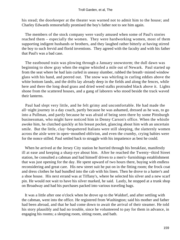his stead; the doorkeeper at the theater was warned not to admit him to the house; and Charley Edwards remorsefully promised the boy's father not to see him again.

 The members of the stock company were vastly amused when some of Paul's stories reached them – especially the women. They were hardworking women, most of them supporting indigent husbands or brothers, and they laughed rather bitterly at having stirred the boy to such fervid and florid inventions. They agreed with the faculty and with his father that Paul's was a bad case.

 The eastbound train was plowing through a January snowstorm; the dull dawn was beginning to show gray when the engine whistled a mile out of Newark. Paul started up from the seat where he had lain curled in uneasy slumber, rubbed the breath−misted window glass with his hand, and peered out. The snow was whirling in curling eddies above the white bottom lands, and the drifts lay already deep in the fields and along the fences, while here and there the long dead grass and dried weed stalks protruded black above it. Lights shone from the scattered houses, and a gang of laborers who stood beside the track waved their lanterns.

 Paul had slept very little, and he felt grimy and uncomfortable. He had made the all−night journey in a day coach, partly because he was ashamed, dressed as he was, to go into a Pullman, and partly because he was afraid of being seen there by some Pittsburgh businessman, who might have noticed him in Denny Carson's office. When the whistle awoke him, he clutched quickly at his breast pocket, glancing about him with an uncertain smile. But the little, clay−bespattered Italians were still sleeping, the slatternly women across the aisle were in open−mouthed oblivion, and even the crumby, crying babies were for the nonce stilled. Paul settled back to struggle with his impatience as best he could.

When he arrived at the Jersey City station he hurried through his breakfast, manifestly ill at ease and keeping a sharp eye about him. After he reached the Twenty−third Street station, he consulted a cabman and had himself driven to a men's−furnishings establishment that was just opening for the day. He spent upward of two hours there, buying with endless reconsidering and great care. His new street suit he put on in the fitting room; the frock coat and dress clothes he had bundled into the cab with his linen. Then he drove to a hatter's and a shoe house. His next errand was at Tiffany's, where he selected his silver and a new scarf pin. He would not wait to have his silver marked, he said. Lastly, he stopped at a trunk shop on Broadway and had his purchases packed into various traveling bags.

 It was a little after one o'clock when he drove up to the Waldorf, and after settling with the cabman, went into the office. He registered from Washington; said his mother and father had been abroad, and that he had come down to await the arrival of their steamer. He told his story plausibly and had no trouble, since he volunteered to pay for them in advance, in engaging his rooms; a sleeping room, sitting room, and bath.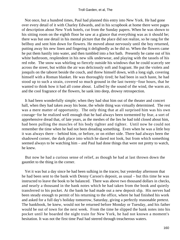Not once, but a hundred times, Paul had planned this entry into New York. He had gone over every detail of it with Charley Edwards, and in his scrapbook at home there were pages of description about New York hotels, cut from the Sunday papers. When he was shown to his sitting room on the eighth floor he saw at a glance that everything was as it should be; there was but one detail in his mental picture that the place did not realize, so he rang for the bellboy and sent him down for flowers. He moved about nervously until the boy returned, putting away his new linen and fingering it delightedly as he did so. When the flowers came he put them hastily into water, and then tumbled into a hot bath. Presently he came out of his white bathroom, resplendent in his new silk underwear, and playing with the tassels of his red robe. The snow was whirling so fiercely outside his windows that he could scarcely see across the street, but within the air was deliciously soft and fragrant. He put the violets and jonquils on the taboret beside the couch, and threw himself down, with a long sigh, covering himself with a Roman blanket. He was thoroughly tired; he had been in such haste, he had stood up to such a strain, covered so much ground in the last twenty−four hours, that he wanted to think how it had all come about. Lulled by the sound of the wind, the warm air, and the cool fragrance of the flowers, he sank into deep, drowsy retrospection.

 It had been wonderfully simple; when they had shut him out of the theater and concert hall, when they had taken away his bone, the whole thing was virtually determined. The rest was a mere matter of opportunity. The only thing that at all surprised him was his own courage−for he realized well enough that he had always been tormented by fear, a sort of apprehensive dread that, of late years, as the meshes of the lies he had told closed about him, had been pulling the muscles of his body tighter and tighter. Until now he could not remember the time when he had not been dreading something. Even when he was a little boy it was always there – behind him, or before, or on either side. There had always been the shadowed corner, the dark place into which he dared not look, but from which something seemed always to be watching him – and Paul had done things that were not pretty to watch, he knew.

 But now he had a curious sense of relief, as though he had at last thrown down the gauntlet to the thing in the corner.

 Yet it was but a day since he had been sulking in the traces; but yesterday afternoon that he had been sent to the bank with Denny Carson's deposit, as usual – but this time he was instructed to leave the book to be balanced. There was above two thousand dollars in checks, and nearly a thousand in the bank notes which he had taken from the book and quietly transferred to his pocket. At the bank he had made out a new deposit slip. His nerves had been steady enough to permit of his returning to the office, where he had finished his work and asked for a full day's holiday tomorrow, Saturday, giving a perfectly reasonable pretext. The bankbook, be knew, would not be returned before Monday or Tuesday, and his father would be out of town for the next week. From the time he slipped the bank notes into his pocket until he boarded the night train for New York, he had not known a moment's hesitation. It was not the first time Paul had steered through treacherous waters.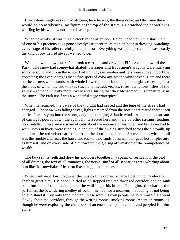How astonishingly easy it had all been; here he was, the thing done; and this time there would be no awakening, no figure at the top of the stairs. He watched the snowflakes whirling by his window until he fell asleep.

When he awoke, it was three o'clock in the afternoon. He bounded up with a start; half of one of his precious days gone already! He spent more than an hour in dressing, watching every stage of his toilet carefully in the mirror. Everything was quite perfect; he was exactly the kind of boy he had always wanted to be.

 When he went downstairs Paul took a carriage and drove up Fifth Avenue toward the Park. The snow had somewhat abated; carriages and tradesmen's wagons were hurrying soundlessly to and fro in the winter twilight; boys in woolen mufflers were shoveling off the doorsteps; the avenue stages made fine spots of color against the white street. Here and there on the corners were stands, with whole flower gardens blooming under glass cases, against the sides of which the snowflakes stuck and melted; violets, roses, carnations, lilies of the valley – somehow vastly more lovely and alluring that they blossomed thus unnaturally in the snow. The Park itself was a wonderful stage winterpiece.

 When he returned, the pause of the twilight had ceased and the tune of the streets had changed. The snow was falling faster, lights streamed from the hotels that reared their dozen stories fearlessly up into the storm, defying the raging Atlantic winds. A long, black stream of carriages poured down the avenue, intersected here and there by other streams, tending horizontally. There were a score of cabs about the entrance of his hotel, and his driver had to wait. Boys in livery were running in and out of the awning stretched across the sidewalk, up and down the red velvet carpet laid from the door to the street. Above, about, within it all was the rumble and roar, the hurry and toss of thousands of human beings as hot for pleasure as himself, and on every side of him towered the glaring affirmation of the omnipotence of wealth.

 The boy set his teeth and drew his shoulders together in a spasm of realization; the plot of all dramas, the text of all romances, the nerve−stuff of all sensations was whirling about him like the snowflakes. He burnt like a faggot in a tempest.

 When Paul went down to dinner the music of the orchestra came floating up the elevator shaft to greet him. His head whirled as he stepped into the thronged corridor, and he sank back into one of the chairs against the wall to get his breath. The lights, the chatter, the perfumes, the bewildering medley of color – he had, for a moment, the feeling of not being able to stand it. But only for a moment; these were his own people, he told himself. He went slowly about the corridors, through the writing rooms, smoking rooms, reception rooms, as though he were exploring the chambers of an enchanted palace, built and peopled for him alone.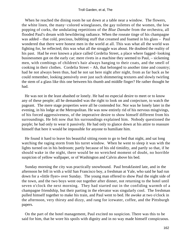When he reached the dining room he sat down at a table near a window. The flowers, the white linen, the many−colored wineglasses, the gay toilettes of the women, the low popping of corks, the undulating repetitions of the *Blue Danube* from the orchestra, all flooded Paul's dream with bewildering radiance. When the roseate tinge of his champagne was added – that cold, precious, bubbling stuff that creamed and foamed in his glass – Paul wondered that there were honest men in the world at all. This was what all the world was fighting for, he reflected; this was what all the struggle was about. He doubted the reality of his past. Had he ever known a place called Cordelia Street, a place where fagged−looking businessmen got on the early car; mere rivets in a machine they seemed to Paul, – sickening men, with combings of children's hair always hanging to their coats, and the smell of cooking in their clothes. Cordelia Street – Ah, that belonged to another time and country; had he not always been thus, had he not sat here night after night, from as far back as he could remember, looking pensively over just such shimmering textures and slowly twirling the stem of a glass like this one between his thumb and middle finger? He rather thought he had.

 He was not in the least abashed or lonely. He had no especial desire to meet or to know any of these people; all he demanded was the right to look on and conjecture, to watch the pageant. The mere stage properties were all he contended for. Nor was he lonely later in the evening, in his lodge at the Metropolitan. He was now entirely rid of his nervous misgivings, of his forced aggressiveness, of the imperative desire to show himself different from his surroundings. He felt now that his surroundings explained him. Nobody questioned the purple; he had only to wear it passively. He had only to glance down at his attire to reassure himself that here it would be impossible for anyone to humiliate him.

 He found it hard to leave his beautiful sitting room to go to bed that night, and sat long watching the raging storm from his turret window. When he went to sleep it was with the lights turned on in his bedroom; partly because of his old timidity, and partly so that, if he should wake in the night, there would be no wretched moment of doubt, no horrible suspicion of yellow wallpaper, or of Washington and Calvin above his bed.

 Sunday morning the city was practically snowbound. Paul breakfasted late, and in the afternoon he fell in with a wild San Francisco boy, a freshman at Yale, who said he had run down for a «little flyer» over Sunday. The young man offered to show Paul the night side of the town, and the two boys went out together after dinner, not returning to the hotel until seven o'clock the next morning. They had started out in the confiding warmth of a champagne friendship, but their parting in the elevator was singularly cool. The freshman pulled himself together to make his train, and Paul went to bed. He awoke at two o'clock in the afternoon, very thirsty and dizzy, and rang for icewater, coffee, and the Pittsburgh papers.

 On the part of the hotel management, Paul excited no suspicion. There was this to be said for him, that he wore his spoils with dignity and in no way made himself conspicuous.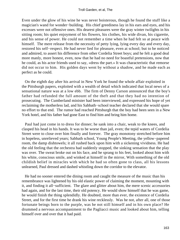Even under the glow of his wine he was never boisterous, though he found the stuff like a magician's wand for wonder−building. His chief greediness lay in his ears and eyes, and his excesses were not offensive ones. His dearest pleasures were the gray winter twilights in his sitting room; his quiet enjoyment of his flowers, his clothes, his wide divan, his cigarette, and his sense of power. He could not remember a time when he had felt so at peace with himself. The mere release from the necessity of petty lying, lying every day and every day, restored his self−respect. He had never lied for pleasure, even at school; but to be noticed and admired, to assert his difference from other Cordelia Street boys; and he felt a good deal more manly, more honest, even, now that he had no need for boastful pretensions, now that he could, as his actor friends used to say, «dress the part.» It was characteristic that remorse did not occur to him. His golden days went by without a shadow, and he made each as perfect as he could.

 On the eighth day after his arrival in New York he found the whole affair exploited in the Pittsburgh papers, exploited with a wealth of detail which indicated that local news of a sensational nature was at a low ebb. The firm of Denny Carson announced that the boy's father had refunded the full amount of the theft and that they had no intention of prosecuting. The Cumberland minister had been interviewed, and expressed his hope of yet reclaiming the motherless lad, and his Sabbath−school teacher declared that she would spare no effort to that end. The rumor had reached Pittsburgh that the boy had been seen in a New York hotel, and his father had gone East to find him and bring him home.

 Paul had just come in to dress for dinner; he sank into a chair, weak to the knees, and clasped his head in his hands. It was to be worse than jail, even; the tepid waters of Cordelia Street were to close over him finally and forever. The gray monotony stretched before him in hopeless, unrelieved years; Sabbath school, Young People's Meeting, the yellow−papered room, the damp dishtowels; it all rushed back upon him with a sickening vividness. He had the old feeling that the orchestra had suddenly stopped, the sinking sensation that the play was over. The sweat broke out on his face, and he sprang to his feet, looked about him with his white, conscious smile, and winked at himself in the mirror, With something of the old childish belief in miracles with which he had so often gone to class, all his lessons unlearned, Paul dressed and dashed whistling down the corridor to the elevator.

 He had no sooner entered the dining room and caught the measure of the music than his remembrance was lightened by his old elastic power of claiming the moment, mounting with it, and finding it all−sufficient. The glare and glitter about him, the mere scenic accessories had again, and for the last time, their old potency. He would show himself that he was game, he would finish the thing splendidly. He doubted, more than ever, the existence of Cordelia Street, and for the first time he drank his wine recklessly. Was he not, after all, one of those fortunate beings born to the purple, was he not still himself and in his own place? He drummed a nervous accompaniment to the Pagliacci music and looked about him, telling himself over and over that it had paid.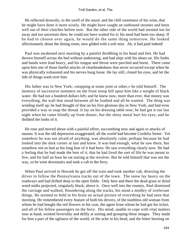He reflected drowsily, to the swell of the music and the chill sweetness of his wine, that he might have done it more wisely. He might have caught an outbound steamer and been well out of their clutches before now. But the other side of the world had seemed too far away and too uncertain then; he could not have waited for it; his need had been too sharp. If he had to choose over again, he would do the same thing tomorrow. He looked affectionately about the dining room, now gilded with a soft mist. Ah, it had paid indeed!

 Paul was awakened next morning by a painful throbbing in his head and feet. He had thrown himself across the bed without undressing, and had slept with his shoes on. His limbs and hands were lead heavy, and his tongue and throat were parched and burnt. There came upon him one of those fateful attacks of clearheadedness that never occurred except when he was physically exhausted and his nerves hung loose. He lay still, closed his eyes, and let the tide of things wash over him.

 His father was in New York; «stopping at some joint or other,» he told himself. The memory of successive summers on the front stoop fell upon him like a weight of black water. He had not a hundred dollars left; and he knew now, more than ever, that money was everything, the wall that stood between all he loathed and all he wanted. The thing was winding itself up; he had thought of that on his first glorious day in New York, and had even provided a way to snap the thread. It lay on his dressing table now; he had got it out last night when he came blindly up from dinner, but the shiny metal hurt his eyes, and he disliked the looks of it.

 He rose and moved about with a painful effort, succumbing now and again to attacks of nausea. It was the old depression exaggerated; all the world had become Cordelia Street. Yet somehow he was not afraid of anything, was absolutely calm; perhaps because he had looked into the dark corner at last and knew. It was bad enough, what he saw there, but somehow not so bad as his long fear of it had been. He saw everything clearly now. He had a feeling that he had made the best of it, that he had lived the sort of life he was meant to live, and for half an hour he sat staring at the revolver. But he told himself that was not the way, so he went downstairs and took a cab to the ferry.

 When Paul arrived in Newark he got off the train and took another cab, directing the driver to follow the Pennsylvania tracks out of the town. The snow lay heavy on the roadways and had drifted deep in the open fields. Only here and there the dead grass or dried weed stalks projected, singularly black, above it. Once well into the country, Paul dismissed the carriage and walked, floundering along the tracks, his mind a medley of irrelevant things. He seemed to hold in his brain an actual picture of everything he had seen that morning. He remembered every feature of both his drivers, of the toothless old woman from whom he had bought the red flowers in his coat, the agent from whom he had got his ticket, and all of his fellow passengers on the ferry. His mind, unable to cope with vital matters near at hand, worked feverishly and deftly at sorting and grouping these images. They made for him a part of the ugliness of the world, of the ache in his head, and the bitter burning on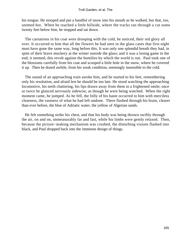his tongue. He stooped and put a handful of snow into his mouth as he walked, but that, too, seemed hot. When he reached a little hillside, where the tracks ran through a cut some twenty feet below him, he stopped and sat down.

 The carnations in his coat were drooping with the cold, he noticed, their red glory all over. It occurred to him that all the flowers he had seen in the glass cases that first night must have gone the same way, long before this. It was only one splendid breath they had, in spite of their brave mockery at the winter outside the glass; and it was a losing game in the end, it seemed, this revolt against the homilies by which the world is run. Paul took one of the blossoms carefully from his coat and scooped a little hole in the snow, where he covered it up. Then he dozed awhile, from his weak condition, seemingly insensible to the cold.

 The sound of an approaching train awoke him, and he started to his feet, remembering only his resolution, and afraid lest he should be too late. He stood watching the approaching locomotive, his teeth chattering, his lips drawn away from them in a frightened smile; once or twice he glanced nervously sidewise, as though he were being watched. When the right moment came, he jumped. As he fell, the folly of his haste occurred to him with merciless clearness, the vastness of what he had left undone. There flashed through his brain, clearer than ever before, the blue of Adriatic water, the yellow of Algerian sands.

 He felt something strike his chest, and that his body was being thrown swiftly through the air, on and on, immeasurably far and fast, while his limbs were gently relaxed. Then, because the picture−making mechanism was crushed, the disturbing visions flashed into black, and Paul dropped back into the immense design of things.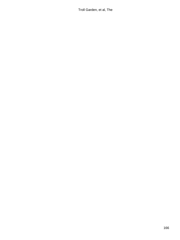Troll Garden, et al, The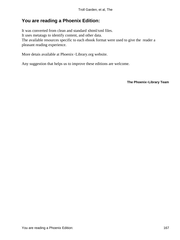## **You are reading a Phoenix Edition:**

It was converted from clean and standard xhtml/xml files. It uses metatags to identify content, and other data. The available resources specific to each ebook format were used to give the reader a pleasant reading experience.

More detais available at Phoenix−Library.org website.

Any suggestion that helps us to improve these editions are welcome.

**The Phoenix−Library Team**